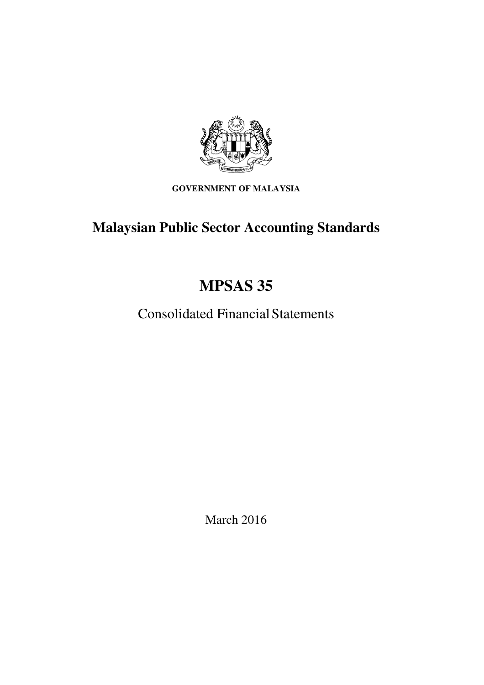

**GOVERNMENT OF MALAYSIA** 

# **Malaysian Public Sector Accounting Standards**

# **MPSAS 35**

**Consolidated Financial Statements** 

March 2016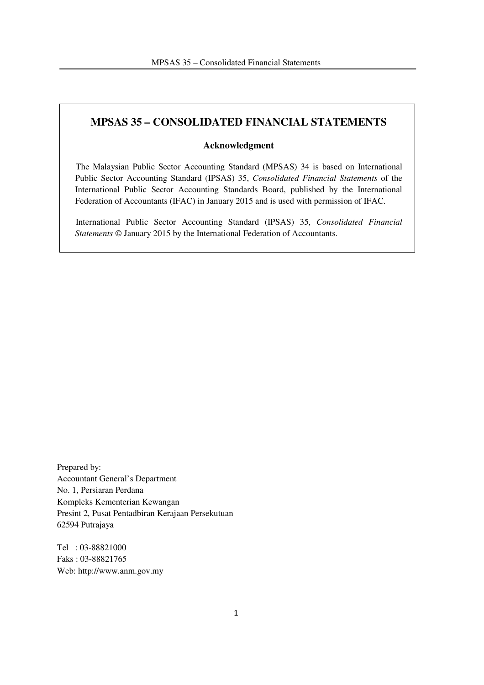# **MPSAS 35 – CONSOLIDATED FINANCIAL STATEMENTS**

#### **Acknowledgment**

The Malaysian Public Sector Accounting Standard (MPSAS) 34 is based on International Public Sector Accounting Standard (IPSAS) 35, *Consolidated Financial Statements* of the International Public Sector Accounting Standards Board, published by the International Federation of Accountants (IFAC) in January 2015 and is used with permission of IFAC.

International Public Sector Accounting Standard (IPSAS) 35, *Consolidated Financial Statements* © January 2015 by the International Federation of Accountants.

Prepared by: Accountant General's Department No. 1, Persiaran Perdana Kompleks Kementerian Kewangan Presint 2, Pusat Pentadbiran Kerajaan Persekutuan 62594 Putrajaya

Tel : 03-88821000 Faks : 03-88821765 Web: http://www.anm.gov.my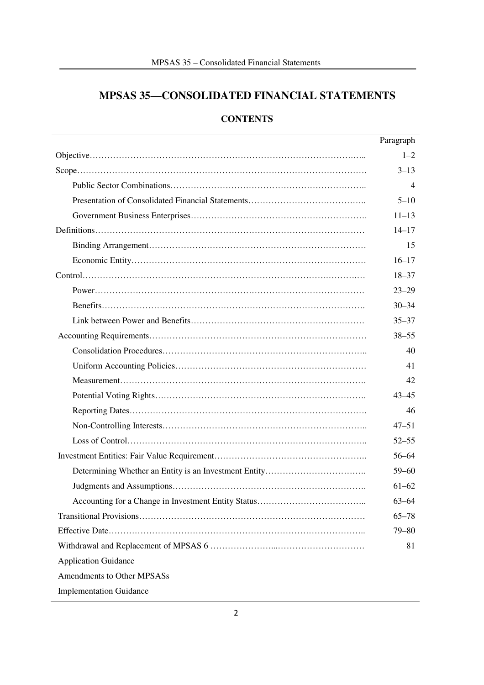# **MPSAS 35—CONSOLIDATED FINANCIAL STATEMENTS**

# **CONTENTS**

|                                | Paragraph      |
|--------------------------------|----------------|
|                                | $1 - 2$        |
|                                | $3 - 13$       |
|                                | $\overline{4}$ |
|                                | $5 - 10$       |
|                                | $11 - 13$      |
|                                | $14 - 17$      |
|                                | 15             |
|                                | $16 - 17$      |
|                                | $18 - 37$      |
|                                | $23 - 29$      |
|                                | $30 - 34$      |
|                                | $35 - 37$      |
|                                | $38 - 55$      |
|                                | 40             |
|                                | 41             |
|                                | 42             |
|                                | $43 - 45$      |
|                                | 46             |
|                                | $47 - 51$      |
|                                | $52 - 55$      |
|                                | $56 - 64$      |
|                                | $59 - 60$      |
|                                | $61 - 62$      |
|                                | $63 - 64$      |
|                                | $65 - 78$      |
|                                | $79 - 80$      |
|                                | 81             |
| <b>Application Guidance</b>    |                |
| Amendments to Other MPSASs     |                |
| <b>Implementation Guidance</b> |                |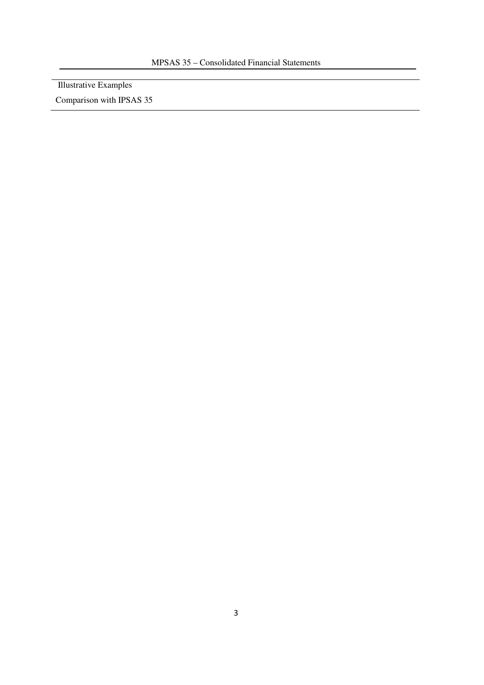Illustrative Examples Comparison with IPSAS 35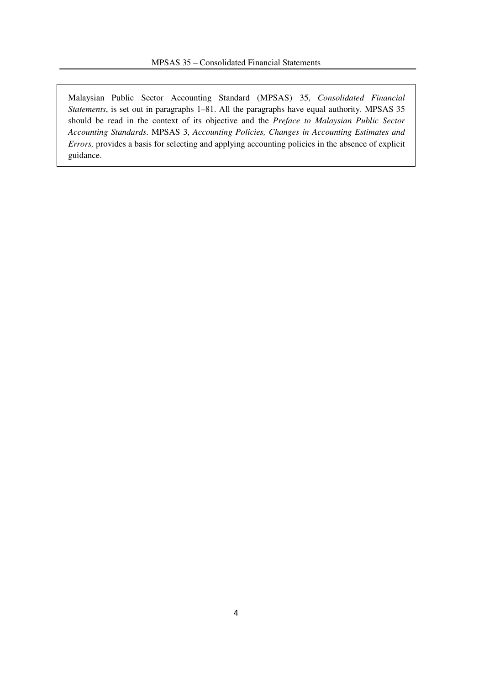Malaysian Public Sector Accounting Standard (MPSAS) 35, *Consolidated Financial Statements*, is set out in paragraphs 1–81. All the paragraphs have equal authority. MPSAS 35 should be read in the context of its objective and the *Preface to Malaysian Public Sector Accounting Standards*. MPSAS 3, *Accounting Policies, Changes in Accounting Estimates and Errors,* provides a basis for selecting and applying accounting policies in the absence of explicit guidance.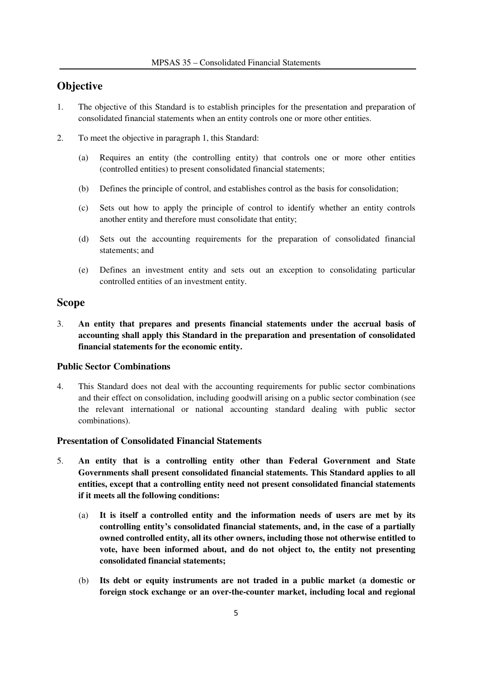# **Objective**

- 1. The objective of this Standard is to establish principles for the presentation and preparation of consolidated financial statements when an entity controls one or more other entities.
- 2. To meet the objective in paragraph 1, this Standard:
	- (a) Requires an entity (the controlling entity) that controls one or more other entities (controlled entities) to present consolidated financial statements;
	- (b) Defines the principle of control, and establishes control as the basis for consolidation;
	- (c) Sets out how to apply the principle of control to identify whether an entity controls another entity and therefore must consolidate that entity;
	- (d) Sets out the accounting requirements for the preparation of consolidated financial statements; and
	- (e) Defines an investment entity and sets out an exception to consolidating particular controlled entities of an investment entity.

#### **Scope**

3. **An entity that prepares and presents financial statements under the accrual basis of accounting shall apply this Standard in the preparation and presentation of consolidated financial statements for the economic entity.** 

#### **Public Sector Combinations**

4. This Standard does not deal with the accounting requirements for public sector combinations and their effect on consolidation, including goodwill arising on a public sector combination (see the relevant international or national accounting standard dealing with public sector combinations).

#### **Presentation of Consolidated Financial Statements**

- 5. **An entity that is a controlling entity other than Federal Government and State Governments shall present consolidated financial statements. This Standard applies to all entities, except that a controlling entity need not present consolidated financial statements if it meets all the following conditions:** 
	- (a) **It is itself a controlled entity and the information needs of users are met by its controlling entity's consolidated financial statements, and, in the case of a partially owned controlled entity, all its other owners, including those not otherwise entitled to vote, have been informed about, and do not object to, the entity not presenting consolidated financial statements;**
	- (b) **Its debt or equity instruments are not traded in a public market (a domestic or foreign stock exchange or an over-the-counter market, including local and regional**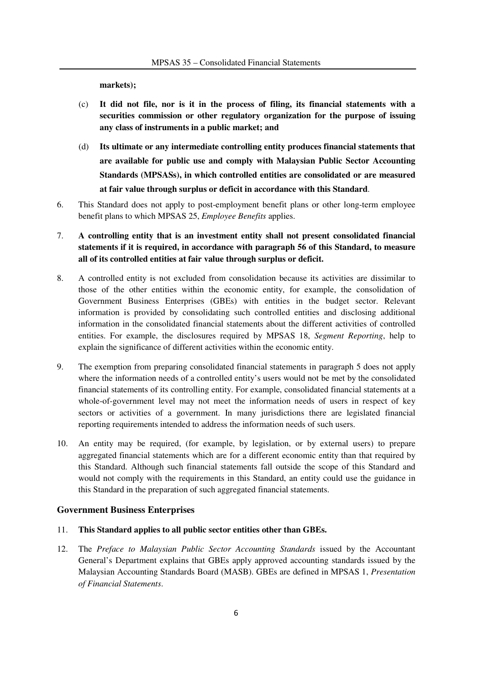**markets);** 

- (c) **It did not file, nor is it in the process of filing, its financial statements with a securities commission or other regulatory organization for the purpose of issuing any class of instruments in a public market; and**
- (d) **Its ultimate or any intermediate controlling entity produces financial statements that are available for public use and comply with Malaysian Public Sector Accounting Standards (MPSASs), in which controlled entities are consolidated or are measured at fair value through surplus or deficit in accordance with this Standard**.
- 6. This Standard does not apply to post-employment benefit plans or other long-term employee benefit plans to which MPSAS 25, *Employee Benefits* applies.
- 7. **A controlling entity that is an investment entity shall not present consolidated financial statements if it is required, in accordance with paragraph 56 of this Standard, to measure all of its controlled entities at fair value through surplus or deficit.**
- 8. A controlled entity is not excluded from consolidation because its activities are dissimilar to those of the other entities within the economic entity, for example, the consolidation of Government Business Enterprises (GBEs) with entities in the budget sector. Relevant information is provided by consolidating such controlled entities and disclosing additional information in the consolidated financial statements about the different activities of controlled entities. For example, the disclosures required by MPSAS 18, *Segment Reporting*, help to explain the significance of different activities within the economic entity.
- 9. The exemption from preparing consolidated financial statements in paragraph 5 does not apply where the information needs of a controlled entity's users would not be met by the consolidated financial statements of its controlling entity. For example, consolidated financial statements at a whole-of-government level may not meet the information needs of users in respect of key sectors or activities of a government. In many jurisdictions there are legislated financial reporting requirements intended to address the information needs of such users.
- 10. An entity may be required, (for example, by legislation, or by external users) to prepare aggregated financial statements which are for a different economic entity than that required by this Standard. Although such financial statements fall outside the scope of this Standard and would not comply with the requirements in this Standard, an entity could use the guidance in this Standard in the preparation of such aggregated financial statements.

#### **Government Business Enterprises**

- 11. **This Standard applies to all public sector entities other than GBEs.**
- 12. The *Preface to Malaysian Public Sector Accounting Standards* issued by the Accountant General's Department explains that GBEs apply approved accounting standards issued by the Malaysian Accounting Standards Board (MASB). GBEs are defined in MPSAS 1, *Presentation of Financial Statements*.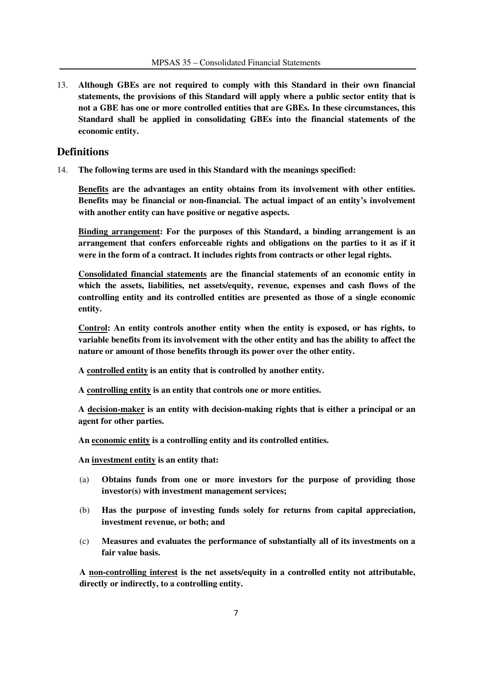13. **Although GBEs are not required to comply with this Standard in their own financial statements, the provisions of this Standard will apply where a public sector entity that is not a GBE has one or more controlled entities that are GBEs. In these circumstances, this Standard shall be applied in consolidating GBEs into the financial statements of the economic entity.** 

## **Definitions**

14. **The following terms are used in this Standard with the meanings specified:** 

**Benefits are the advantages an entity obtains from its involvement with other entities. Benefits may be financial or non-financial. The actual impact of an entity's involvement with another entity can have positive or negative aspects.**

**Binding arrangement: For the purposes of this Standard, a binding arrangement is an arrangement that confers enforceable rights and obligations on the parties to it as if it were in the form of a contract. It includes rights from contracts or other legal rights.**

**Consolidated financial statements are the financial statements of an economic entity in which the assets, liabilities, net assets/equity, revenue, expenses and cash flows of the controlling entity and its controlled entities are presented as those of a single economic entity.**

**Control: An entity controls another entity when the entity is exposed, or has rights, to variable benefits from its involvement with the other entity and has the ability to affect the nature or amount of those benefits through its power over the other entity.**

**A controlled entity is an entity that is controlled by another entity.** 

**A controlling entity is an entity that controls one or more entities.**

**A decision-maker is an entity with decision-making rights that is either a principal or an agent for other parties.**

**An economic entity is a controlling entity and its controlled entities.** 

**An investment entity is an entity that:**

- (a) **Obtains funds from one or more investors for the purpose of providing those investor(s) with investment management services;**
- (b) **Has the purpose of investing funds solely for returns from capital appreciation, investment revenue, or both; and**
- (c) **Measures and evaluates the performance of substantially all of its investments on a fair value basis.**

**A non-controlling interest is the net assets/equity in a controlled entity not attributable, directly or indirectly, to a controlling entity.**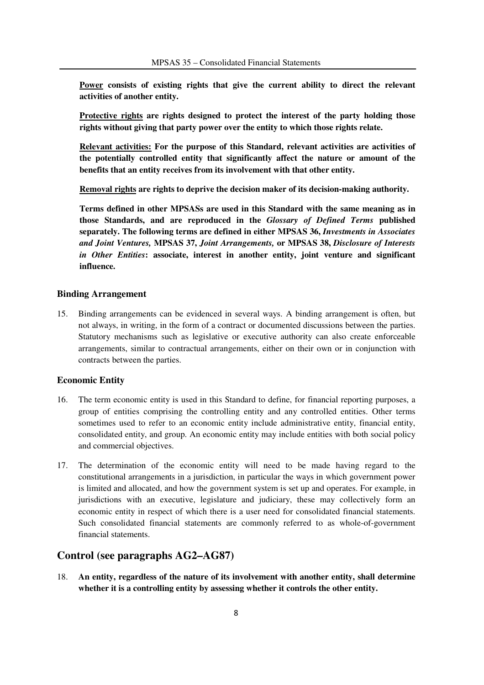**Power consists of existing rights that give the current ability to direct the relevant activities of another entity.**

**Protective rights are rights designed to protect the interest of the party holding those rights without giving that party power over the entity to which those rights relate.**

**Relevant activities: For the purpose of this Standard, relevant activities are activities of the potentially controlled entity that significantly affect the nature or amount of the benefits that an entity receives from its involvement with that other entity.**

**Removal rights are rights to deprive the decision maker of its decision-making authority.**

**Terms defined in other MPSASs are used in this Standard with the same meaning as in those Standards, and are reproduced in the** *Glossary of Defined Terms* **published separately. The following terms are defined in either MPSAS 36,** *Investments in Associates and Joint Ventures,* **MPSAS 37,** *Joint Arrangements,* **or MPSAS 38,** *Disclosure of Interests in Other Entities***: associate, interest in another entity, joint venture and significant influence.**

#### **Binding Arrangement**

15. Binding arrangements can be evidenced in several ways. A binding arrangement is often, but not always, in writing, in the form of a contract or documented discussions between the parties. Statutory mechanisms such as legislative or executive authority can also create enforceable arrangements, similar to contractual arrangements, either on their own or in conjunction with contracts between the parties.

#### **Economic Entity**

- 16. The term economic entity is used in this Standard to define, for financial reporting purposes, a group of entities comprising the controlling entity and any controlled entities. Other terms sometimes used to refer to an economic entity include administrative entity, financial entity, consolidated entity, and group. An economic entity may include entities with both social policy and commercial objectives.
- 17. The determination of the economic entity will need to be made having regard to the constitutional arrangements in a jurisdiction, in particular the ways in which government power is limited and allocated, and how the government system is set up and operates. For example, in jurisdictions with an executive, legislature and judiciary, these may collectively form an economic entity in respect of which there is a user need for consolidated financial statements. Such consolidated financial statements are commonly referred to as whole-of-government financial statements.

## **Control (see paragraphs AG2–AG87)**

18. **An entity, regardless of the nature of its involvement with another entity, shall determine whether it is a controlling entity by assessing whether it controls the other entity.**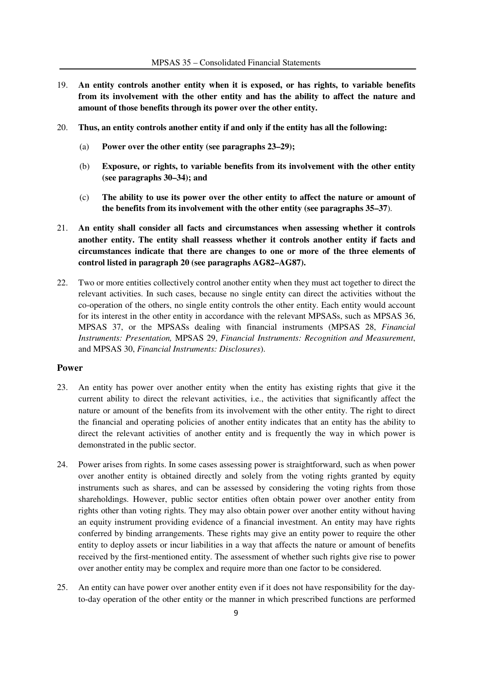- 19. **An entity controls another entity when it is exposed, or has rights, to variable benefits from its involvement with the other entity and has the ability to affect the nature and amount of those benefits through its power over the other entity.**
- 20. **Thus, an entity controls another entity if and only if the entity has all the following:** 
	- (a) **Power over the other entity (see paragraphs 23–29);**
	- (b) **Exposure, or rights, to variable benefits from its involvement with the other entity (see paragraphs 30–34); and**
	- (c) **The ability to use its power over the other entity to affect the nature or amount of the benefits from its involvement with the other entity (see paragraphs 35–37**).
- 21. **An entity shall consider all facts and circumstances when assessing whether it controls another entity. The entity shall reassess whether it controls another entity if facts and circumstances indicate that there are changes to one or more of the three elements of control listed in paragraph 20 (see paragraphs AG82–AG87).**
- 22. Two or more entities collectively control another entity when they must act together to direct the relevant activities. In such cases, because no single entity can direct the activities without the co-operation of the others, no single entity controls the other entity. Each entity would account for its interest in the other entity in accordance with the relevant MPSASs, such as MPSAS 36, MPSAS 37, or the MPSASs dealing with financial instruments (MPSAS 28, *Financial Instruments: Presentation,* MPSAS 29, *Financial Instruments: Recognition and Measurement*, and MPSAS 30, *Financial Instruments: Disclosures*).

#### **Power**

- 23. An entity has power over another entity when the entity has existing rights that give it the current ability to direct the relevant activities, i.e., the activities that significantly affect the nature or amount of the benefits from its involvement with the other entity. The right to direct the financial and operating policies of another entity indicates that an entity has the ability to direct the relevant activities of another entity and is frequently the way in which power is demonstrated in the public sector.
- 24. Power arises from rights. In some cases assessing power is straightforward, such as when power over another entity is obtained directly and solely from the voting rights granted by equity instruments such as shares, and can be assessed by considering the voting rights from those shareholdings. However, public sector entities often obtain power over another entity from rights other than voting rights. They may also obtain power over another entity without having an equity instrument providing evidence of a financial investment. An entity may have rights conferred by binding arrangements. These rights may give an entity power to require the other entity to deploy assets or incur liabilities in a way that affects the nature or amount of benefits received by the first-mentioned entity. The assessment of whether such rights give rise to power over another entity may be complex and require more than one factor to be considered.
- 25. An entity can have power over another entity even if it does not have responsibility for the dayto-day operation of the other entity or the manner in which prescribed functions are performed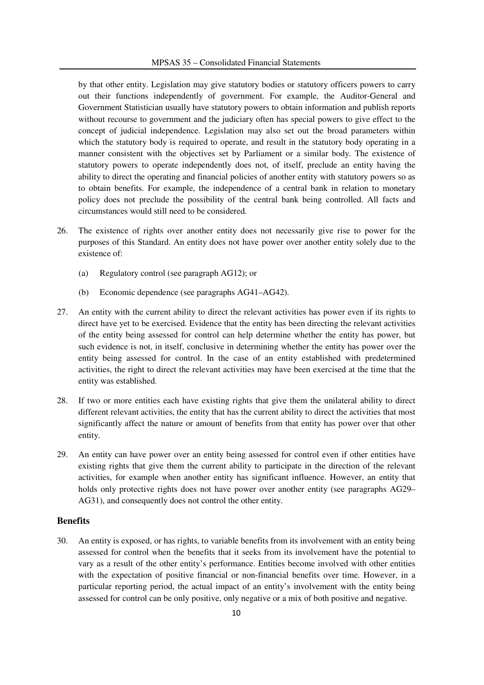by that other entity. Legislation may give statutory bodies or statutory officers powers to carry out their functions independently of government. For example, the Auditor-General and Government Statistician usually have statutory powers to obtain information and publish reports without recourse to government and the judiciary often has special powers to give effect to the concept of judicial independence. Legislation may also set out the broad parameters within which the statutory body is required to operate, and result in the statutory body operating in a manner consistent with the objectives set by Parliament or a similar body. The existence of statutory powers to operate independently does not, of itself, preclude an entity having the ability to direct the operating and financial policies of another entity with statutory powers so as to obtain benefits. For example, the independence of a central bank in relation to monetary policy does not preclude the possibility of the central bank being controlled. All facts and circumstances would still need to be considered.

- 26. The existence of rights over another entity does not necessarily give rise to power for the purposes of this Standard. An entity does not have power over another entity solely due to the existence of:
	- (a) Regulatory control (see paragraph AG12); or
	- (b) Economic dependence (see paragraphs AG41–AG42).
- 27. An entity with the current ability to direct the relevant activities has power even if its rights to direct have yet to be exercised. Evidence that the entity has been directing the relevant activities of the entity being assessed for control can help determine whether the entity has power, but such evidence is not, in itself, conclusive in determining whether the entity has power over the entity being assessed for control. In the case of an entity established with predetermined activities, the right to direct the relevant activities may have been exercised at the time that the entity was established.
- 28. If two or more entities each have existing rights that give them the unilateral ability to direct different relevant activities, the entity that has the current ability to direct the activities that most significantly affect the nature or amount of benefits from that entity has power over that other entity.
- 29. An entity can have power over an entity being assessed for control even if other entities have existing rights that give them the current ability to participate in the direction of the relevant activities, for example when another entity has significant influence. However, an entity that holds only protective rights does not have power over another entity (see paragraphs AG29– AG31), and consequently does not control the other entity.

#### **Benefits**

30. An entity is exposed, or has rights, to variable benefits from its involvement with an entity being assessed for control when the benefits that it seeks from its involvement have the potential to vary as a result of the other entity's performance. Entities become involved with other entities with the expectation of positive financial or non-financial benefits over time. However, in a particular reporting period, the actual impact of an entity's involvement with the entity being assessed for control can be only positive, only negative or a mix of both positive and negative.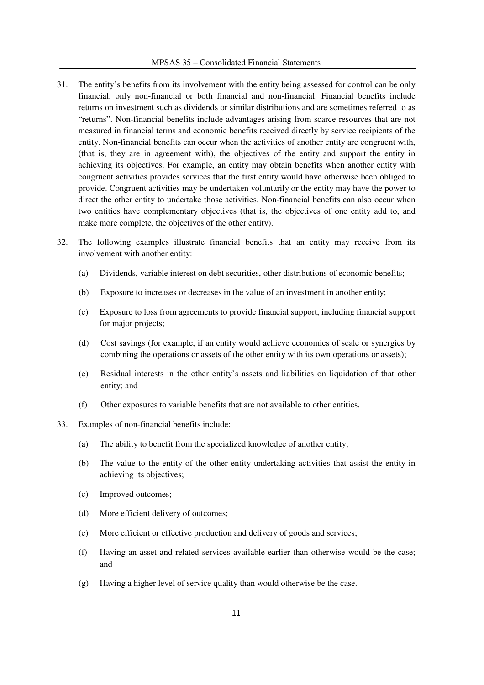- 31. The entity's benefits from its involvement with the entity being assessed for control can be only financial, only non-financial or both financial and non-financial. Financial benefits include returns on investment such as dividends or similar distributions and are sometimes referred to as "returns". Non-financial benefits include advantages arising from scarce resources that are not measured in financial terms and economic benefits received directly by service recipients of the entity. Non-financial benefits can occur when the activities of another entity are congruent with, (that is, they are in agreement with), the objectives of the entity and support the entity in achieving its objectives. For example, an entity may obtain benefits when another entity with congruent activities provides services that the first entity would have otherwise been obliged to provide. Congruent activities may be undertaken voluntarily or the entity may have the power to direct the other entity to undertake those activities. Non-financial benefits can also occur when two entities have complementary objectives (that is, the objectives of one entity add to, and make more complete, the objectives of the other entity).
- 32. The following examples illustrate financial benefits that an entity may receive from its involvement with another entity:
	- (a) Dividends, variable interest on debt securities, other distributions of economic benefits;
	- (b) Exposure to increases or decreases in the value of an investment in another entity;
	- (c) Exposure to loss from agreements to provide financial support, including financial support for major projects;
	- (d) Cost savings (for example, if an entity would achieve economies of scale or synergies by combining the operations or assets of the other entity with its own operations or assets);
	- (e) Residual interests in the other entity's assets and liabilities on liquidation of that other entity; and
	- (f) Other exposures to variable benefits that are not available to other entities.
- 33. Examples of non-financial benefits include:
	- (a) The ability to benefit from the specialized knowledge of another entity;
	- (b) The value to the entity of the other entity undertaking activities that assist the entity in achieving its objectives;
	- (c) Improved outcomes;
	- (d) More efficient delivery of outcomes;
	- (e) More efficient or effective production and delivery of goods and services;
	- (f) Having an asset and related services available earlier than otherwise would be the case; and
	- (g) Having a higher level of service quality than would otherwise be the case.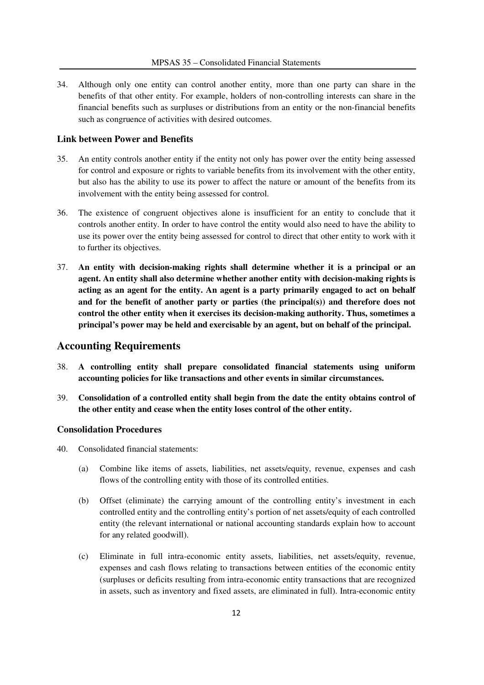34. Although only one entity can control another entity, more than one party can share in the benefits of that other entity. For example, holders of non-controlling interests can share in the financial benefits such as surpluses or distributions from an entity or the non-financial benefits such as congruence of activities with desired outcomes.

#### **Link between Power and Benefits**

- 35. An entity controls another entity if the entity not only has power over the entity being assessed for control and exposure or rights to variable benefits from its involvement with the other entity, but also has the ability to use its power to affect the nature or amount of the benefits from its involvement with the entity being assessed for control.
- 36. The existence of congruent objectives alone is insufficient for an entity to conclude that it controls another entity. In order to have control the entity would also need to have the ability to use its power over the entity being assessed for control to direct that other entity to work with it to further its objectives.
- 37. **An entity with decision-making rights shall determine whether it is a principal or an agent. An entity shall also determine whether another entity with decision-making rights is acting as an agent for the entity. An agent is a party primarily engaged to act on behalf and for the benefit of another party or parties (the principal(s)) and therefore does not control the other entity when it exercises its decision-making authority. Thus, sometimes a principal's power may be held and exercisable by an agent, but on behalf of the principal.**

#### **Accounting Requirements**

- 38. **A controlling entity shall prepare consolidated financial statements using uniform accounting policies for like transactions and other events in similar circumstances.**
- 39. **Consolidation of a controlled entity shall begin from the date the entity obtains control of the other entity and cease when the entity loses control of the other entity.**

#### **Consolidation Procedures**

- 40. Consolidated financial statements:
	- (a) Combine like items of assets, liabilities, net assets/equity, revenue, expenses and cash flows of the controlling entity with those of its controlled entities.
	- (b) Offset (eliminate) the carrying amount of the controlling entity's investment in each controlled entity and the controlling entity's portion of net assets/equity of each controlled entity (the relevant international or national accounting standards explain how to account for any related goodwill).
	- (c) Eliminate in full intra-economic entity assets, liabilities, net assets/equity, revenue, expenses and cash flows relating to transactions between entities of the economic entity (surpluses or deficits resulting from intra-economic entity transactions that are recognized in assets, such as inventory and fixed assets, are eliminated in full). Intra-economic entity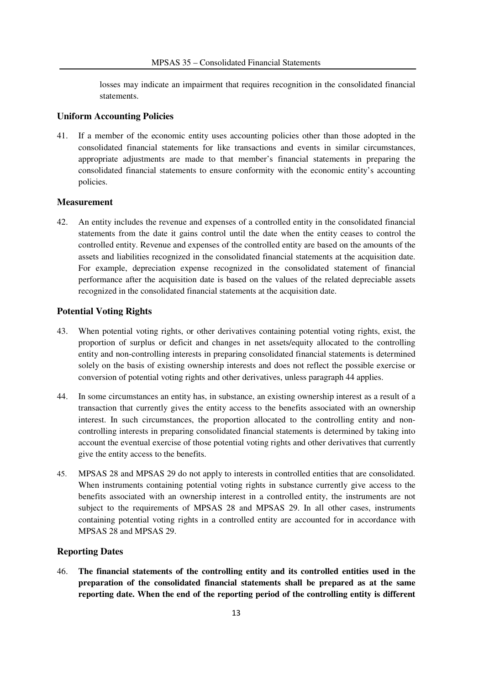losses may indicate an impairment that requires recognition in the consolidated financial statements.

#### **Uniform Accounting Policies**

41. If a member of the economic entity uses accounting policies other than those adopted in the consolidated financial statements for like transactions and events in similar circumstances, appropriate adjustments are made to that member's financial statements in preparing the consolidated financial statements to ensure conformity with the economic entity's accounting policies.

#### **Measurement**

42. An entity includes the revenue and expenses of a controlled entity in the consolidated financial statements from the date it gains control until the date when the entity ceases to control the controlled entity. Revenue and expenses of the controlled entity are based on the amounts of the assets and liabilities recognized in the consolidated financial statements at the acquisition date. For example, depreciation expense recognized in the consolidated statement of financial performance after the acquisition date is based on the values of the related depreciable assets recognized in the consolidated financial statements at the acquisition date.

#### **Potential Voting Rights**

- 43. When potential voting rights, or other derivatives containing potential voting rights, exist, the proportion of surplus or deficit and changes in net assets/equity allocated to the controlling entity and non-controlling interests in preparing consolidated financial statements is determined solely on the basis of existing ownership interests and does not reflect the possible exercise or conversion of potential voting rights and other derivatives, unless paragraph 44 applies.
- 44. In some circumstances an entity has, in substance, an existing ownership interest as a result of a transaction that currently gives the entity access to the benefits associated with an ownership interest. In such circumstances, the proportion allocated to the controlling entity and noncontrolling interests in preparing consolidated financial statements is determined by taking into account the eventual exercise of those potential voting rights and other derivatives that currently give the entity access to the benefits.
- 45. MPSAS 28 and MPSAS 29 do not apply to interests in controlled entities that are consolidated. When instruments containing potential voting rights in substance currently give access to the benefits associated with an ownership interest in a controlled entity, the instruments are not subject to the requirements of MPSAS 28 and MPSAS 29. In all other cases, instruments containing potential voting rights in a controlled entity are accounted for in accordance with MPSAS 28 and MPSAS 29.

#### **Reporting Dates**

46. **The financial statements of the controlling entity and its controlled entities used in the preparation of the consolidated financial statements shall be prepared as at the same reporting date. When the end of the reporting period of the controlling entity is different**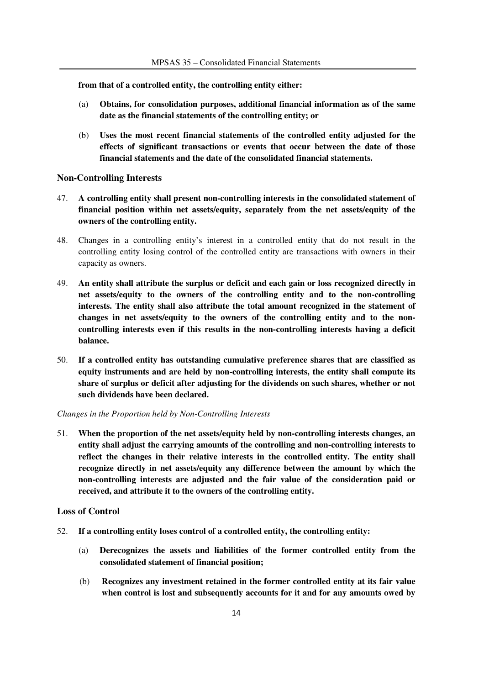**from that of a controlled entity, the controlling entity either:** 

- (a) **Obtains, for consolidation purposes, additional financial information as of the same date as the financial statements of the controlling entity; or**
- (b) **Uses the most recent financial statements of the controlled entity adjusted for the effects of significant transactions or events that occur between the date of those financial statements and the date of the consolidated financial statements.**

#### **Non-Controlling Interests**

- 47. **A controlling entity shall present non-controlling interests in the consolidated statement of financial position within net assets/equity, separately from the net assets/equity of the owners of the controlling entity.**
- 48. Changes in a controlling entity's interest in a controlled entity that do not result in the controlling entity losing control of the controlled entity are transactions with owners in their capacity as owners.
- 49. **An entity shall attribute the surplus or deficit and each gain or loss recognized directly in net assets/equity to the owners of the controlling entity and to the non-controlling interests. The entity shall also attribute the total amount recognized in the statement of changes in net assets/equity to the owners of the controlling entity and to the noncontrolling interests even if this results in the non-controlling interests having a deficit balance.**
- 50. **If a controlled entity has outstanding cumulative preference shares that are classified as equity instruments and are held by non-controlling interests, the entity shall compute its share of surplus or deficit after adjusting for the dividends on such shares, whether or not such dividends have been declared.**

#### *Changes in the Proportion held by Non-Controlling Interests*

51. **When the proportion of the net assets/equity held by non-controlling interests changes, an entity shall adjust the carrying amounts of the controlling and non-controlling interests to reflect the changes in their relative interests in the controlled entity. The entity shall recognize directly in net assets/equity any difference between the amount by which the non-controlling interests are adjusted and the fair value of the consideration paid or received, and attribute it to the owners of the controlling entity.** 

#### **Loss of Control**

- 52. **If a controlling entity loses control of a controlled entity, the controlling entity:** 
	- (a) **Derecognizes the assets and liabilities of the former controlled entity from the consolidated statement of financial position;**
	- (b) **Recognizes any investment retained in the former controlled entity at its fair value when control is lost and subsequently accounts for it and for any amounts owed by**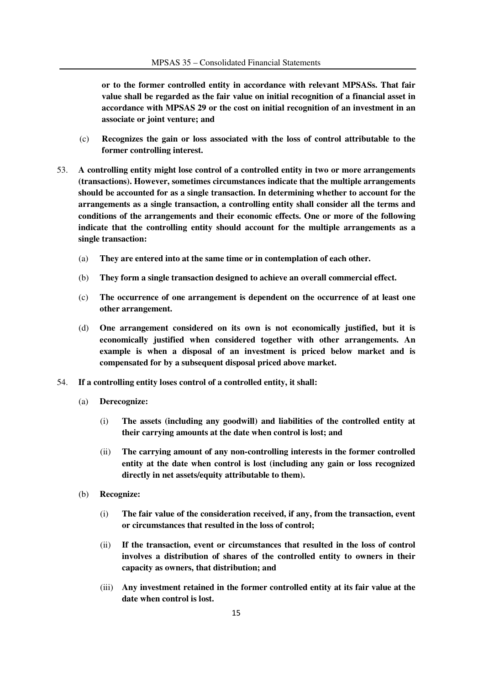**or to the former controlled entity in accordance with relevant MPSASs. That fair value shall be regarded as the fair value on initial recognition of a financial asset in accordance with MPSAS 29 or the cost on initial recognition of an investment in an associate or joint venture; and** 

- (c) **Recognizes the gain or loss associated with the loss of control attributable to the former controlling interest.**
- 53. **A controlling entity might lose control of a controlled entity in two or more arrangements (transactions). However, sometimes circumstances indicate that the multiple arrangements should be accounted for as a single transaction. In determining whether to account for the arrangements as a single transaction, a controlling entity shall consider all the terms and conditions of the arrangements and their economic effects. One or more of the following indicate that the controlling entity should account for the multiple arrangements as a single transaction:** 
	- (a) **They are entered into at the same time or in contemplation of each other.**
	- (b) **They form a single transaction designed to achieve an overall commercial effect.**
	- (c) **The occurrence of one arrangement is dependent on the occurrence of at least one other arrangement.**
	- (d) **One arrangement considered on its own is not economically justified, but it is economically justified when considered together with other arrangements. An example is when a disposal of an investment is priced below market and is compensated for by a subsequent disposal priced above market.**
- 54. **If a controlling entity loses control of a controlled entity, it shall:** 
	- (a) **Derecognize:** 
		- (i) **The assets (including any goodwill) and liabilities of the controlled entity at their carrying amounts at the date when control is lost; and**
		- (ii) **The carrying amount of any non-controlling interests in the former controlled entity at the date when control is lost (including any gain or loss recognized directly in net assets/equity attributable to them).**
	- (b) **Recognize:** 
		- (i) **The fair value of the consideration received, if any, from the transaction, event or circumstances that resulted in the loss of control;**
		- (ii) **If the transaction, event or circumstances that resulted in the loss of control involves a distribution of shares of the controlled entity to owners in their capacity as owners, that distribution; and**
		- (iii) **Any investment retained in the former controlled entity at its fair value at the date when control is lost.**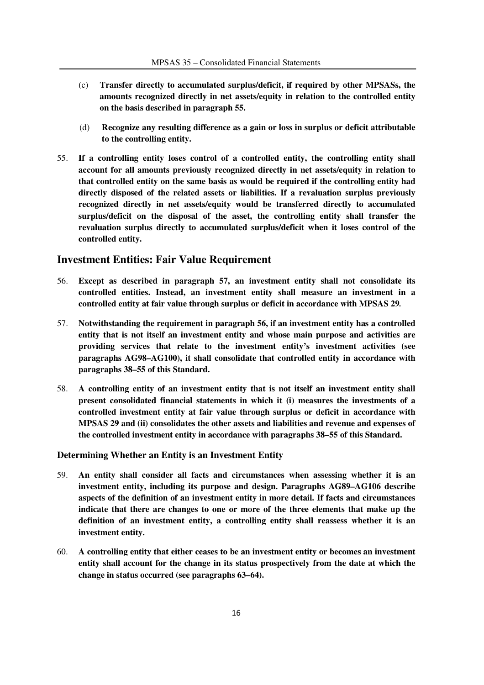- (c) **Transfer directly to accumulated surplus/deficit, if required by other MPSASs, the amounts recognized directly in net assets/equity in relation to the controlled entity on the basis described in paragraph 55.**
- (d) **Recognize any resulting difference as a gain or loss in surplus or deficit attributable to the controlling entity.**
- 55. **If a controlling entity loses control of a controlled entity, the controlling entity shall account for all amounts previously recognized directly in net assets/equity in relation to that controlled entity on the same basis as would be required if the controlling entity had directly disposed of the related assets or liabilities. If a revaluation surplus previously recognized directly in net assets/equity would be transferred directly to accumulated surplus/deficit on the disposal of the asset, the controlling entity shall transfer the revaluation surplus directly to accumulated surplus/deficit when it loses control of the controlled entity.**

#### **Investment Entities: Fair Value Requirement**

- 56. **Except as described in paragraph 57, an investment entity shall not consolidate its controlled entities. Instead, an investment entity shall measure an investment in a controlled entity at fair value through surplus or deficit in accordance with MPSAS 29***.*
- 57. **Notwithstanding the requirement in paragraph 56, if an investment entity has a controlled entity that is not itself an investment entity and whose main purpose and activities are providing services that relate to the investment entity's investment activities (see paragraphs AG98–AG100), it shall consolidate that controlled entity in accordance with paragraphs 38–55 of this Standard.**
- 58. **A controlling entity of an investment entity that is not itself an investment entity shall present consolidated financial statements in which it (i) measures the investments of a controlled investment entity at fair value through surplus or deficit in accordance with MPSAS 29 and (ii) consolidates the other assets and liabilities and revenue and expenses of the controlled investment entity in accordance with paragraphs 38–55 of this Standard.**

#### **Determining Whether an Entity is an Investment Entity**

- 59. **An entity shall consider all facts and circumstances when assessing whether it is an investment entity, including its purpose and design. Paragraphs AG89–AG106 describe aspects of the definition of an investment entity in more detail. If facts and circumstances indicate that there are changes to one or more of the three elements that make up the definition of an investment entity, a controlling entity shall reassess whether it is an investment entity.**
- 60. **A controlling entity that either ceases to be an investment entity or becomes an investment entity shall account for the change in its status prospectively from the date at which the change in status occurred (see paragraphs 63–64).**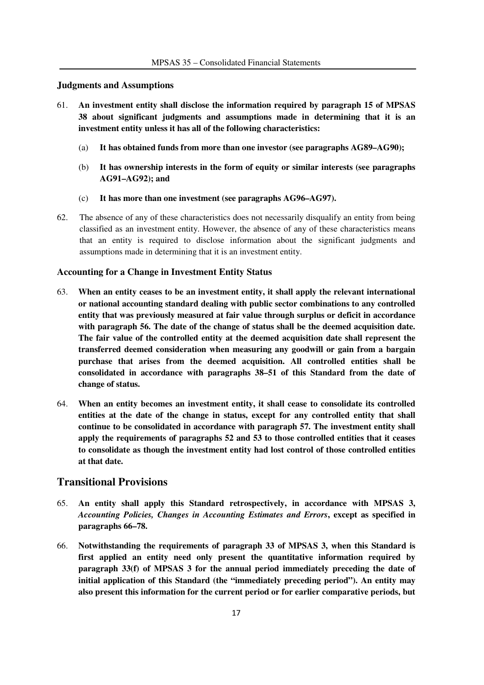#### **Judgments and Assumptions**

- 61. **An investment entity shall disclose the information required by paragraph 15 of MPSAS 38 about significant judgments and assumptions made in determining that it is an investment entity unless it has all of the following characteristics:** 
	- (a) **It has obtained funds from more than one investor (see paragraphs AG89–AG90);**
	- (b) **It has ownership interests in the form of equity or similar interests (see paragraphs AG91–AG92); and**
	- (c) **It has more than one investment (see paragraphs AG96–AG97).**
- 62. The absence of any of these characteristics does not necessarily disqualify an entity from being classified as an investment entity. However, the absence of any of these characteristics means that an entity is required to disclose information about the significant judgments and assumptions made in determining that it is an investment entity.

#### **Accounting for a Change in Investment Entity Status**

- 63. **When an entity ceases to be an investment entity, it shall apply the relevant international or national accounting standard dealing with public sector combinations to any controlled entity that was previously measured at fair value through surplus or deficit in accordance with paragraph 56. The date of the change of status shall be the deemed acquisition date. The fair value of the controlled entity at the deemed acquisition date shall represent the transferred deemed consideration when measuring any goodwill or gain from a bargain purchase that arises from the deemed acquisition. All controlled entities shall be consolidated in accordance with paragraphs 38–51 of this Standard from the date of change of status.**
- 64. **When an entity becomes an investment entity, it shall cease to consolidate its controlled entities at the date of the change in status, except for any controlled entity that shall continue to be consolidated in accordance with paragraph 57. The investment entity shall apply the requirements of paragraphs 52 and 53 to those controlled entities that it ceases to consolidate as though the investment entity had lost control of those controlled entities at that date.**

# **Transitional Provisions**

- 65. **An entity shall apply this Standard retrospectively, in accordance with MPSAS 3,**  *Accounting Policies, Changes in Accounting Estimates and Errors***, except as specified in paragraphs 66–78.**
- 66. **Notwithstanding the requirements of paragraph 33 of MPSAS 3, when this Standard is first applied an entity need only present the quantitative information required by paragraph 33(f) of MPSAS 3 for the annual period immediately preceding the date of initial application of this Standard (the "immediately preceding period"). An entity may also present this information for the current period or for earlier comparative periods, but**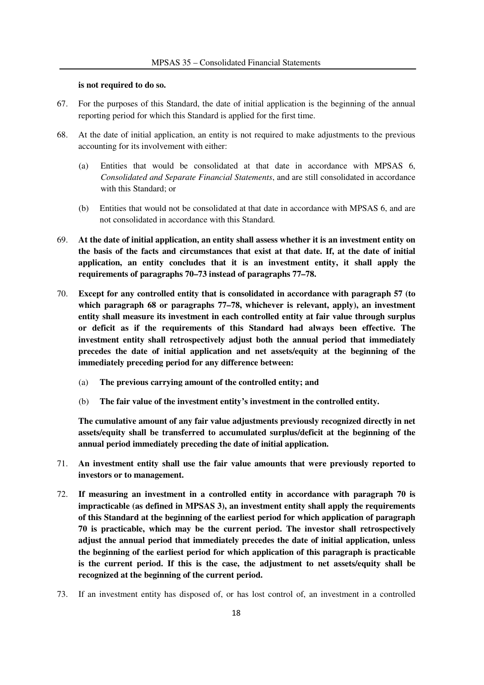#### **is not required to do so.**

- 67. For the purposes of this Standard, the date of initial application is the beginning of the annual reporting period for which this Standard is applied for the first time.
- 68. At the date of initial application, an entity is not required to make adjustments to the previous accounting for its involvement with either:
	- (a) Entities that would be consolidated at that date in accordance with MPSAS 6, *Consolidated and Separate Financial Statements*, and are still consolidated in accordance with this Standard; or
	- (b) Entities that would not be consolidated at that date in accordance with MPSAS 6, and are not consolidated in accordance with this Standard.
- 69. **At the date of initial application, an entity shall assess whether it is an investment entity on the basis of the facts and circumstances that exist at that date. If, at the date of initial application, an entity concludes that it is an investment entity, it shall apply the requirements of paragraphs 70–73 instead of paragraphs 77–78.**
- 70. **Except for any controlled entity that is consolidated in accordance with paragraph 57 (to which paragraph 68 or paragraphs 77–78, whichever is relevant, apply), an investment entity shall measure its investment in each controlled entity at fair value through surplus or deficit as if the requirements of this Standard had always been effective. The investment entity shall retrospectively adjust both the annual period that immediately precedes the date of initial application and net assets/equity at the beginning of the immediately preceding period for any difference between:** 
	- (a) **The previous carrying amount of the controlled entity; and**
	- (b) **The fair value of the investment entity's investment in the controlled entity.**

**The cumulative amount of any fair value adjustments previously recognized directly in net assets/equity shall be transferred to accumulated surplus/deficit at the beginning of the annual period immediately preceding the date of initial application.**

- 71. **An investment entity shall use the fair value amounts that were previously reported to investors or to management.**
- 72. **If measuring an investment in a controlled entity in accordance with paragraph 70 is impracticable (as defined in MPSAS 3), an investment entity shall apply the requirements of this Standard at the beginning of the earliest period for which application of paragraph 70 is practicable, which may be the current period. The investor shall retrospectively adjust the annual period that immediately precedes the date of initial application, unless the beginning of the earliest period for which application of this paragraph is practicable is the current period. If this is the case, the adjustment to net assets/equity shall be recognized at the beginning of the current period.**
- 73. If an investment entity has disposed of, or has lost control of, an investment in a controlled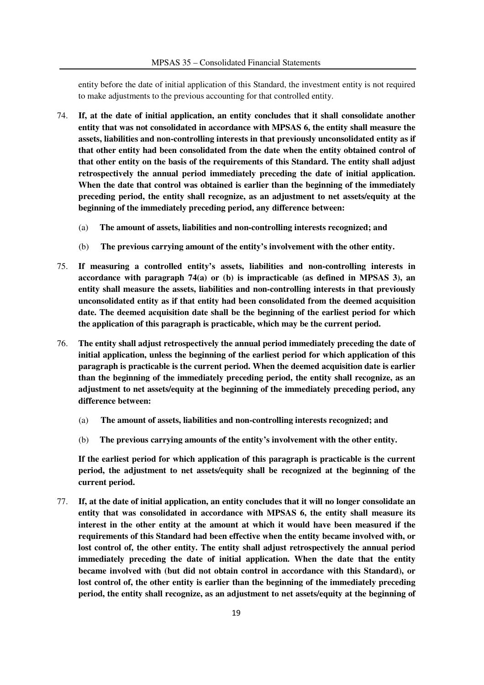entity before the date of initial application of this Standard, the investment entity is not required to make adjustments to the previous accounting for that controlled entity.

- 74. **If, at the date of initial application, an entity concludes that it shall consolidate another entity that was not consolidated in accordance with MPSAS 6, the entity shall measure the assets, liabilities and non-controlling interests in that previously unconsolidated entity as if that other entity had been consolidated from the date when the entity obtained control of that other entity on the basis of the requirements of this Standard. The entity shall adjust retrospectively the annual period immediately preceding the date of initial application. When the date that control was obtained is earlier than the beginning of the immediately preceding period, the entity shall recognize, as an adjustment to net assets/equity at the beginning of the immediately preceding period, any difference between:** 
	- (a) **The amount of assets, liabilities and non-controlling interests recognized; and**
	- (b) **The previous carrying amount of the entity's involvement with the other entity.**
- 75. **If measuring a controlled entity's assets, liabilities and non-controlling interests in accordance with paragraph 74(a) or (b) is impracticable (as defined in MPSAS 3), an entity shall measure the assets, liabilities and non-controlling interests in that previously unconsolidated entity as if that entity had been consolidated from the deemed acquisition date. The deemed acquisition date shall be the beginning of the earliest period for which the application of this paragraph is practicable, which may be the current period.**
- 76. **The entity shall adjust retrospectively the annual period immediately preceding the date of initial application, unless the beginning of the earliest period for which application of this paragraph is practicable is the current period. When the deemed acquisition date is earlier than the beginning of the immediately preceding period, the entity shall recognize, as an adjustment to net assets/equity at the beginning of the immediately preceding period, any difference between:** 
	- (a) **The amount of assets, liabilities and non-controlling interests recognized; and**
	- (b) **The previous carrying amounts of the entity's involvement with the other entity.**

**If the earliest period for which application of this paragraph is practicable is the current period, the adjustment to net assets/equity shall be recognized at the beginning of the current period.**

77. **If, at the date of initial application, an entity concludes that it will no longer consolidate an entity that was consolidated in accordance with MPSAS 6, the entity shall measure its interest in the other entity at the amount at which it would have been measured if the requirements of this Standard had been effective when the entity became involved with, or lost control of, the other entity. The entity shall adjust retrospectively the annual period immediately preceding the date of initial application. When the date that the entity became involved with (but did not obtain control in accordance with this Standard), or lost control of, the other entity is earlier than the beginning of the immediately preceding period, the entity shall recognize, as an adjustment to net assets/equity at the beginning of**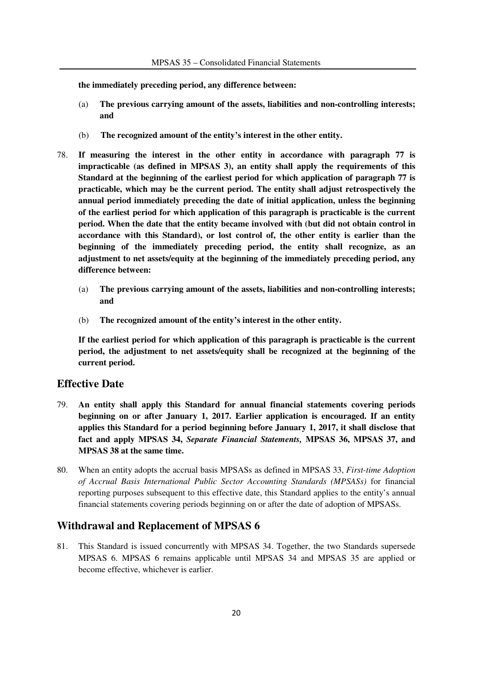**the immediately preceding period, any difference between:** 

- (a) **The previous carrying amount of the assets, liabilities and non-controlling interests; and**
- (b) **The recognized amount of the entity's interest in the other entity.**
- 78. **If measuring the interest in the other entity in accordance with paragraph 77 is impracticable (as defined in MPSAS 3), an entity shall apply the requirements of this Standard at the beginning of the earliest period for which application of paragraph 77 is practicable, which may be the current period. The entity shall adjust retrospectively the annual period immediately preceding the date of initial application, unless the beginning of the earliest period for which application of this paragraph is practicable is the current period. When the date that the entity became involved with (but did not obtain control in accordance with this Standard), or lost control of, the other entity is earlier than the beginning of the immediately preceding period, the entity shall recognize, as an adjustment to net assets/equity at the beginning of the immediately preceding period, any difference between:** 
	- (a) **The previous carrying amount of the assets, liabilities and non-controlling interests; and**
	- (b) **The recognized amount of the entity's interest in the other entity.**

**If the earliest period for which application of this paragraph is practicable is the current period, the adjustment to net assets/equity shall be recognized at the beginning of the current period.**

# **Effective Date**

- 79. **An entity shall apply this Standard for annual financial statements covering periods beginning on or after January 1, 2017. Earlier application is encouraged. If an entity applies this Standard for a period beginning before January 1, 2017, it shall disclose that fact and apply MPSAS 34,** *Separate Financial Statements,* **MPSAS 36, MPSAS 37, and MPSAS 38 at the same time.**
- 80. When an entity adopts the accrual basis MPSASs as defined in MPSAS 33, *First-time Adoption of Accrual Basis International Public Sector Accounting Standards (MPSASs)* for financial reporting purposes subsequent to this effective date, this Standard applies to the entity's annual financial statements covering periods beginning on or after the date of adoption of MPSASs.

# **Withdrawal and Replacement of MPSAS 6**

81. This Standard is issued concurrently with MPSAS 34. Together, the two Standards supersede MPSAS 6. MPSAS 6 remains applicable until MPSAS 34 and MPSAS 35 are applied or become effective, whichever is earlier.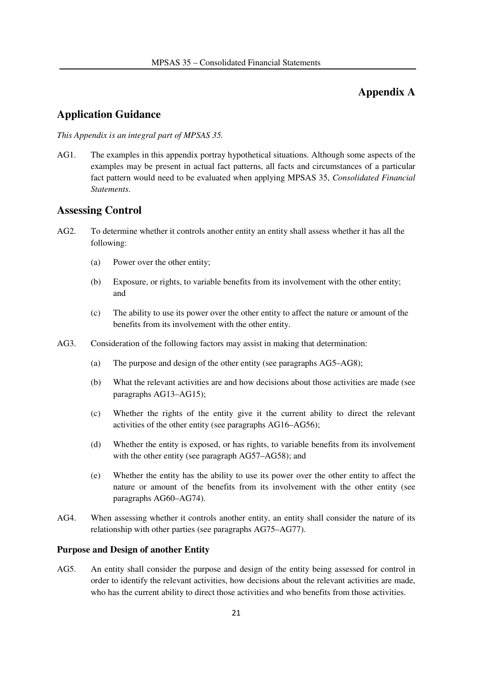# **Appendix A**

# **Application Guidance**

#### *This Appendix is an integral part of MPSAS 35.*

AG1. The examples in this appendix portray hypothetical situations. Although some aspects of the examples may be present in actual fact patterns, all facts and circumstances of a particular fact pattern would need to be evaluated when applying MPSAS 35, *Consolidated Financial Statements*.

## **Assessing Control**

- AG2. To determine whether it controls another entity an entity shall assess whether it has all the following:
	- (a) Power over the other entity;
	- (b) Exposure, or rights, to variable benefits from its involvement with the other entity; and
	- (c) The ability to use its power over the other entity to affect the nature or amount of the benefits from its involvement with the other entity.
- AG3. Consideration of the following factors may assist in making that determination:
	- (a) The purpose and design of the other entity (see paragraphs AG5–AG8);
	- (b) What the relevant activities are and how decisions about those activities are made (see paragraphs AG13–AG15);
	- (c) Whether the rights of the entity give it the current ability to direct the relevant activities of the other entity (see paragraphs AG16–AG56);
	- (d) Whether the entity is exposed, or has rights, to variable benefits from its involvement with the other entity (see paragraph AG57–AG58); and
	- (e) Whether the entity has the ability to use its power over the other entity to affect the nature or amount of the benefits from its involvement with the other entity (see paragraphs AG60–AG74).
- AG4. When assessing whether it controls another entity, an entity shall consider the nature of its relationship with other parties (see paragraphs AG75–AG77).

#### **Purpose and Design of another Entity**

AG5. An entity shall consider the purpose and design of the entity being assessed for control in order to identify the relevant activities, how decisions about the relevant activities are made, who has the current ability to direct those activities and who benefits from those activities.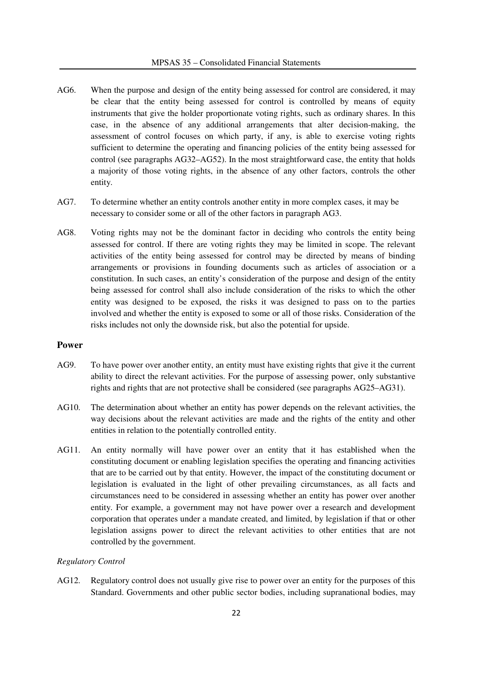- AG6. When the purpose and design of the entity being assessed for control are considered, it may be clear that the entity being assessed for control is controlled by means of equity instruments that give the holder proportionate voting rights, such as ordinary shares. In this case, in the absence of any additional arrangements that alter decision-making, the assessment of control focuses on which party, if any, is able to exercise voting rights sufficient to determine the operating and financing policies of the entity being assessed for control (see paragraphs AG32–AG52). In the most straightforward case, the entity that holds a majority of those voting rights, in the absence of any other factors, controls the other entity.
- AG7. To determine whether an entity controls another entity in more complex cases, it may be necessary to consider some or all of the other factors in paragraph AG3.
- AG8. Voting rights may not be the dominant factor in deciding who controls the entity being assessed for control. If there are voting rights they may be limited in scope. The relevant activities of the entity being assessed for control may be directed by means of binding arrangements or provisions in founding documents such as articles of association or a constitution. In such cases, an entity's consideration of the purpose and design of the entity being assessed for control shall also include consideration of the risks to which the other entity was designed to be exposed, the risks it was designed to pass on to the parties involved and whether the entity is exposed to some or all of those risks. Consideration of the risks includes not only the downside risk, but also the potential for upside.

#### **Power**

- AG9. To have power over another entity, an entity must have existing rights that give it the current ability to direct the relevant activities. For the purpose of assessing power, only substantive rights and rights that are not protective shall be considered (see paragraphs AG25–AG31).
- AG10. The determination about whether an entity has power depends on the relevant activities, the way decisions about the relevant activities are made and the rights of the entity and other entities in relation to the potentially controlled entity.
- AG11. An entity normally will have power over an entity that it has established when the constituting document or enabling legislation specifies the operating and financing activities that are to be carried out by that entity. However, the impact of the constituting document or legislation is evaluated in the light of other prevailing circumstances, as all facts and circumstances need to be considered in assessing whether an entity has power over another entity. For example, a government may not have power over a research and development corporation that operates under a mandate created, and limited, by legislation if that or other legislation assigns power to direct the relevant activities to other entities that are not controlled by the government.

#### *Regulatory Control*

AG12. Regulatory control does not usually give rise to power over an entity for the purposes of this Standard. Governments and other public sector bodies, including supranational bodies, may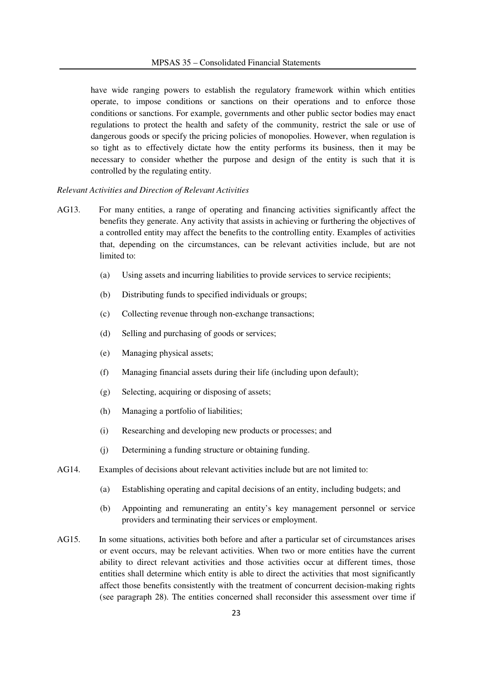have wide ranging powers to establish the regulatory framework within which entities operate, to impose conditions or sanctions on their operations and to enforce those conditions or sanctions. For example, governments and other public sector bodies may enact regulations to protect the health and safety of the community, restrict the sale or use of dangerous goods or specify the pricing policies of monopolies. However, when regulation is so tight as to effectively dictate how the entity performs its business, then it may be necessary to consider whether the purpose and design of the entity is such that it is controlled by the regulating entity.

#### *Relevant Activities and Direction of Relevant Activities*

- AG13. For many entities, a range of operating and financing activities significantly affect the benefits they generate. Any activity that assists in achieving or furthering the objectives of a controlled entity may affect the benefits to the controlling entity. Examples of activities that, depending on the circumstances, can be relevant activities include, but are not limited to:
	- (a) Using assets and incurring liabilities to provide services to service recipients;
	- (b) Distributing funds to specified individuals or groups;
	- (c) Collecting revenue through non-exchange transactions;
	- (d) Selling and purchasing of goods or services;
	- (e) Managing physical assets;
	- (f) Managing financial assets during their life (including upon default);
	- (g) Selecting, acquiring or disposing of assets;
	- (h) Managing a portfolio of liabilities;
	- (i) Researching and developing new products or processes; and
	- (j) Determining a funding structure or obtaining funding.
- AG14. Examples of decisions about relevant activities include but are not limited to:
	- (a) Establishing operating and capital decisions of an entity, including budgets; and
	- (b) Appointing and remunerating an entity's key management personnel or service providers and terminating their services or employment.
- AG15. In some situations, activities both before and after a particular set of circumstances arises or event occurs, may be relevant activities. When two or more entities have the current ability to direct relevant activities and those activities occur at different times, those entities shall determine which entity is able to direct the activities that most significantly affect those benefits consistently with the treatment of concurrent decision-making rights (see paragraph 28). The entities concerned shall reconsider this assessment over time if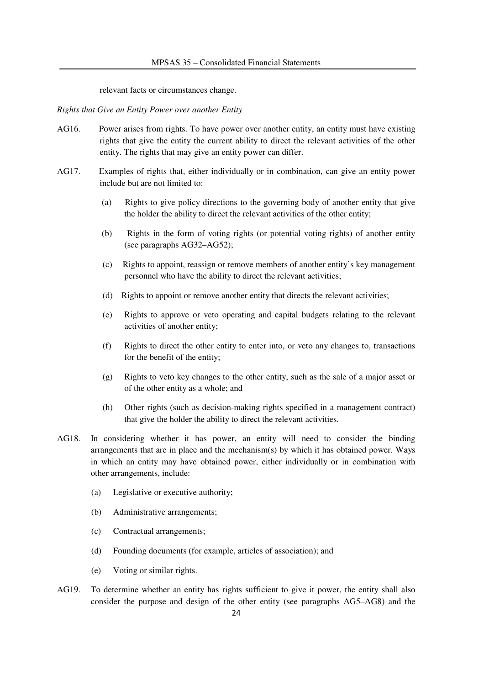relevant facts or circumstances change.

#### *Rights that Give an Entity Power over another Entity*

- AG16. Power arises from rights. To have power over another entity, an entity must have existing rights that give the entity the current ability to direct the relevant activities of the other entity. The rights that may give an entity power can differ.
- AG17. Examples of rights that, either individually or in combination, can give an entity power include but are not limited to:
	- (a) Rights to give policy directions to the governing body of another entity that give the holder the ability to direct the relevant activities of the other entity;
	- (b) Rights in the form of voting rights (or potential voting rights) of another entity (see paragraphs AG32–AG52);
	- (c) Rights to appoint, reassign or remove members of another entity's key management personnel who have the ability to direct the relevant activities;
	- (d) Rights to appoint or remove another entity that directs the relevant activities;
	- (e) Rights to approve or veto operating and capital budgets relating to the relevant activities of another entity;
	- (f) Rights to direct the other entity to enter into, or veto any changes to, transactions for the benefit of the entity;
	- (g) Rights to veto key changes to the other entity, such as the sale of a major asset or of the other entity as a whole; and
	- (h) Other rights (such as decision-making rights specified in a management contract) that give the holder the ability to direct the relevant activities.
- AG18. In considering whether it has power, an entity will need to consider the binding arrangements that are in place and the mechanism $(s)$  by which it has obtained power. Ways in which an entity may have obtained power, either individually or in combination with other arrangements, include:
	- (a) Legislative or executive authority;
	- (b) Administrative arrangements;
	- (c) Contractual arrangements;
	- (d) Founding documents (for example, articles of association); and
	- (e) Voting or similar rights.
- AG19. To determine whether an entity has rights sufficient to give it power, the entity shall also consider the purpose and design of the other entity (see paragraphs AG5–AG8) and the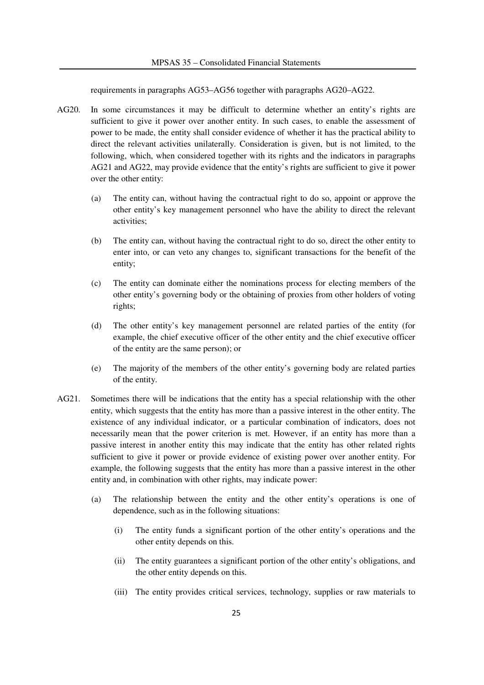requirements in paragraphs AG53–AG56 together with paragraphs AG20–AG22.

- AG20. In some circumstances it may be difficult to determine whether an entity's rights are sufficient to give it power over another entity. In such cases, to enable the assessment of power to be made, the entity shall consider evidence of whether it has the practical ability to direct the relevant activities unilaterally. Consideration is given, but is not limited, to the following, which, when considered together with its rights and the indicators in paragraphs AG21 and AG22, may provide evidence that the entity's rights are sufficient to give it power over the other entity:
	- (a) The entity can, without having the contractual right to do so, appoint or approve the other entity's key management personnel who have the ability to direct the relevant activities;
	- (b) The entity can, without having the contractual right to do so, direct the other entity to enter into, or can veto any changes to, significant transactions for the benefit of the entity;
	- (c) The entity can dominate either the nominations process for electing members of the other entity's governing body or the obtaining of proxies from other holders of voting rights;
	- (d) The other entity's key management personnel are related parties of the entity (for example, the chief executive officer of the other entity and the chief executive officer of the entity are the same person); or
	- (e) The majority of the members of the other entity's governing body are related parties of the entity.
- AG21. Sometimes there will be indications that the entity has a special relationship with the other entity, which suggests that the entity has more than a passive interest in the other entity. The existence of any individual indicator, or a particular combination of indicators, does not necessarily mean that the power criterion is met. However, if an entity has more than a passive interest in another entity this may indicate that the entity has other related rights sufficient to give it power or provide evidence of existing power over another entity. For example, the following suggests that the entity has more than a passive interest in the other entity and, in combination with other rights, may indicate power:
	- (a) The relationship between the entity and the other entity's operations is one of dependence, such as in the following situations:
		- (i) The entity funds a significant portion of the other entity's operations and the other entity depends on this.
		- (ii) The entity guarantees a significant portion of the other entity's obligations, and the other entity depends on this.
		- (iii) The entity provides critical services, technology, supplies or raw materials to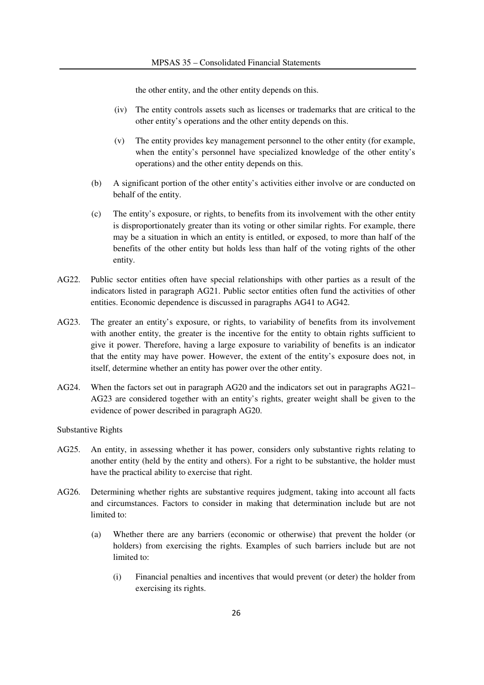the other entity, and the other entity depends on this.

- (iv) The entity controls assets such as licenses or trademarks that are critical to the other entity's operations and the other entity depends on this.
- (v) The entity provides key management personnel to the other entity (for example, when the entity's personnel have specialized knowledge of the other entity's operations) and the other entity depends on this.
- (b) A significant portion of the other entity's activities either involve or are conducted on behalf of the entity.
- (c) The entity's exposure, or rights, to benefits from its involvement with the other entity is disproportionately greater than its voting or other similar rights. For example, there may be a situation in which an entity is entitled, or exposed, to more than half of the benefits of the other entity but holds less than half of the voting rights of the other entity.
- AG22. Public sector entities often have special relationships with other parties as a result of the indicators listed in paragraph AG21. Public sector entities often fund the activities of other entities. Economic dependence is discussed in paragraphs AG41 to AG42.
- AG23. The greater an entity's exposure, or rights, to variability of benefits from its involvement with another entity, the greater is the incentive for the entity to obtain rights sufficient to give it power. Therefore, having a large exposure to variability of benefits is an indicator that the entity may have power. However, the extent of the entity's exposure does not, in itself, determine whether an entity has power over the other entity.
- AG24. When the factors set out in paragraph AG20 and the indicators set out in paragraphs AG21– AG23 are considered together with an entity's rights, greater weight shall be given to the evidence of power described in paragraph AG20.

Substantive Rights

- AG25. An entity, in assessing whether it has power, considers only substantive rights relating to another entity (held by the entity and others). For a right to be substantive, the holder must have the practical ability to exercise that right.
- AG26. Determining whether rights are substantive requires judgment, taking into account all facts and circumstances. Factors to consider in making that determination include but are not limited to:
	- (a) Whether there are any barriers (economic or otherwise) that prevent the holder (or holders) from exercising the rights. Examples of such barriers include but are not limited to:
		- (i) Financial penalties and incentives that would prevent (or deter) the holder from exercising its rights.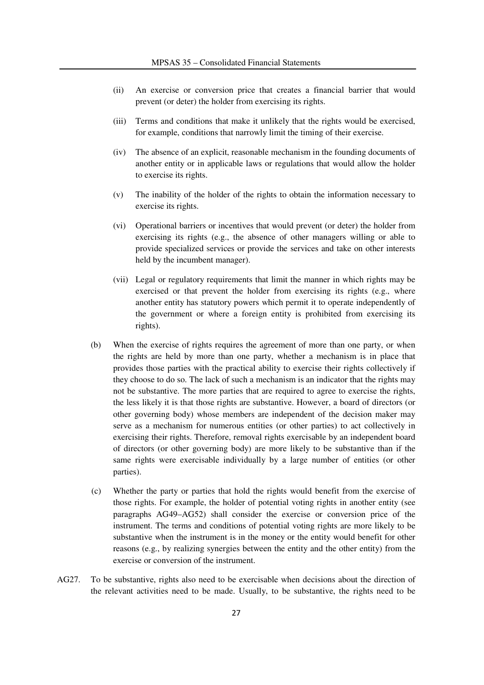- (ii) An exercise or conversion price that creates a financial barrier that would prevent (or deter) the holder from exercising its rights.
- (iii) Terms and conditions that make it unlikely that the rights would be exercised, for example, conditions that narrowly limit the timing of their exercise.
- (iv) The absence of an explicit, reasonable mechanism in the founding documents of another entity or in applicable laws or regulations that would allow the holder to exercise its rights.
- (v) The inability of the holder of the rights to obtain the information necessary to exercise its rights.
- (vi) Operational barriers or incentives that would prevent (or deter) the holder from exercising its rights (e.g., the absence of other managers willing or able to provide specialized services or provide the services and take on other interests held by the incumbent manager).
- (vii) Legal or regulatory requirements that limit the manner in which rights may be exercised or that prevent the holder from exercising its rights (e.g., where another entity has statutory powers which permit it to operate independently of the government or where a foreign entity is prohibited from exercising its rights).
- (b) When the exercise of rights requires the agreement of more than one party, or when the rights are held by more than one party, whether a mechanism is in place that provides those parties with the practical ability to exercise their rights collectively if they choose to do so. The lack of such a mechanism is an indicator that the rights may not be substantive. The more parties that are required to agree to exercise the rights, the less likely it is that those rights are substantive. However, a board of directors (or other governing body) whose members are independent of the decision maker may serve as a mechanism for numerous entities (or other parties) to act collectively in exercising their rights. Therefore, removal rights exercisable by an independent board of directors (or other governing body) are more likely to be substantive than if the same rights were exercisable individually by a large number of entities (or other parties).
- (c) Whether the party or parties that hold the rights would benefit from the exercise of those rights. For example, the holder of potential voting rights in another entity (see paragraphs AG49–AG52) shall consider the exercise or conversion price of the instrument. The terms and conditions of potential voting rights are more likely to be substantive when the instrument is in the money or the entity would benefit for other reasons (e.g., by realizing synergies between the entity and the other entity) from the exercise or conversion of the instrument.
- AG27. To be substantive, rights also need to be exercisable when decisions about the direction of the relevant activities need to be made. Usually, to be substantive, the rights need to be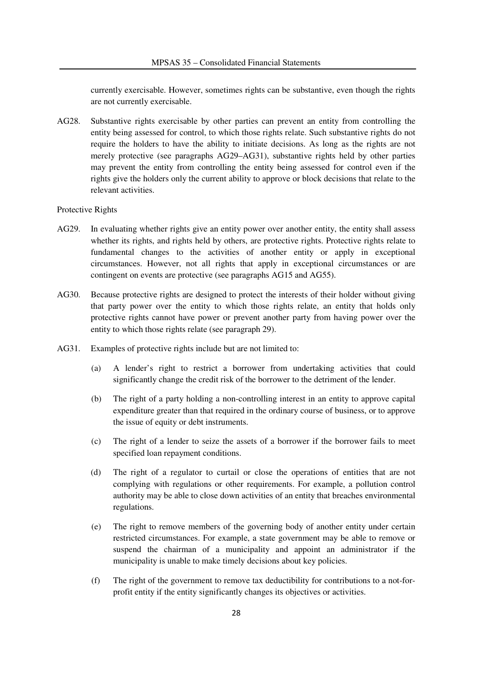currently exercisable. However, sometimes rights can be substantive, even though the rights are not currently exercisable.

AG28. Substantive rights exercisable by other parties can prevent an entity from controlling the entity being assessed for control, to which those rights relate. Such substantive rights do not require the holders to have the ability to initiate decisions. As long as the rights are not merely protective (see paragraphs AG29–AG31), substantive rights held by other parties may prevent the entity from controlling the entity being assessed for control even if the rights give the holders only the current ability to approve or block decisions that relate to the relevant activities.

#### Protective Rights

- AG29. In evaluating whether rights give an entity power over another entity, the entity shall assess whether its rights, and rights held by others, are protective rights. Protective rights relate to fundamental changes to the activities of another entity or apply in exceptional circumstances. However, not all rights that apply in exceptional circumstances or are contingent on events are protective (see paragraphs AG15 and AG55).
- AG30. Because protective rights are designed to protect the interests of their holder without giving that party power over the entity to which those rights relate, an entity that holds only protective rights cannot have power or prevent another party from having power over the entity to which those rights relate (see paragraph 29).
- AG31. Examples of protective rights include but are not limited to:
	- (a) A lender's right to restrict a borrower from undertaking activities that could significantly change the credit risk of the borrower to the detriment of the lender.
	- (b) The right of a party holding a non-controlling interest in an entity to approve capital expenditure greater than that required in the ordinary course of business, or to approve the issue of equity or debt instruments.
	- (c) The right of a lender to seize the assets of a borrower if the borrower fails to meet specified loan repayment conditions.
	- (d) The right of a regulator to curtail or close the operations of entities that are not complying with regulations or other requirements. For example, a pollution control authority may be able to close down activities of an entity that breaches environmental regulations.
	- (e) The right to remove members of the governing body of another entity under certain restricted circumstances. For example, a state government may be able to remove or suspend the chairman of a municipality and appoint an administrator if the municipality is unable to make timely decisions about key policies.
	- (f) The right of the government to remove tax deductibility for contributions to a not-forprofit entity if the entity significantly changes its objectives or activities.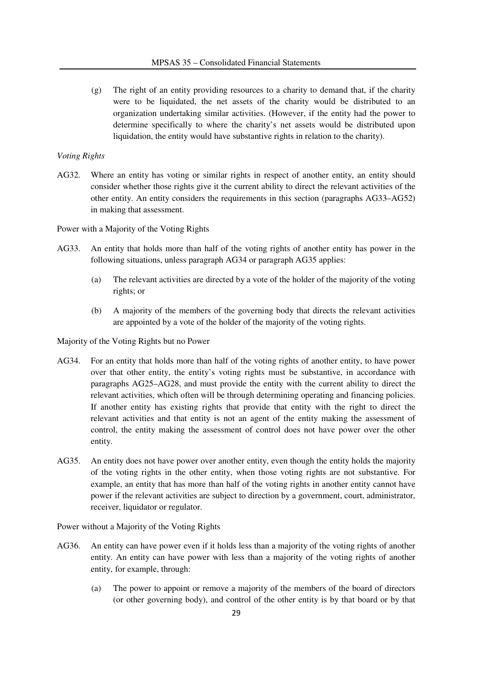(g) The right of an entity providing resources to a charity to demand that, if the charity were to be liquidated, the net assets of the charity would be distributed to an organization undertaking similar activities. (However, if the entity had the power to determine specifically to where the charity's net assets would be distributed upon liquidation, the entity would have substantive rights in relation to the charity).

#### *Voting Rights*

AG32. Where an entity has voting or similar rights in respect of another entity, an entity should consider whether those rights give it the current ability to direct the relevant activities of the other entity. An entity considers the requirements in this section (paragraphs AG33–AG52) in making that assessment.

Power with a Majority of the Voting Rights

- AG33. An entity that holds more than half of the voting rights of another entity has power in the following situations, unless paragraph AG34 or paragraph AG35 applies:
	- (a) The relevant activities are directed by a vote of the holder of the majority of the voting rights; or
	- (b) A majority of the members of the governing body that directs the relevant activities are appointed by a vote of the holder of the majority of the voting rights.

#### Majority of the Voting Rights but no Power

- AG34. For an entity that holds more than half of the voting rights of another entity, to have power over that other entity, the entity's voting rights must be substantive, in accordance with paragraphs AG25–AG28, and must provide the entity with the current ability to direct the relevant activities, which often will be through determining operating and financing policies. If another entity has existing rights that provide that entity with the right to direct the relevant activities and that entity is not an agent of the entity making the assessment of control, the entity making the assessment of control does not have power over the other entity.
- AG35. An entity does not have power over another entity, even though the entity holds the majority of the voting rights in the other entity, when those voting rights are not substantive. For example, an entity that has more than half of the voting rights in another entity cannot have power if the relevant activities are subject to direction by a government, court, administrator, receiver, liquidator or regulator.

Power without a Majority of the Voting Rights

- AG36. An entity can have power even if it holds less than a majority of the voting rights of another entity. An entity can have power with less than a majority of the voting rights of another entity, for example, through:
	- (a) The power to appoint or remove a majority of the members of the board of directors (or other governing body), and control of the other entity is by that board or by that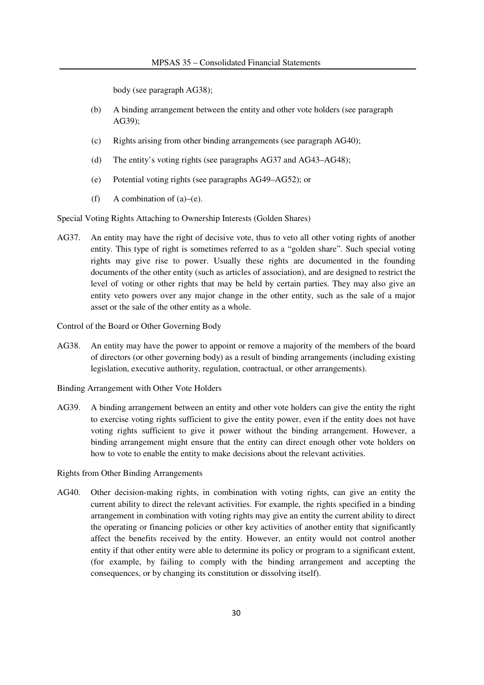body (see paragraph AG38);

- (b) A binding arrangement between the entity and other vote holders (see paragraph AG39);
- (c) Rights arising from other binding arrangements (see paragraph AG40);
- (d) The entity's voting rights (see paragraphs AG37 and AG43–AG48);
- (e) Potential voting rights (see paragraphs AG49–AG52); or
- (f) A combination of  $(a)$ – $(e)$ .

Special Voting Rights Attaching to Ownership Interests (Golden Shares)

AG37. An entity may have the right of decisive vote, thus to veto all other voting rights of another entity. This type of right is sometimes referred to as a "golden share". Such special voting rights may give rise to power. Usually these rights are documented in the founding documents of the other entity (such as articles of association), and are designed to restrict the level of voting or other rights that may be held by certain parties. They may also give an entity veto powers over any major change in the other entity, such as the sale of a major asset or the sale of the other entity as a whole.

Control of the Board or Other Governing Body

AG38. An entity may have the power to appoint or remove a majority of the members of the board of directors (or other governing body) as a result of binding arrangements (including existing legislation, executive authority, regulation, contractual, or other arrangements).

Binding Arrangement with Other Vote Holders

AG39. A binding arrangement between an entity and other vote holders can give the entity the right to exercise voting rights sufficient to give the entity power, even if the entity does not have voting rights sufficient to give it power without the binding arrangement. However, a binding arrangement might ensure that the entity can direct enough other vote holders on how to vote to enable the entity to make decisions about the relevant activities.

Rights from Other Binding Arrangements

AG40. Other decision-making rights, in combination with voting rights, can give an entity the current ability to direct the relevant activities. For example, the rights specified in a binding arrangement in combination with voting rights may give an entity the current ability to direct the operating or financing policies or other key activities of another entity that significantly affect the benefits received by the entity. However, an entity would not control another entity if that other entity were able to determine its policy or program to a significant extent, (for example, by failing to comply with the binding arrangement and accepting the consequences, or by changing its constitution or dissolving itself).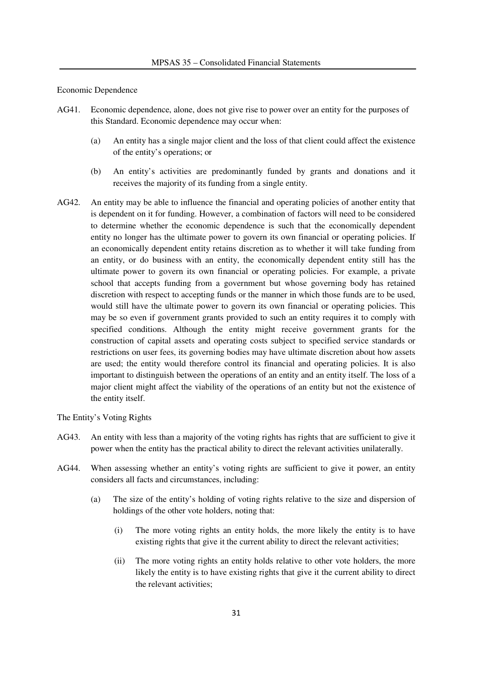#### Economic Dependence

- AG41. Economic dependence, alone, does not give rise to power over an entity for the purposes of this Standard. Economic dependence may occur when:
	- (a) An entity has a single major client and the loss of that client could affect the existence of the entity's operations; or
	- (b) An entity's activities are predominantly funded by grants and donations and it receives the majority of its funding from a single entity.
- AG42. An entity may be able to influence the financial and operating policies of another entity that is dependent on it for funding. However, a combination of factors will need to be considered to determine whether the economic dependence is such that the economically dependent entity no longer has the ultimate power to govern its own financial or operating policies. If an economically dependent entity retains discretion as to whether it will take funding from an entity, or do business with an entity, the economically dependent entity still has the ultimate power to govern its own financial or operating policies. For example, a private school that accepts funding from a government but whose governing body has retained discretion with respect to accepting funds or the manner in which those funds are to be used, would still have the ultimate power to govern its own financial or operating policies. This may be so even if government grants provided to such an entity requires it to comply with specified conditions. Although the entity might receive government grants for the construction of capital assets and operating costs subject to specified service standards or restrictions on user fees, its governing bodies may have ultimate discretion about how assets are used; the entity would therefore control its financial and operating policies. It is also important to distinguish between the operations of an entity and an entity itself. The loss of a major client might affect the viability of the operations of an entity but not the existence of the entity itself.

The Entity's Voting Rights

- AG43. An entity with less than a majority of the voting rights has rights that are sufficient to give it power when the entity has the practical ability to direct the relevant activities unilaterally.
- AG44. When assessing whether an entity's voting rights are sufficient to give it power, an entity considers all facts and circumstances, including:
	- (a) The size of the entity's holding of voting rights relative to the size and dispersion of holdings of the other vote holders, noting that:
		- (i) The more voting rights an entity holds, the more likely the entity is to have existing rights that give it the current ability to direct the relevant activities;
		- (ii) The more voting rights an entity holds relative to other vote holders, the more likely the entity is to have existing rights that give it the current ability to direct the relevant activities;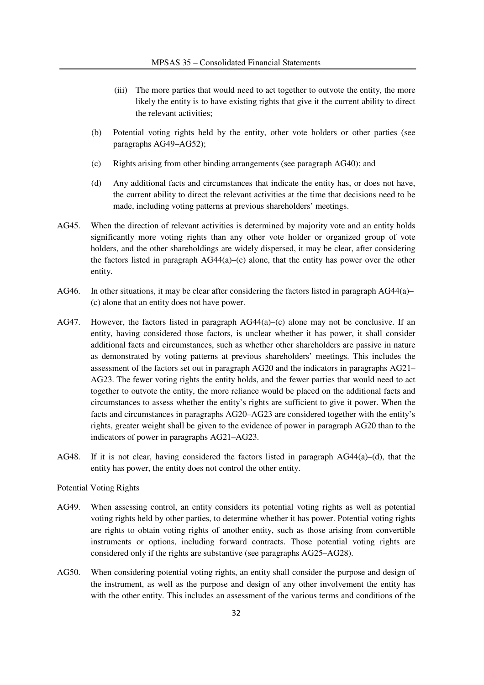- (iii) The more parties that would need to act together to outvote the entity, the more likely the entity is to have existing rights that give it the current ability to direct the relevant activities;
- (b) Potential voting rights held by the entity, other vote holders or other parties (see paragraphs AG49–AG52);
- (c) Rights arising from other binding arrangements (see paragraph AG40); and
- (d) Any additional facts and circumstances that indicate the entity has, or does not have, the current ability to direct the relevant activities at the time that decisions need to be made, including voting patterns at previous shareholders' meetings.
- AG45. When the direction of relevant activities is determined by majority vote and an entity holds significantly more voting rights than any other vote holder or organized group of vote holders, and the other shareholdings are widely dispersed, it may be clear, after considering the factors listed in paragraph  $AG44(a)$ –(c) alone, that the entity has power over the other entity.
- AG46. In other situations, it may be clear after considering the factors listed in paragraph  $AG44(a)$  (c) alone that an entity does not have power.
- AG47. However, the factors listed in paragraph  $AG44(a)$ –(c) alone may not be conclusive. If an entity, having considered those factors, is unclear whether it has power, it shall consider additional facts and circumstances, such as whether other shareholders are passive in nature as demonstrated by voting patterns at previous shareholders' meetings. This includes the assessment of the factors set out in paragraph AG20 and the indicators in paragraphs AG21– AG23. The fewer voting rights the entity holds, and the fewer parties that would need to act together to outvote the entity, the more reliance would be placed on the additional facts and circumstances to assess whether the entity's rights are sufficient to give it power. When the facts and circumstances in paragraphs AG20–AG23 are considered together with the entity's rights, greater weight shall be given to the evidence of power in paragraph AG20 than to the indicators of power in paragraphs AG21–AG23.
- AG48. If it is not clear, having considered the factors listed in paragraph AG44(a)–(d), that the entity has power, the entity does not control the other entity.

#### Potential Voting Rights

- AG49. When assessing control, an entity considers its potential voting rights as well as potential voting rights held by other parties, to determine whether it has power. Potential voting rights are rights to obtain voting rights of another entity, such as those arising from convertible instruments or options, including forward contracts. Those potential voting rights are considered only if the rights are substantive (see paragraphs AG25–AG28).
- AG50. When considering potential voting rights, an entity shall consider the purpose and design of the instrument, as well as the purpose and design of any other involvement the entity has with the other entity. This includes an assessment of the various terms and conditions of the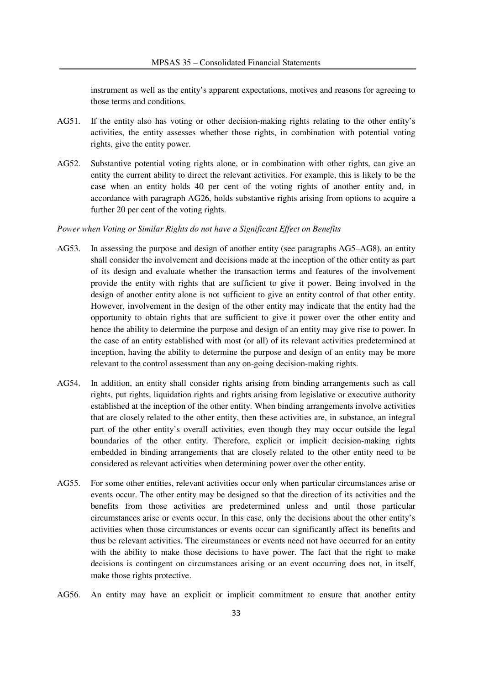instrument as well as the entity's apparent expectations, motives and reasons for agreeing to those terms and conditions.

- AG51. If the entity also has voting or other decision-making rights relating to the other entity's activities, the entity assesses whether those rights, in combination with potential voting rights, give the entity power.
- AG52. Substantive potential voting rights alone, or in combination with other rights, can give an entity the current ability to direct the relevant activities. For example, this is likely to be the case when an entity holds 40 per cent of the voting rights of another entity and, in accordance with paragraph AG26, holds substantive rights arising from options to acquire a further 20 per cent of the voting rights.

#### *Power when Voting or Similar Rights do not have a Significant Effect on Benefits*

- AG53. In assessing the purpose and design of another entity (see paragraphs AG5–AG8), an entity shall consider the involvement and decisions made at the inception of the other entity as part of its design and evaluate whether the transaction terms and features of the involvement provide the entity with rights that are sufficient to give it power. Being involved in the design of another entity alone is not sufficient to give an entity control of that other entity. However, involvement in the design of the other entity may indicate that the entity had the opportunity to obtain rights that are sufficient to give it power over the other entity and hence the ability to determine the purpose and design of an entity may give rise to power. In the case of an entity established with most (or all) of its relevant activities predetermined at inception, having the ability to determine the purpose and design of an entity may be more relevant to the control assessment than any on-going decision-making rights.
- AG54. In addition, an entity shall consider rights arising from binding arrangements such as call rights, put rights, liquidation rights and rights arising from legislative or executive authority established at the inception of the other entity. When binding arrangements involve activities that are closely related to the other entity, then these activities are, in substance, an integral part of the other entity's overall activities, even though they may occur outside the legal boundaries of the other entity. Therefore, explicit or implicit decision-making rights embedded in binding arrangements that are closely related to the other entity need to be considered as relevant activities when determining power over the other entity.
- AG55. For some other entities, relevant activities occur only when particular circumstances arise or events occur. The other entity may be designed so that the direction of its activities and the benefits from those activities are predetermined unless and until those particular circumstances arise or events occur. In this case, only the decisions about the other entity's activities when those circumstances or events occur can significantly affect its benefits and thus be relevant activities. The circumstances or events need not have occurred for an entity with the ability to make those decisions to have power. The fact that the right to make decisions is contingent on circumstances arising or an event occurring does not, in itself, make those rights protective.
- AG56. An entity may have an explicit or implicit commitment to ensure that another entity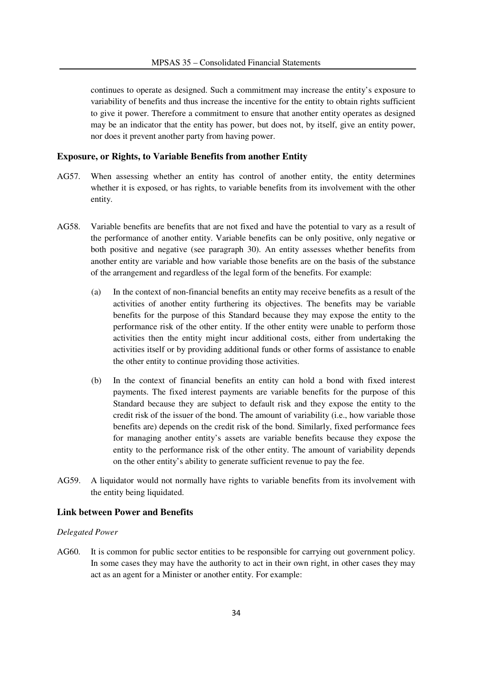continues to operate as designed. Such a commitment may increase the entity's exposure to variability of benefits and thus increase the incentive for the entity to obtain rights sufficient to give it power. Therefore a commitment to ensure that another entity operates as designed may be an indicator that the entity has power, but does not, by itself, give an entity power, nor does it prevent another party from having power.

#### **Exposure, or Rights, to Variable Benefits from another Entity**

- AG57. When assessing whether an entity has control of another entity, the entity determines whether it is exposed, or has rights, to variable benefits from its involvement with the other entity.
- AG58. Variable benefits are benefits that are not fixed and have the potential to vary as a result of the performance of another entity. Variable benefits can be only positive, only negative or both positive and negative (see paragraph 30). An entity assesses whether benefits from another entity are variable and how variable those benefits are on the basis of the substance of the arrangement and regardless of the legal form of the benefits. For example:
	- (a) In the context of non-financial benefits an entity may receive benefits as a result of the activities of another entity furthering its objectives. The benefits may be variable benefits for the purpose of this Standard because they may expose the entity to the performance risk of the other entity. If the other entity were unable to perform those activities then the entity might incur additional costs, either from undertaking the activities itself or by providing additional funds or other forms of assistance to enable the other entity to continue providing those activities.
	- (b) In the context of financial benefits an entity can hold a bond with fixed interest payments. The fixed interest payments are variable benefits for the purpose of this Standard because they are subject to default risk and they expose the entity to the credit risk of the issuer of the bond. The amount of variability (i.e., how variable those benefits are) depends on the credit risk of the bond. Similarly, fixed performance fees for managing another entity's assets are variable benefits because they expose the entity to the performance risk of the other entity. The amount of variability depends on the other entity's ability to generate sufficient revenue to pay the fee.
- AG59. A liquidator would not normally have rights to variable benefits from its involvement with the entity being liquidated.

## **Link between Power and Benefits**

#### *Delegated Power*

AG60. It is common for public sector entities to be responsible for carrying out government policy. In some cases they may have the authority to act in their own right, in other cases they may act as an agent for a Minister or another entity. For example: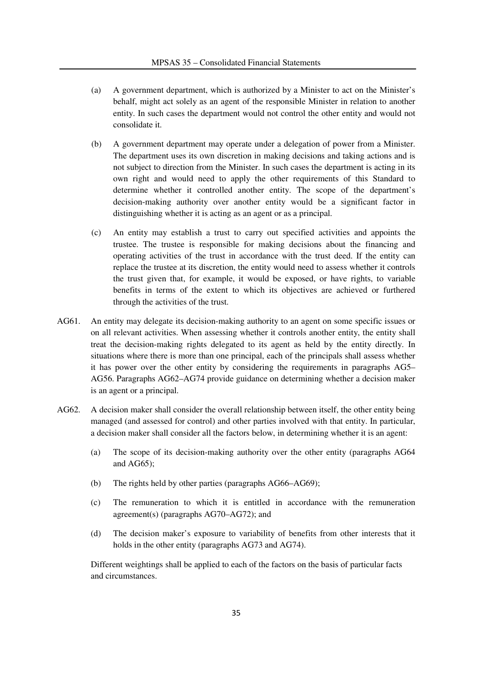- (a) A government department, which is authorized by a Minister to act on the Minister's behalf, might act solely as an agent of the responsible Minister in relation to another entity. In such cases the department would not control the other entity and would not consolidate it.
- (b) A government department may operate under a delegation of power from a Minister. The department uses its own discretion in making decisions and taking actions and is not subject to direction from the Minister. In such cases the department is acting in its own right and would need to apply the other requirements of this Standard to determine whether it controlled another entity. The scope of the department's decision-making authority over another entity would be a significant factor in distinguishing whether it is acting as an agent or as a principal.
- (c) An entity may establish a trust to carry out specified activities and appoints the trustee. The trustee is responsible for making decisions about the financing and operating activities of the trust in accordance with the trust deed. If the entity can replace the trustee at its discretion, the entity would need to assess whether it controls the trust given that, for example, it would be exposed, or have rights, to variable benefits in terms of the extent to which its objectives are achieved or furthered through the activities of the trust.
- AG61. An entity may delegate its decision-making authority to an agent on some specific issues or on all relevant activities. When assessing whether it controls another entity, the entity shall treat the decision-making rights delegated to its agent as held by the entity directly. In situations where there is more than one principal, each of the principals shall assess whether it has power over the other entity by considering the requirements in paragraphs AG5– AG56. Paragraphs AG62–AG74 provide guidance on determining whether a decision maker is an agent or a principal.
- AG62. A decision maker shall consider the overall relationship between itself, the other entity being managed (and assessed for control) and other parties involved with that entity. In particular, a decision maker shall consider all the factors below, in determining whether it is an agent:
	- (a) The scope of its decision-making authority over the other entity (paragraphs AG64 and AG65);
	- (b) The rights held by other parties (paragraphs AG66–AG69);
	- (c) The remuneration to which it is entitled in accordance with the remuneration agreement(s) (paragraphs AG70–AG72); and
	- (d) The decision maker's exposure to variability of benefits from other interests that it holds in the other entity (paragraphs AG73 and AG74).

Different weightings shall be applied to each of the factors on the basis of particular facts and circumstances.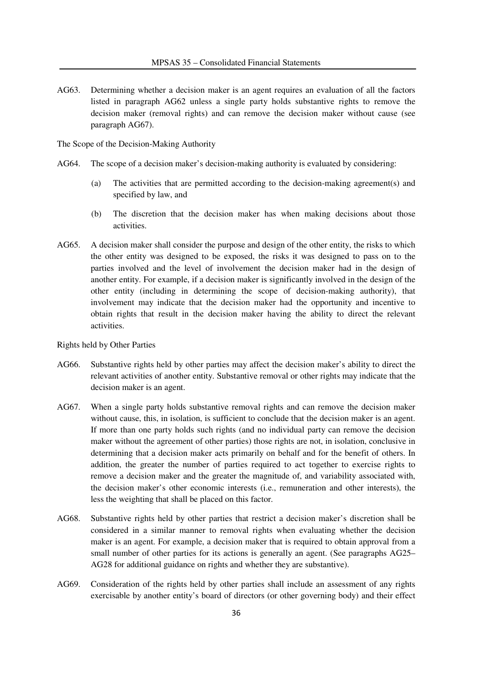AG63. Determining whether a decision maker is an agent requires an evaluation of all the factors listed in paragraph AG62 unless a single party holds substantive rights to remove the decision maker (removal rights) and can remove the decision maker without cause (see paragraph AG67).

The Scope of the Decision-Making Authority

- AG64. The scope of a decision maker's decision-making authority is evaluated by considering:
	- (a) The activities that are permitted according to the decision-making agreement(s) and specified by law, and
	- (b) The discretion that the decision maker has when making decisions about those activities.
- AG65. A decision maker shall consider the purpose and design of the other entity, the risks to which the other entity was designed to be exposed, the risks it was designed to pass on to the parties involved and the level of involvement the decision maker had in the design of another entity. For example, if a decision maker is significantly involved in the design of the other entity (including in determining the scope of decision-making authority), that involvement may indicate that the decision maker had the opportunity and incentive to obtain rights that result in the decision maker having the ability to direct the relevant activities.

Rights held by Other Parties

- AG66. Substantive rights held by other parties may affect the decision maker's ability to direct the relevant activities of another entity. Substantive removal or other rights may indicate that the decision maker is an agent.
- AG67. When a single party holds substantive removal rights and can remove the decision maker without cause, this, in isolation, is sufficient to conclude that the decision maker is an agent. If more than one party holds such rights (and no individual party can remove the decision maker without the agreement of other parties) those rights are not, in isolation, conclusive in determining that a decision maker acts primarily on behalf and for the benefit of others. In addition, the greater the number of parties required to act together to exercise rights to remove a decision maker and the greater the magnitude of, and variability associated with, the decision maker's other economic interests (i.e., remuneration and other interests), the less the weighting that shall be placed on this factor.
- AG68. Substantive rights held by other parties that restrict a decision maker's discretion shall be considered in a similar manner to removal rights when evaluating whether the decision maker is an agent. For example, a decision maker that is required to obtain approval from a small number of other parties for its actions is generally an agent. (See paragraphs AG25– AG28 for additional guidance on rights and whether they are substantive).
- AG69. Consideration of the rights held by other parties shall include an assessment of any rights exercisable by another entity's board of directors (or other governing body) and their effect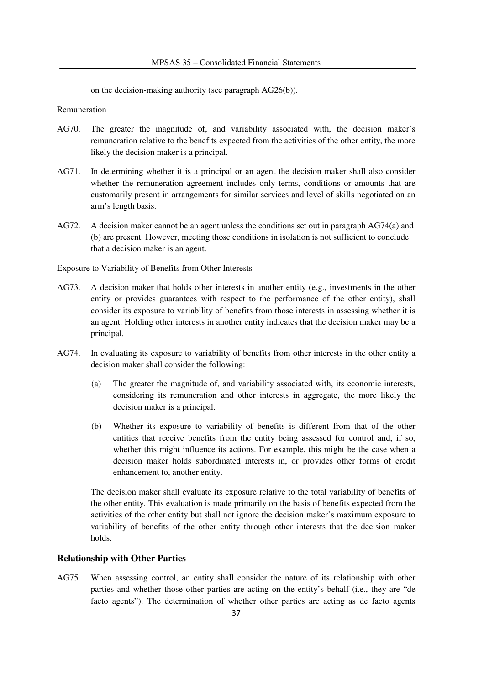on the decision-making authority (see paragraph AG26(b)).

#### Remuneration

- AG70. The greater the magnitude of, and variability associated with, the decision maker's remuneration relative to the benefits expected from the activities of the other entity, the more likely the decision maker is a principal.
- AG71. In determining whether it is a principal or an agent the decision maker shall also consider whether the remuneration agreement includes only terms, conditions or amounts that are customarily present in arrangements for similar services and level of skills negotiated on an arm's length basis.
- AG72. A decision maker cannot be an agent unless the conditions set out in paragraph AG74(a) and (b) are present. However, meeting those conditions in isolation is not sufficient to conclude that a decision maker is an agent.

Exposure to Variability of Benefits from Other Interests

- AG73. A decision maker that holds other interests in another entity (e.g., investments in the other entity or provides guarantees with respect to the performance of the other entity), shall consider its exposure to variability of benefits from those interests in assessing whether it is an agent. Holding other interests in another entity indicates that the decision maker may be a principal.
- AG74. In evaluating its exposure to variability of benefits from other interests in the other entity a decision maker shall consider the following:
	- (a) The greater the magnitude of, and variability associated with, its economic interests, considering its remuneration and other interests in aggregate, the more likely the decision maker is a principal.
	- (b) Whether its exposure to variability of benefits is different from that of the other entities that receive benefits from the entity being assessed for control and, if so, whether this might influence its actions. For example, this might be the case when a decision maker holds subordinated interests in, or provides other forms of credit enhancement to, another entity.

The decision maker shall evaluate its exposure relative to the total variability of benefits of the other entity. This evaluation is made primarily on the basis of benefits expected from the activities of the other entity but shall not ignore the decision maker's maximum exposure to variability of benefits of the other entity through other interests that the decision maker holds.

## **Relationship with Other Parties**

AG75. When assessing control, an entity shall consider the nature of its relationship with other parties and whether those other parties are acting on the entity's behalf (i.e., they are "de facto agents"). The determination of whether other parties are acting as de facto agents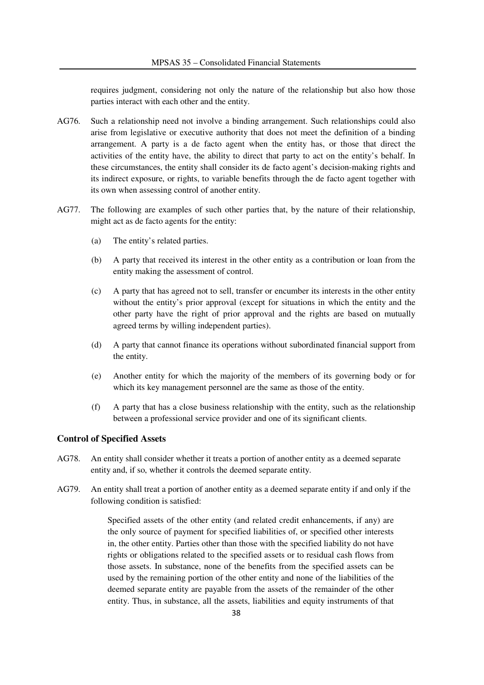requires judgment, considering not only the nature of the relationship but also how those parties interact with each other and the entity.

- AG76. Such a relationship need not involve a binding arrangement. Such relationships could also arise from legislative or executive authority that does not meet the definition of a binding arrangement. A party is a de facto agent when the entity has, or those that direct the activities of the entity have, the ability to direct that party to act on the entity's behalf. In these circumstances, the entity shall consider its de facto agent's decision-making rights and its indirect exposure, or rights, to variable benefits through the de facto agent together with its own when assessing control of another entity.
- AG77. The following are examples of such other parties that, by the nature of their relationship, might act as de facto agents for the entity:
	- (a) The entity's related parties.
	- (b) A party that received its interest in the other entity as a contribution or loan from the entity making the assessment of control.
	- (c) A party that has agreed not to sell, transfer or encumber its interests in the other entity without the entity's prior approval (except for situations in which the entity and the other party have the right of prior approval and the rights are based on mutually agreed terms by willing independent parties).
	- (d) A party that cannot finance its operations without subordinated financial support from the entity.
	- (e) Another entity for which the majority of the members of its governing body or for which its key management personnel are the same as those of the entity.
	- (f) A party that has a close business relationship with the entity, such as the relationship between a professional service provider and one of its significant clients.

#### **Control of Specified Assets**

- AG78. An entity shall consider whether it treats a portion of another entity as a deemed separate entity and, if so, whether it controls the deemed separate entity.
- AG79. An entity shall treat a portion of another entity as a deemed separate entity if and only if the following condition is satisfied:

Specified assets of the other entity (and related credit enhancements, if any) are the only source of payment for specified liabilities of, or specified other interests in, the other entity. Parties other than those with the specified liability do not have rights or obligations related to the specified assets or to residual cash flows from those assets. In substance, none of the benefits from the specified assets can be used by the remaining portion of the other entity and none of the liabilities of the deemed separate entity are payable from the assets of the remainder of the other entity. Thus, in substance, all the assets, liabilities and equity instruments of that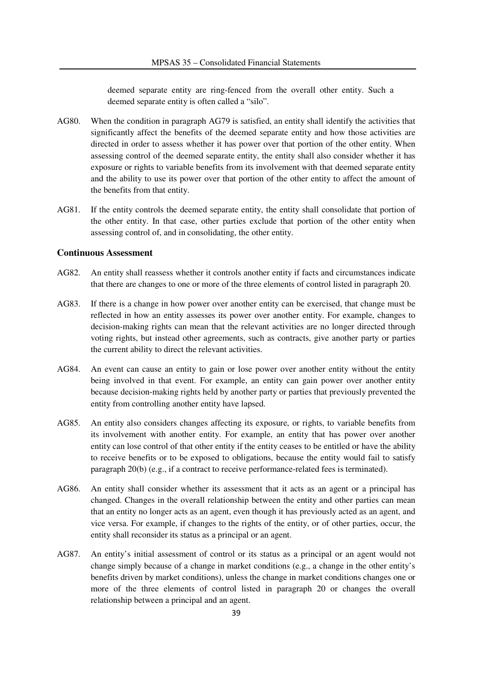deemed separate entity are ring-fenced from the overall other entity. Such a deemed separate entity is often called a "silo".

- AG80. When the condition in paragraph AG79 is satisfied, an entity shall identify the activities that significantly affect the benefits of the deemed separate entity and how those activities are directed in order to assess whether it has power over that portion of the other entity. When assessing control of the deemed separate entity, the entity shall also consider whether it has exposure or rights to variable benefits from its involvement with that deemed separate entity and the ability to use its power over that portion of the other entity to affect the amount of the benefits from that entity.
- AG81. If the entity controls the deemed separate entity, the entity shall consolidate that portion of the other entity. In that case, other parties exclude that portion of the other entity when assessing control of, and in consolidating, the other entity.

### **Continuous Assessment**

- AG82. An entity shall reassess whether it controls another entity if facts and circumstances indicate that there are changes to one or more of the three elements of control listed in paragraph 20.
- AG83. If there is a change in how power over another entity can be exercised, that change must be reflected in how an entity assesses its power over another entity. For example, changes to decision-making rights can mean that the relevant activities are no longer directed through voting rights, but instead other agreements, such as contracts, give another party or parties the current ability to direct the relevant activities.
- AG84. An event can cause an entity to gain or lose power over another entity without the entity being involved in that event. For example, an entity can gain power over another entity because decision-making rights held by another party or parties that previously prevented the entity from controlling another entity have lapsed.
- AG85. An entity also considers changes affecting its exposure, or rights, to variable benefits from its involvement with another entity. For example, an entity that has power over another entity can lose control of that other entity if the entity ceases to be entitled or have the ability to receive benefits or to be exposed to obligations, because the entity would fail to satisfy paragraph 20(b) (e.g., if a contract to receive performance-related fees is terminated).
- AG86. An entity shall consider whether its assessment that it acts as an agent or a principal has changed. Changes in the overall relationship between the entity and other parties can mean that an entity no longer acts as an agent, even though it has previously acted as an agent, and vice versa. For example, if changes to the rights of the entity, or of other parties, occur, the entity shall reconsider its status as a principal or an agent.
- AG87. An entity's initial assessment of control or its status as a principal or an agent would not change simply because of a change in market conditions (e.g., a change in the other entity's benefits driven by market conditions), unless the change in market conditions changes one or more of the three elements of control listed in paragraph 20 or changes the overall relationship between a principal and an agent.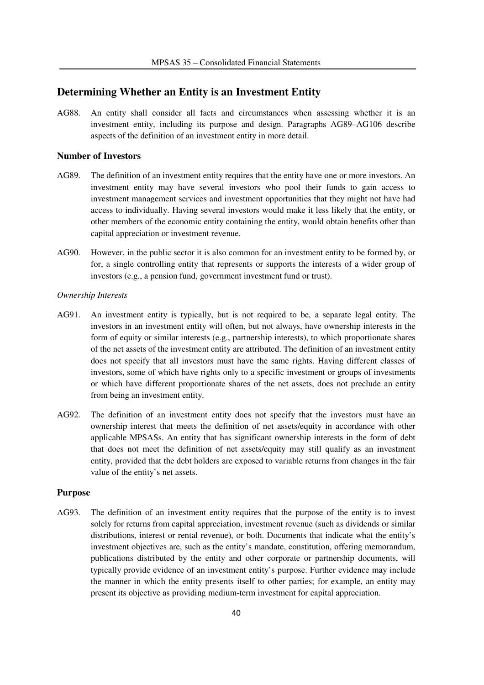## **Determining Whether an Entity is an Investment Entity**

AG88. An entity shall consider all facts and circumstances when assessing whether it is an investment entity, including its purpose and design. Paragraphs AG89–AG106 describe aspects of the definition of an investment entity in more detail.

## **Number of Investors**

- AG89. The definition of an investment entity requires that the entity have one or more investors. An investment entity may have several investors who pool their funds to gain access to investment management services and investment opportunities that they might not have had access to individually. Having several investors would make it less likely that the entity, or other members of the economic entity containing the entity, would obtain benefits other than capital appreciation or investment revenue.
- AG90. However, in the public sector it is also common for an investment entity to be formed by, or for, a single controlling entity that represents or supports the interests of a wider group of investors (e.g., a pension fund, government investment fund or trust).

#### *Ownership Interests*

- AG91. An investment entity is typically, but is not required to be, a separate legal entity. The investors in an investment entity will often, but not always, have ownership interests in the form of equity or similar interests (e.g., partnership interests), to which proportionate shares of the net assets of the investment entity are attributed. The definition of an investment entity does not specify that all investors must have the same rights. Having different classes of investors, some of which have rights only to a specific investment or groups of investments or which have different proportionate shares of the net assets, does not preclude an entity from being an investment entity.
- AG92. The definition of an investment entity does not specify that the investors must have an ownership interest that meets the definition of net assets/equity in accordance with other applicable MPSASs. An entity that has significant ownership interests in the form of debt that does not meet the definition of net assets/equity may still qualify as an investment entity, provided that the debt holders are exposed to variable returns from changes in the fair value of the entity's net assets.

#### **Purpose**

AG93. The definition of an investment entity requires that the purpose of the entity is to invest solely for returns from capital appreciation, investment revenue (such as dividends or similar distributions, interest or rental revenue), or both. Documents that indicate what the entity's investment objectives are, such as the entity's mandate, constitution, offering memorandum, publications distributed by the entity and other corporate or partnership documents, will typically provide evidence of an investment entity's purpose. Further evidence may include the manner in which the entity presents itself to other parties; for example, an entity may present its objective as providing medium-term investment for capital appreciation.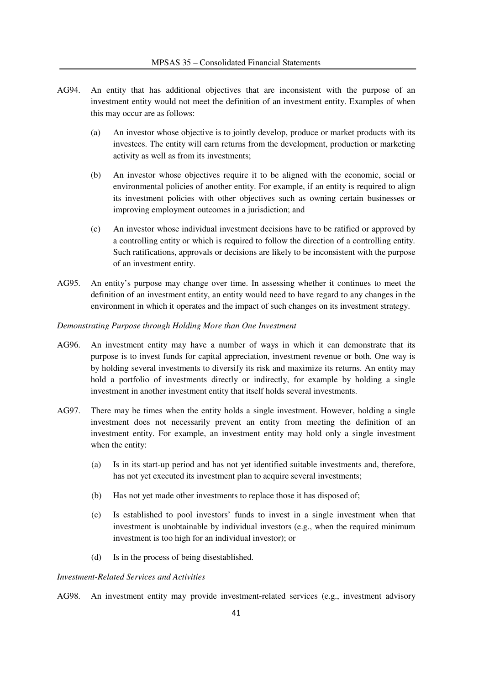- AG94. An entity that has additional objectives that are inconsistent with the purpose of an investment entity would not meet the definition of an investment entity. Examples of when this may occur are as follows:
	- (a) An investor whose objective is to jointly develop, produce or market products with its investees. The entity will earn returns from the development, production or marketing activity as well as from its investments;
	- (b) An investor whose objectives require it to be aligned with the economic, social or environmental policies of another entity. For example, if an entity is required to align its investment policies with other objectives such as owning certain businesses or improving employment outcomes in a jurisdiction; and
	- (c) An investor whose individual investment decisions have to be ratified or approved by a controlling entity or which is required to follow the direction of a controlling entity. Such ratifications, approvals or decisions are likely to be inconsistent with the purpose of an investment entity.
- AG95. An entity's purpose may change over time. In assessing whether it continues to meet the definition of an investment entity, an entity would need to have regard to any changes in the environment in which it operates and the impact of such changes on its investment strategy.

## *Demonstrating Purpose through Holding More than One Investment*

- AG96. An investment entity may have a number of ways in which it can demonstrate that its purpose is to invest funds for capital appreciation, investment revenue or both. One way is by holding several investments to diversify its risk and maximize its returns. An entity may hold a portfolio of investments directly or indirectly, for example by holding a single investment in another investment entity that itself holds several investments.
- AG97. There may be times when the entity holds a single investment. However, holding a single investment does not necessarily prevent an entity from meeting the definition of an investment entity. For example, an investment entity may hold only a single investment when the entity:
	- (a) Is in its start-up period and has not yet identified suitable investments and, therefore, has not yet executed its investment plan to acquire several investments;
	- (b) Has not yet made other investments to replace those it has disposed of;
	- (c) Is established to pool investors' funds to invest in a single investment when that investment is unobtainable by individual investors (e.g., when the required minimum investment is too high for an individual investor); or
	- (d) Is in the process of being disestablished.

#### *Investment-Related Services and Activities*

AG98. An investment entity may provide investment-related services (e.g., investment advisory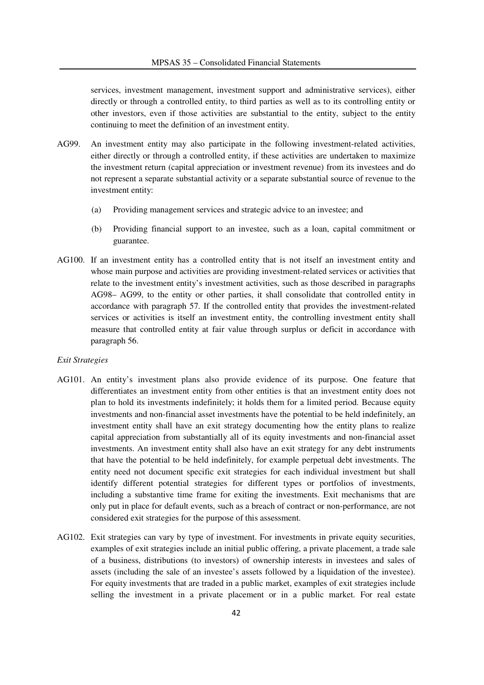services, investment management, investment support and administrative services), either directly or through a controlled entity, to third parties as well as to its controlling entity or other investors, even if those activities are substantial to the entity, subject to the entity continuing to meet the definition of an investment entity.

- AG99. An investment entity may also participate in the following investment-related activities, either directly or through a controlled entity, if these activities are undertaken to maximize the investment return (capital appreciation or investment revenue) from its investees and do not represent a separate substantial activity or a separate substantial source of revenue to the investment entity:
	- (a) Providing management services and strategic advice to an investee; and
	- (b) Providing financial support to an investee, such as a loan, capital commitment or guarantee.
- AG100. If an investment entity has a controlled entity that is not itself an investment entity and whose main purpose and activities are providing investment-related services or activities that relate to the investment entity's investment activities, such as those described in paragraphs AG98– AG99, to the entity or other parties, it shall consolidate that controlled entity in accordance with paragraph 57. If the controlled entity that provides the investment-related services or activities is itself an investment entity, the controlling investment entity shall measure that controlled entity at fair value through surplus or deficit in accordance with paragraph 56.

#### *Exit Strategies*

- AG101. An entity's investment plans also provide evidence of its purpose. One feature that differentiates an investment entity from other entities is that an investment entity does not plan to hold its investments indefinitely; it holds them for a limited period. Because equity investments and non-financial asset investments have the potential to be held indefinitely, an investment entity shall have an exit strategy documenting how the entity plans to realize capital appreciation from substantially all of its equity investments and non-financial asset investments. An investment entity shall also have an exit strategy for any debt instruments that have the potential to be held indefinitely, for example perpetual debt investments. The entity need not document specific exit strategies for each individual investment but shall identify different potential strategies for different types or portfolios of investments, including a substantive time frame for exiting the investments. Exit mechanisms that are only put in place for default events, such as a breach of contract or non-performance, are not considered exit strategies for the purpose of this assessment.
- AG102. Exit strategies can vary by type of investment. For investments in private equity securities, examples of exit strategies include an initial public offering, a private placement, a trade sale of a business, distributions (to investors) of ownership interests in investees and sales of assets (including the sale of an investee's assets followed by a liquidation of the investee). For equity investments that are traded in a public market, examples of exit strategies include selling the investment in a private placement or in a public market. For real estate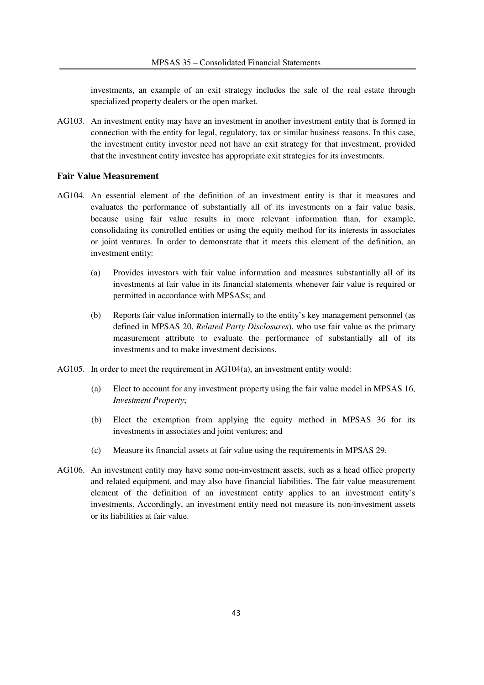investments, an example of an exit strategy includes the sale of the real estate through specialized property dealers or the open market.

AG103. An investment entity may have an investment in another investment entity that is formed in connection with the entity for legal, regulatory, tax or similar business reasons. In this case, the investment entity investor need not have an exit strategy for that investment, provided that the investment entity investee has appropriate exit strategies for its investments.

### **Fair Value Measurement**

- AG104. An essential element of the definition of an investment entity is that it measures and evaluates the performance of substantially all of its investments on a fair value basis, because using fair value results in more relevant information than, for example, consolidating its controlled entities or using the equity method for its interests in associates or joint ventures. In order to demonstrate that it meets this element of the definition, an investment entity:
	- (a) Provides investors with fair value information and measures substantially all of its investments at fair value in its financial statements whenever fair value is required or permitted in accordance with MPSASs; and
	- (b) Reports fair value information internally to the entity's key management personnel (as defined in MPSAS 20, *Related Party Disclosures*), who use fair value as the primary measurement attribute to evaluate the performance of substantially all of its investments and to make investment decisions.
- AG105. In order to meet the requirement in AG104(a), an investment entity would:
	- (a) Elect to account for any investment property using the fair value model in MPSAS 16, *Investment Property*;
	- (b) Elect the exemption from applying the equity method in MPSAS 36 for its investments in associates and joint ventures; and
	- (c) Measure its financial assets at fair value using the requirements in MPSAS 29.
- AG106. An investment entity may have some non-investment assets, such as a head office property and related equipment, and may also have financial liabilities. The fair value measurement element of the definition of an investment entity applies to an investment entity's investments. Accordingly, an investment entity need not measure its non-investment assets or its liabilities at fair value.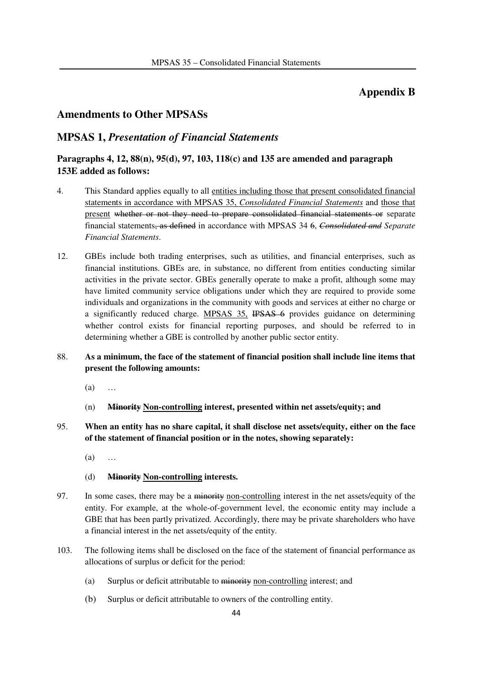## **Appendix B**

## **Amendments to Other MPSASs**

## **MPSAS 1,** *Presentation of Financial Statements*

## **Paragraphs 4, 12, 88(n), 95(d), 97, 103, 118(c) and 135 are amended and paragraph 153E added as follows:**

- 4. This Standard applies equally to all entities including those that present consolidated financial statements in accordance with MPSAS 35, *Consolidated Financial Statements* and those that present whether or not they need to prepare consolidated financial statements or separate financial statements, as defined in accordance with MPSAS 34 6, *Consolidated and Separate Financial Statements*.
- 12. GBEs include both trading enterprises, such as utilities, and financial enterprises, such as financial institutions. GBEs are, in substance, no different from entities conducting similar activities in the private sector. GBEs generally operate to make a profit, although some may have limited community service obligations under which they are required to provide some individuals and organizations in the community with goods and services at either no charge or a significantly reduced charge. MPSAS 35, IPSAS 6 provides guidance on determining whether control exists for financial reporting purposes, and should be referred to in determining whether a GBE is controlled by another public sector entity.

## 88. **As a minimum, the face of the statement of financial position shall include line items that present the following amounts:**

- (a) …
- (n) **Minority Non-controlling interest, presented within net assets/equity; and**
- 95. **When an entity has no share capital, it shall disclose net assets/equity, either on the face of the statement of financial position or in the notes, showing separately:** 
	- (a) …
	- (d) **Minority Non-controlling interests.**
- 97. In some cases, there may be a minority non-controlling interest in the net assets/equity of the entity. For example, at the whole-of-government level, the economic entity may include a GBE that has been partly privatized. Accordingly, there may be private shareholders who have a financial interest in the net assets/equity of the entity.
- 103. The following items shall be disclosed on the face of the statement of financial performance as allocations of surplus or deficit for the period:
	- (a) Surplus or deficit attributable to minority non-controlling interest; and
	- (b) Surplus or deficit attributable to owners of the controlling entity.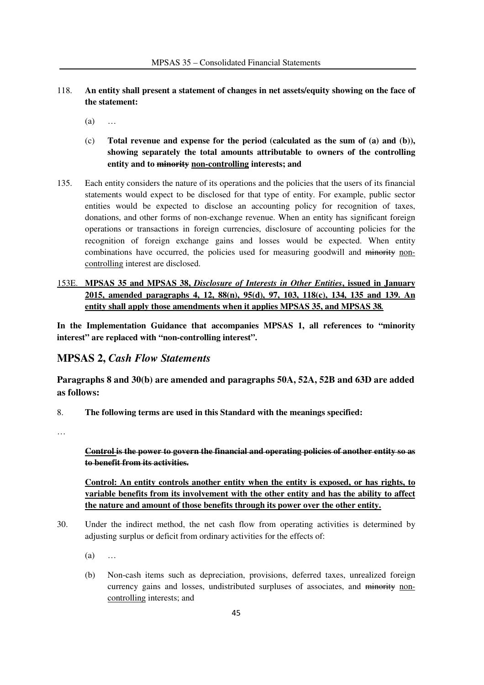- 118. **An entity shall present a statement of changes in net assets/equity showing on the face of the statement:** 
	- (a) …
	- (c) **Total revenue and expense for the period (calculated as the sum of (a) and (b)), showing separately the total amounts attributable to owners of the controlling entity and to minority non-controlling interests; and**
- 135. Each entity considers the nature of its operations and the policies that the users of its financial statements would expect to be disclosed for that type of entity. For example, public sector entities would be expected to disclose an accounting policy for recognition of taxes, donations, and other forms of non-exchange revenue. When an entity has significant foreign operations or transactions in foreign currencies, disclosure of accounting policies for the recognition of foreign exchange gains and losses would be expected. When entity combinations have occurred, the policies used for measuring goodwill and minority noncontrolling interest are disclosed.
- 153E. **MPSAS 35 and MPSAS 38,** *Disclosure of Interests in Other Entities***, issued in January 2015, amended paragraphs 4, 12, 88(n), 95(d), 97, 103, 118(c), 134, 135 and 139. An entity shall apply those amendments when it applies MPSAS 35, and MPSAS 38***.*

**In the Implementation Guidance that accompanies MPSAS 1, all references to "minority interest" are replaced with "non-controlling interest".**

## **MPSAS 2,** *Cash Flow Statements*

**Paragraphs 8 and 30(b) are amended and paragraphs 50A, 52A, 52B and 63D are added as follows:**

8. **The following terms are used in this Standard with the meanings specified:** 

…

## **Control is the power to govern the financial and operating policies of another entity so as to benefit from its activities.**

**Control: An entity controls another entity when the entity is exposed, or has rights, to variable benefits from its involvement with the other entity and has the ability to affect the nature and amount of those benefits through its power over the other entity.**

- 30. Under the indirect method, the net cash flow from operating activities is determined by adjusting surplus or deficit from ordinary activities for the effects of:
	- (a) …
	- (b) Non-cash items such as depreciation, provisions, deferred taxes, unrealized foreign currency gains and losses, undistributed surpluses of associates, and minority noncontrolling interests; and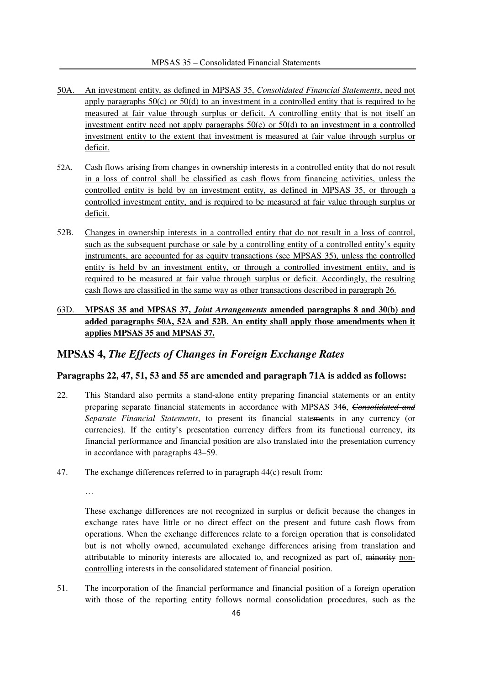- 50A. An investment entity, as defined in MPSAS 35, *Consolidated Financial Statements*, need not apply paragraphs 50(c) or 50(d) to an investment in a controlled entity that is required to be measured at fair value through surplus or deficit. A controlling entity that is not itself an investment entity need not apply paragraphs 50(c) or 50(d) to an investment in a controlled investment entity to the extent that investment is measured at fair value through surplus or deficit.
- 52A. Cash flows arising from changes in ownership interests in a controlled entity that do not result in a loss of control shall be classified as cash flows from financing activities, unless the controlled entity is held by an investment entity, as defined in MPSAS 35, or through a controlled investment entity, and is required to be measured at fair value through surplus or deficit.
- 52B. Changes in ownership interests in a controlled entity that do not result in a loss of control, such as the subsequent purchase or sale by a controlling entity of a controlled entity's equity instruments, are accounted for as equity transactions (see MPSAS 35), unless the controlled entity is held by an investment entity, or through a controlled investment entity, and is required to be measured at fair value through surplus or deficit. Accordingly, the resulting cash flows are classified in the same way as other transactions described in paragraph 26.

## 63D. **MPSAS 35 and MPSAS 37,** *Joint Arrangements* **amended paragraphs 8 and 30(b) and added paragraphs 50A, 52A and 52B. An entity shall apply those amendments when it applies MPSAS 35 and MPSAS 37.**

## **MPSAS 4,** *The Effects of Changes in Foreign Exchange Rates*

## **Paragraphs 22, 47, 51, 53 and 55 are amended and paragraph 71A is added as follows:**

- 22. This Standard also permits a stand-alone entity preparing financial statements or an entity preparing separate financial statements in accordance with MPSAS 346, *Consolidated and Separate Financial Statements*, to present its financial statements in any currency (or currencies). If the entity's presentation currency differs from its functional currency, its financial performance and financial position are also translated into the presentation currency in accordance with paragraphs 43–59.
- 47. The exchange differences referred to in paragraph 44(c) result from:

…

These exchange differences are not recognized in surplus or deficit because the changes in exchange rates have little or no direct effect on the present and future cash flows from operations. When the exchange differences relate to a foreign operation that is consolidated but is not wholly owned, accumulated exchange differences arising from translation and attributable to minority interests are allocated to, and recognized as part of, minority noncontrolling interests in the consolidated statement of financial position.

51. The incorporation of the financial performance and financial position of a foreign operation with those of the reporting entity follows normal consolidation procedures, such as the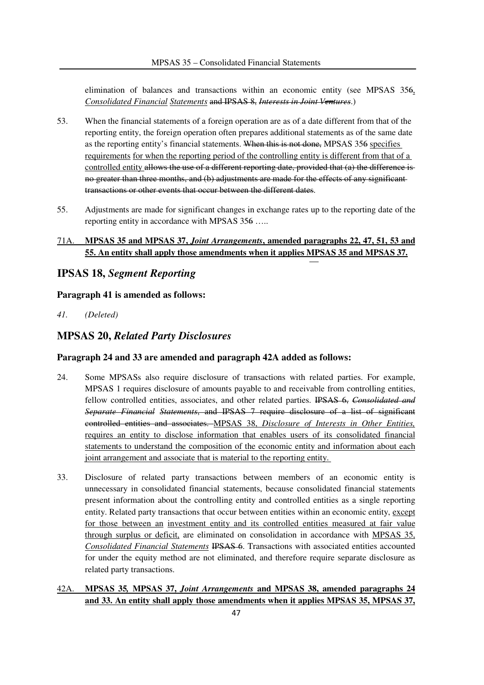elimination of balances and transactions within an economic entity (see MPSAS 356, *Consolidated Financial Statements* and IPSAS 8, *Interests in Joint Ventures*.)

- 53. When the financial statements of a foreign operation are as of a date different from that of the reporting entity, the foreign operation often prepares additional statements as of the same date as the reporting entity's financial statements. When this is not done, MPSAS 356 specifies requirements for when the reporting period of the controlling entity is different from that of a controlled entity allows the use of a different reporting date, provided that (a) the difference isno greater than three months, and (b) adjustments are made for the effects of any significant transactions or other events that occur between the different dates.
- 55. Adjustments are made for significant changes in exchange rates up to the reporting date of the reporting entity in accordance with MPSAS 356 …..

## 71A. **MPSAS 35 and MPSAS 37,** *Joint Arrangements***, amended paragraphs 22, 47, 51, 53 and 55. An entity shall apply those amendments when it applies MPSAS 35 and MPSAS 37.**

## **IPSAS 18,** *Segment Reporting*

### **Paragraph 41 is amended as follows:**

*41. (Deleted)*

## **MPSAS 20,** *Related Party Disclosures*

### **Paragraph 24 and 33 are amended and paragraph 42A added as follows:**

- 24. Some MPSASs also require disclosure of transactions with related parties. For example, MPSAS 1 requires disclosure of amounts payable to and receivable from controlling entities, fellow controlled entities, associates, and other related parties. IPSAS 6, *Consolidated and Separate Financial Statements*, and IPSAS 7 require disclosure of a list of significant controlled entities and associates. MPSAS 38, *Disclosure of Interests in Other Entities,* requires an entity to disclose information that enables users of its consolidated financial statements to understand the composition of the economic entity and information about each joint arrangement and associate that is material to the reporting entity.
- 33. Disclosure of related party transactions between members of an economic entity is unnecessary in consolidated financial statements, because consolidated financial statements present information about the controlling entity and controlled entities as a single reporting entity. Related party transactions that occur between entities within an economic entity, except for those between an investment entity and its controlled entities measured at fair value through surplus or deficit, are eliminated on consolidation in accordance with MPSAS 35, *Consolidated Financial Statements* IPSAS 6. Transactions with associated entities accounted for under the equity method are not eliminated, and therefore require separate disclosure as related party transactions.

## 42A. **MPSAS 35***,* **MPSAS 37,** *Joint Arrangements* **and MPSAS 38, amended paragraphs 24 and 33. An entity shall apply those amendments when it applies MPSAS 35, MPSAS 37,**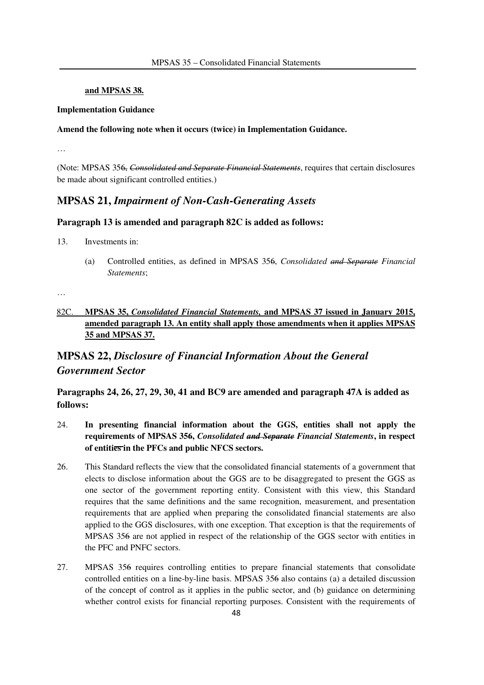### **and MPSAS 38.**

## **Implementation Guidance**

### **Amend the following note when it occurs (twice) in Implementation Guidance.**

…

(Note: MPSAS 356, *Consolidated and Separate Financial Statements*, requires that certain disclosures be made about significant controlled entities.)

## **MPSAS 21,** *Impairment of Non-Cash-Generating Assets*

## **Paragraph 13 is amended and paragraph 82C is added as follows:**

- 13. Investments in:
	- (a) Controlled entities, as defined in MPSAS 356, *Consolidated and Separate Financial Statements*;

…

82C. **MPSAS 35,** *Consolidated Financial Statements,* **and MPSAS 37 issued in January 2015, amended paragraph 13. An entity shall apply those amendments when it applies MPSAS 35 and MPSAS 37.**

# **MPSAS 22,** *Disclosure of Financial Information About the General Government Sector*

**Paragraphs 24, 26, 27, 29, 30, 41 and BC9 are amended and paragraph 47A is added as follows:**

- 24. **In presenting financial information about the GGS, entities shall not apply the requirements of MPSAS 356,** *Consolidated and Separate Financial Statements***, in respect of entities in the PFCs and public NFCS sectors.**
- 26. This Standard reflects the view that the consolidated financial statements of a government that elects to disclose information about the GGS are to be disaggregated to present the GGS as one sector of the government reporting entity. Consistent with this view, this Standard requires that the same definitions and the same recognition, measurement, and presentation requirements that are applied when preparing the consolidated financial statements are also applied to the GGS disclosures, with one exception. That exception is that the requirements of MPSAS 356 are not applied in respect of the relationship of the GGS sector with entities in the PFC and PNFC sectors.
- 27. MPSAS 356 requires controlling entities to prepare financial statements that consolidate controlled entities on a line-by-line basis. MPSAS 356 also contains (a) a detailed discussion of the concept of control as it applies in the public sector, and (b) guidance on determining whether control exists for financial reporting purposes. Consistent with the requirements of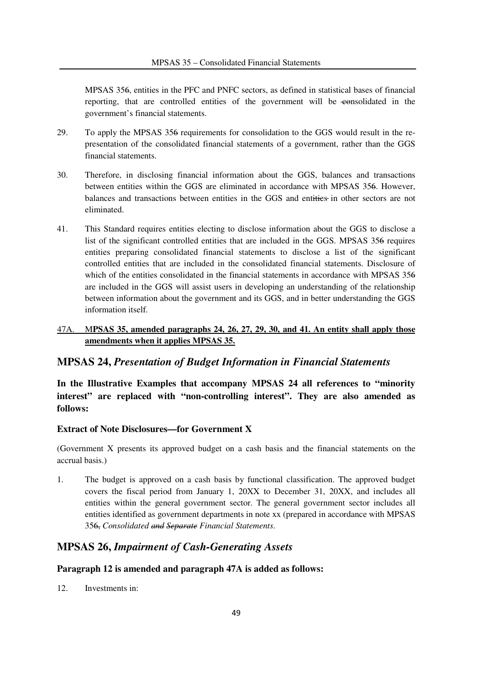MPSAS 356, entities in the PFC and PNFC sectors, as defined in statistical bases of financial reporting, that are controlled entities of the government will be eensolidated in the government's financial statements.

- 29. To apply the MPSAS 356 requirements for consolidation to the GGS would result in the representation of the consolidated financial statements of a government, rather than the GGS financial statements.
- 30. Therefore, in disclosing financial information about the GGS, balances and transactions between entities within the GGS are eliminated in accordance with MPSAS 356. However, balances and transactions between entities in the GGS and entities in other sectors are not eliminated.
- 41. This Standard requires entities electing to disclose information about the GGS to disclose a list of the significant controlled entities that are included in the GGS. MPSAS 356 requires entities preparing consolidated financial statements to disclose a list of the significant controlled entities that are included in the consolidated financial statements. Disclosure of which of the entities consolidated in the financial statements in accordance with MPSAS 356 are included in the GGS will assist users in developing an understanding of the relationship between information about the government and its GGS, and in better understanding the GGS information itself.

## 47A. M**PSAS 35, amended paragraphs 24, 26, 27, 29, 30, and 41. An entity shall apply those amendments when it applies MPSAS 35.**

## **MPSAS 24,** *Presentation of Budget Information in Financial Statements*

**In the Illustrative Examples that accompany MPSAS 24 all references to "minority interest" are replaced with "non-controlling interest". They are also amended as follows:**

### **Extract of Note Disclosures—for Government X**

(Government X presents its approved budget on a cash basis and the financial statements on the accrual basis.)

1. The budget is approved on a cash basis by functional classification. The approved budget covers the fiscal period from January 1, 20XX to December 31, 20XX, and includes all entities within the general government sector. The general government sector includes all entities identified as government departments in note xx (prepared in accordance with MPSAS 356, *Consolidated and Separate Financial Statements*.

## **MPSAS 26,** *Impairment of Cash-Generating Assets*

## **Paragraph 12 is amended and paragraph 47A is added as follows:**

12. Investments in: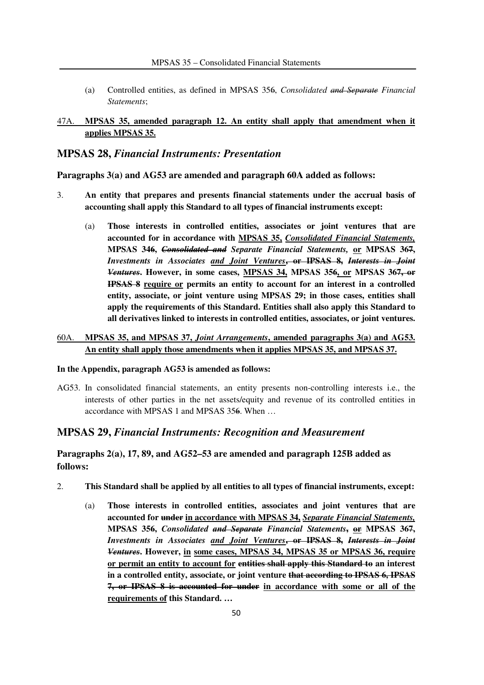(a) Controlled entities, as defined in MPSAS 356, *Consolidated and Separate Financial Statements*;

## 47A. **MPSAS 35, amended paragraph 12. An entity shall apply that amendment when it applies MPSAS 35.**

## **MPSAS 28,** *Financial Instruments: Presentation*

**Paragraphs 3(a) and AG53 are amended and paragraph 60A added as follows:**

- 3. **An entity that prepares and presents financial statements under the accrual basis of accounting shall apply this Standard to all types of financial instruments except:** 
	- (a) **Those interests in controlled entities, associates or joint ventures that are accounted for in accordance with MPSAS 35,** *Consolidated Financial Statements,* **MPSAS 346,** *Consolidated and Separate Financial Statements,* **or MPSAS 367,** *Investments in Associates and Joint Ventures***, or IPSAS 8,** *Interests in Joint Ventures***. However, in some cases, MPSAS 34, MPSAS 356, or MPSAS 367, or IPSAS 8 require or permits an entity to account for an interest in a controlled entity, associate, or joint venture using MPSAS 29; in those cases, entities shall apply the requirements of this Standard. Entities shall also apply this Standard to all derivatives linked to interests in controlled entities, associates, or joint ventures.**

## 60A. **MPSAS 35, and MPSAS 37,** *Joint Arrangements***, amended paragraphs 3(a) and AG53. An entity shall apply those amendments when it applies MPSAS 35, and MPSAS 37.**

#### **In the Appendix, paragraph AG53 is amended as follows:**

AG53. In consolidated financial statements, an entity presents non-controlling interests i.e., the interests of other parties in the net assets/equity and revenue of its controlled entities in accordance with MPSAS 1 and MPSAS 356. When …

## **MPSAS 29,** *Financial Instruments: Recognition and Measurement*

## **Paragraphs 2(a), 17, 89, and AG52–53 are amended and paragraph 125B added as follows:**

- 2. **This Standard shall be applied by all entities to all types of financial instruments, except:** 
	- (a) **Those interests in controlled entities, associates and joint ventures that are accounted for under in accordance with MPSAS 34,** *Separate Financial Statements,* **MPSAS 356,** *Consolidated and Separate Financial Statements***, or MPSAS 367,** *Investments in Associates and Joint Ventures***, or IPSAS 8,** *Interests in Joint Ventures***. However, in some cases, MPSAS 34, MPSAS 35 or MPSAS 36, require or permit an entity to account for entities shall apply this Standard to an interest in a controlled entity, associate, or joint venture that according to IPSAS 6, IPSAS 7, or IPSAS 8 is accounted for under in accordance with some or all of the requirements of this Standard. …**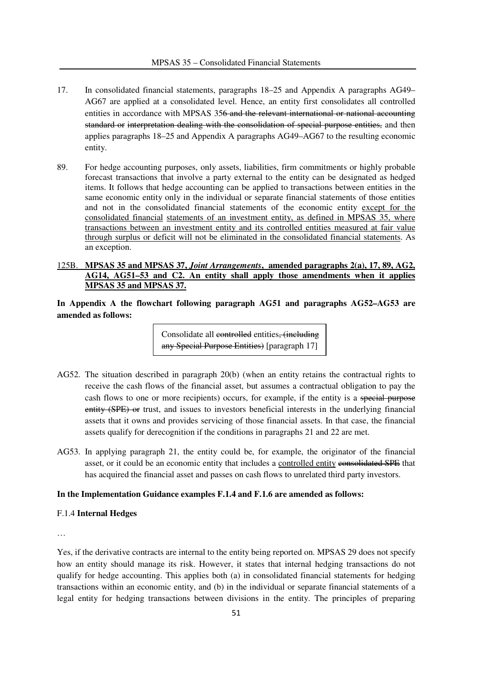- 17. In consolidated financial statements, paragraphs 18–25 and Appendix A paragraphs AG49– AG67 are applied at a consolidated level. Hence, an entity first consolidates all controlled entities in accordance with MPSAS 356 and the relevant international or national accounting standard or interpretation dealing with the consolidation of special purpose entities, and then applies paragraphs 18–25 and Appendix A paragraphs AG49–AG67 to the resulting economic entity.
- 89. For hedge accounting purposes, only assets, liabilities, firm commitments or highly probable forecast transactions that involve a party external to the entity can be designated as hedged items. It follows that hedge accounting can be applied to transactions between entities in the same economic entity only in the individual or separate financial statements of those entities and not in the consolidated financial statements of the economic entity except for the consolidated financial statements of an investment entity, as defined in MPSAS 35, where transactions between an investment entity and its controlled entities measured at fair value through surplus or deficit will not be eliminated in the consolidated financial statements. As an exception.

## 125B. **MPSAS 35 and MPSAS 37,** *Joint Arrangements***, amended paragraphs 2(a), 17, 89, AG2, AG14, AG51–53 and C2. An entity shall apply those amendments when it applies MPSAS 35 and MPSAS 37.**

**In Appendix A the flowchart following paragraph AG51 and paragraphs AG52–AG53 are amended as follows:**

> Consolidate all controlled entities, (including any Special Purpose Entities) [paragraph 17]

- AG52. The situation described in paragraph 20(b) (when an entity retains the contractual rights to receive the cash flows of the financial asset, but assumes a contractual obligation to pay the cash flows to one or more recipients) occurs, for example, if the entity is a special purpose entity (SPE) or trust, and issues to investors beneficial interests in the underlying financial assets that it owns and provides servicing of those financial assets. In that case, the financial assets qualify for derecognition if the conditions in paragraphs 21 and 22 are met.
- AG53. In applying paragraph 21, the entity could be, for example, the originator of the financial asset, or it could be an economic entity that includes a controlled entity consolidated SPE that has acquired the financial asset and passes on cash flows to unrelated third party investors.

## **In the Implementation Guidance examples F.1.4 and F.1.6 are amended as follows:**

#### F.1.4 **Internal Hedges**

…

Yes, if the derivative contracts are internal to the entity being reported on. MPSAS 29 does not specify how an entity should manage its risk. However, it states that internal hedging transactions do not qualify for hedge accounting. This applies both (a) in consolidated financial statements for hedging transactions within an economic entity, and (b) in the individual or separate financial statements of a legal entity for hedging transactions between divisions in the entity. The principles of preparing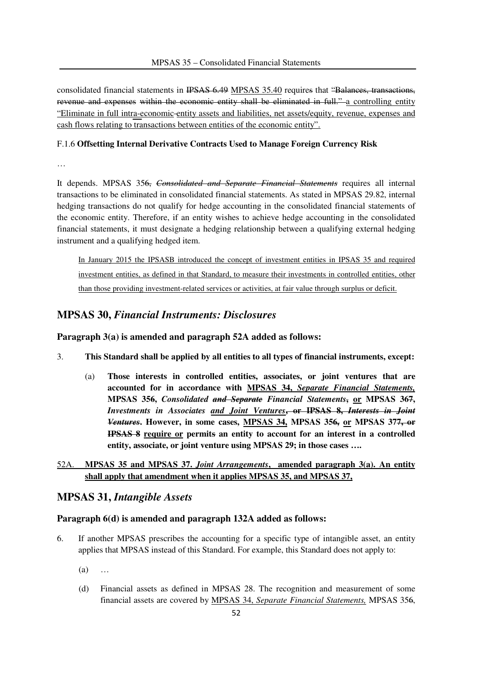consolidated financial statements in IPSAS 6.49 MPSAS 35.40 requires that "Balances, transactions, revenue and expenses within the economic entity shall be eliminated in full." a controlling entity "Eliminate in full intra-economic entity assets and liabilities, net assets/equity, revenue, expenses and cash flows relating to transactions between entities of the economic entity".

### F.1.6 **Offsetting Internal Derivative Contracts Used to Manage Foreign Currency Risk**

…

It depends. MPSAS 356, *Consolidated and Separate Financial Statements* requires all internal transactions to be eliminated in consolidated financial statements. As stated in MPSAS 29.82, internal hedging transactions do not qualify for hedge accounting in the consolidated financial statements of the economic entity. Therefore, if an entity wishes to achieve hedge accounting in the consolidated financial statements, it must designate a hedging relationship between a qualifying external hedging instrument and a qualifying hedged item.

In January 2015 the IPSASB introduced the concept of investment entities in IPSAS 35 and required investment entities, as defined in that Standard, to measure their investments in controlled entities, other than those providing investment-related services or activities, at fair value through surplus or deficit.

## **MPSAS 30,** *Financial Instruments: Disclosures*

### **Paragraph 3(a) is amended and paragraph 52A added as follows:**

- 3. **This Standard shall be applied by all entities to all types of financial instruments, except:** 
	- (a) **Those interests in controlled entities, associates, or joint ventures that are accounted for in accordance with MPSAS 34,** *Separate Financial Statements,* **MPSAS 356,** *Consolidated and Separate Financial Statements***, or MPSAS 367,** *Investments in Associates and Joint Ventures***, or IPSAS 8,** *Interests in Joint Ventures***. However, in some cases, MPSAS 34, MPSAS 356, or MPSAS 377, or IPSAS 8 require or permits an entity to account for an interest in a controlled entity, associate, or joint venture using MPSAS 29; in those cases ….**

## 52A. **MPSAS 35 and MPSAS 37.** *Joint Arrangements***, amended paragraph 3(a). An entity shall apply that amendment when it applies MPSAS 35, and MPSAS 37,**

## **MPSAS 31,** *Intangible Assets*

#### **Paragraph 6(d) is amended and paragraph 132A added as follows:**

- 6. If another MPSAS prescribes the accounting for a specific type of intangible asset, an entity applies that MPSAS instead of this Standard. For example, this Standard does not apply to:
	- (a) …
	- (d) Financial assets as defined in MPSAS 28. The recognition and measurement of some financial assets are covered by MPSAS 34, *Separate Financial Statements,* MPSAS 356,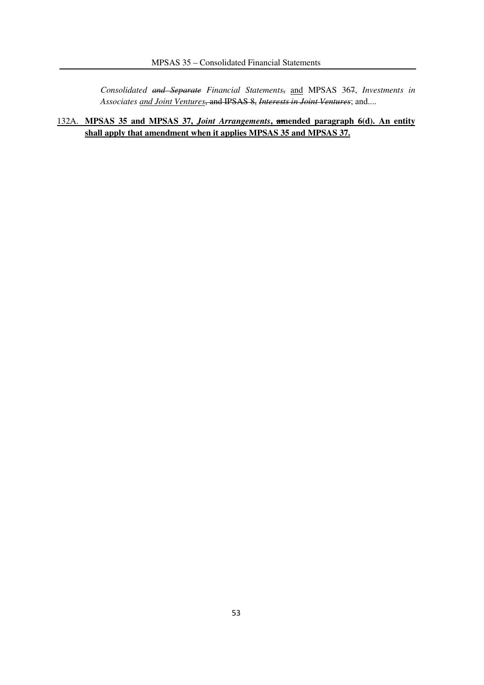*Consolidated and Separate Financial Statements*, and MPSAS 367, *Investments in Associates and Joint Ventures*, and IPSAS 8, *Interests in Joint Ventures*; and....

132A. **MPSAS 35 and MPSAS 37,** *Joint Arrangements***, amended paragraph 6(d). An entity shall apply that amendment when it applies MPSAS 35 and MPSAS 37.**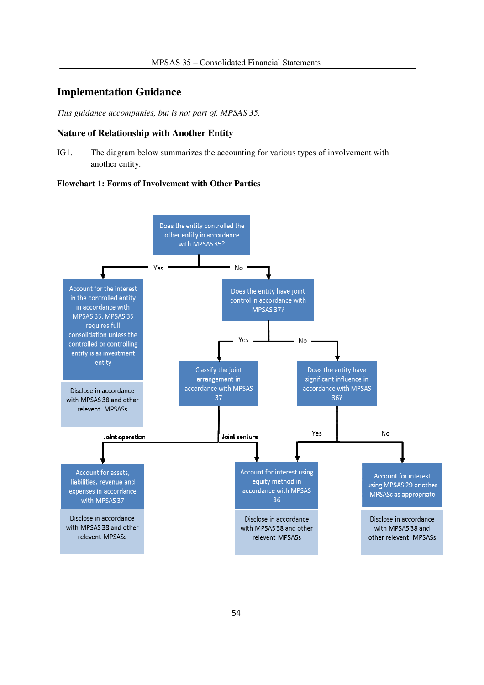## **Implementation Guidance**

*This guidance accompanies, but is not part of, MPSAS 35.*

### **Nature of Relationship with Another Entity**

IG1. The diagram below summarizes the accounting for various types of involvement with another entity.

#### **Flowchart 1: Forms of Involvement with Other Parties**

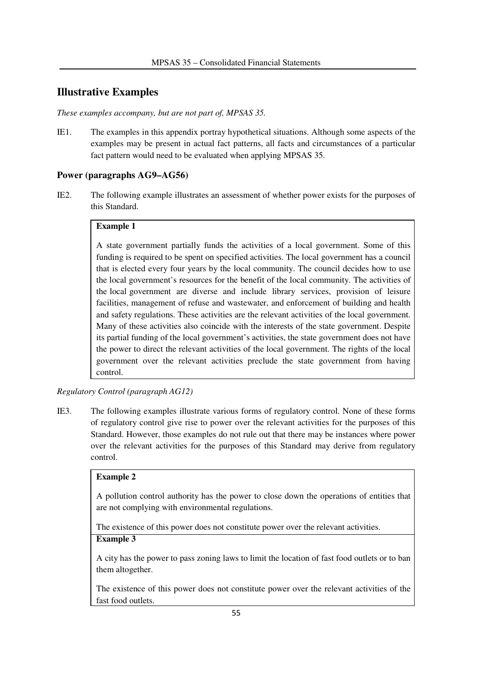## **Illustrative Examples**

*These examples accompany, but are not part of, MPSAS 35.* 

IE1. The examples in this appendix portray hypothetical situations. Although some aspects of the examples may be present in actual fact patterns, all facts and circumstances of a particular fact pattern would need to be evaluated when applying MPSAS 35.

## **Power (paragraphs AG9–AG56)**

IE2. The following example illustrates an assessment of whether power exists for the purposes of this Standard.

## **Example 1**

A state government partially funds the activities of a local government. Some of this funding is required to be spent on specified activities. The local government has a council that is elected every four years by the local community. The council decides how to use the local government's resources for the benefit of the local community. The activities of the local government are diverse and include library services, provision of leisure facilities, management of refuse and wastewater, and enforcement of building and health and safety regulations. These activities are the relevant activities of the local government. Many of these activities also coincide with the interests of the state government. Despite its partial funding of the local government's activities, the state government does not have the power to direct the relevant activities of the local government. The rights of the local government over the relevant activities preclude the state government from having control.

*Regulatory Control (paragraph AG12)* 

IE3. The following examples illustrate various forms of regulatory control. None of these forms of regulatory control give rise to power over the relevant activities for the purposes of this Standard. However, those examples do not rule out that there may be instances where power over the relevant activities for the purposes of this Standard may derive from regulatory control.

#### **Example 2**

A pollution control authority has the power to close down the operations of entities that are not complying with environmental regulations.

The existence of this power does not constitute power over the relevant activities.

#### **Example 3**

A city has the power to pass zoning laws to limit the location of fast food outlets or to ban them altogether.

The existence of this power does not constitute power over the relevant activities of the fast food outlets.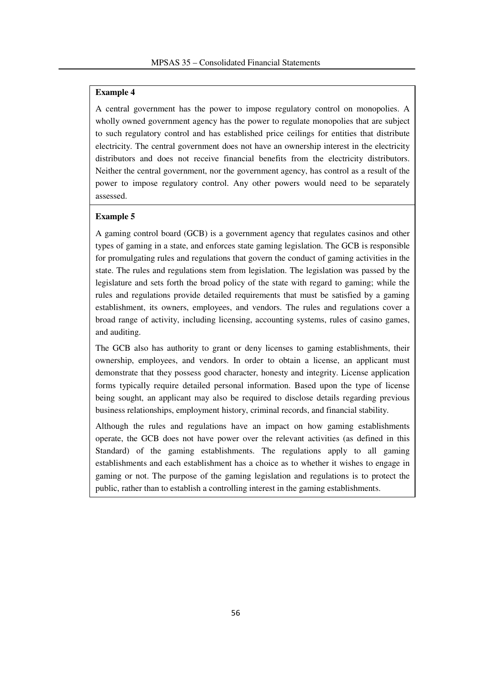A central government has the power to impose regulatory control on monopolies. A wholly owned government agency has the power to regulate monopolies that are subject to such regulatory control and has established price ceilings for entities that distribute electricity. The central government does not have an ownership interest in the electricity distributors and does not receive financial benefits from the electricity distributors. Neither the central government, nor the government agency, has control as a result of the power to impose regulatory control. Any other powers would need to be separately assessed.

#### **Example 5**

A gaming control board (GCB) is a government agency that regulates casinos and other types of gaming in a state, and enforces state gaming legislation. The GCB is responsible for promulgating rules and regulations that govern the conduct of gaming activities in the state. The rules and regulations stem from legislation. The legislation was passed by the legislature and sets forth the broad policy of the state with regard to gaming; while the rules and regulations provide detailed requirements that must be satisfied by a gaming establishment, its owners, employees, and vendors. The rules and regulations cover a broad range of activity, including licensing, accounting systems, rules of casino games, and auditing.

The GCB also has authority to grant or deny licenses to gaming establishments, their ownership, employees, and vendors. In order to obtain a license, an applicant must demonstrate that they possess good character, honesty and integrity. License application forms typically require detailed personal information. Based upon the type of license being sought, an applicant may also be required to disclose details regarding previous business relationships, employment history, criminal records, and financial stability.

Although the rules and regulations have an impact on how gaming establishments operate, the GCB does not have power over the relevant activities (as defined in this Standard) of the gaming establishments. The regulations apply to all gaming establishments and each establishment has a choice as to whether it wishes to engage in gaming or not. The purpose of the gaming legislation and regulations is to protect the public, rather than to establish a controlling interest in the gaming establishments.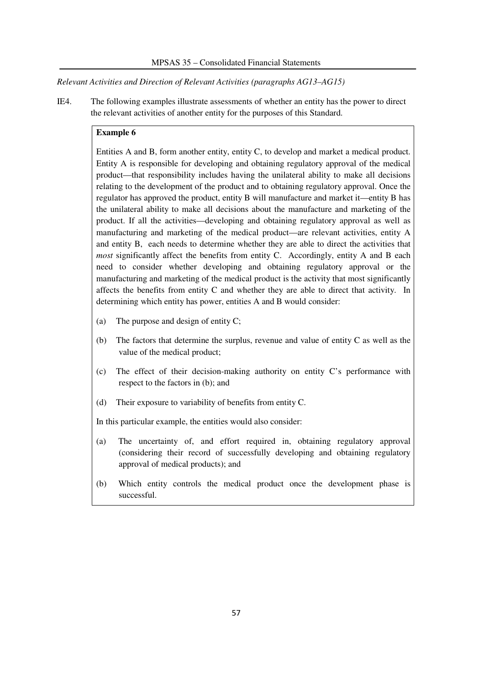#### *Relevant Activities and Direction of Relevant Activities (paragraphs AG13–AG15)*

IE4. The following examples illustrate assessments of whether an entity has the power to direct the relevant activities of another entity for the purposes of this Standard.

## **Example 6**

Entities A and B, form another entity, entity C, to develop and market a medical product. Entity A is responsible for developing and obtaining regulatory approval of the medical product—that responsibility includes having the unilateral ability to make all decisions relating to the development of the product and to obtaining regulatory approval. Once the regulator has approved the product, entity B will manufacture and market it—entity B has the unilateral ability to make all decisions about the manufacture and marketing of the product. If all the activities—developing and obtaining regulatory approval as well as manufacturing and marketing of the medical product—are relevant activities, entity A and entity B, each needs to determine whether they are able to direct the activities that *most* significantly affect the benefits from entity C. Accordingly, entity A and B each need to consider whether developing and obtaining regulatory approval or the manufacturing and marketing of the medical product is the activity that most significantly affects the benefits from entity C and whether they are able to direct that activity. In determining which entity has power, entities A and B would consider:

- (a) The purpose and design of entity C;
- (b) The factors that determine the surplus, revenue and value of entity C as well as the value of the medical product;
- (c) The effect of their decision-making authority on entity C's performance with respect to the factors in (b); and
- (d) Their exposure to variability of benefits from entity C.

In this particular example, the entities would also consider:

- (a) The uncertainty of, and effort required in, obtaining regulatory approval (considering their record of successfully developing and obtaining regulatory approval of medical products); and
- (b) Which entity controls the medical product once the development phase is successful.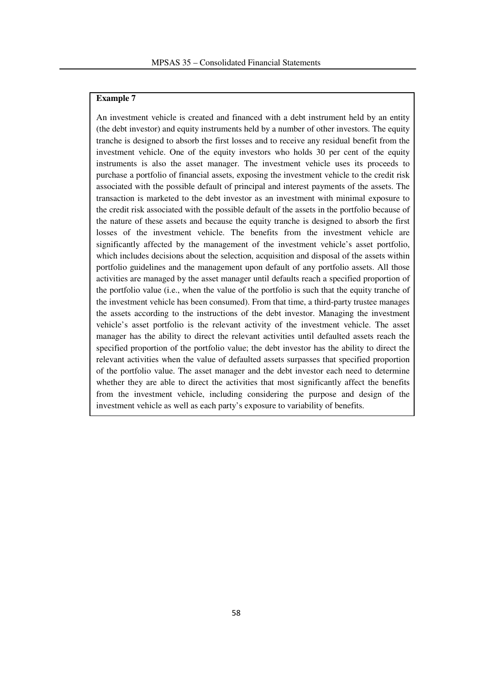An investment vehicle is created and financed with a debt instrument held by an entity (the debt investor) and equity instruments held by a number of other investors. The equity tranche is designed to absorb the first losses and to receive any residual benefit from the investment vehicle. One of the equity investors who holds 30 per cent of the equity instruments is also the asset manager. The investment vehicle uses its proceeds to purchase a portfolio of financial assets, exposing the investment vehicle to the credit risk associated with the possible default of principal and interest payments of the assets. The transaction is marketed to the debt investor as an investment with minimal exposure to the credit risk associated with the possible default of the assets in the portfolio because of the nature of these assets and because the equity tranche is designed to absorb the first losses of the investment vehicle. The benefits from the investment vehicle are significantly affected by the management of the investment vehicle's asset portfolio, which includes decisions about the selection, acquisition and disposal of the assets within portfolio guidelines and the management upon default of any portfolio assets. All those activities are managed by the asset manager until defaults reach a specified proportion of the portfolio value (i.e., when the value of the portfolio is such that the equity tranche of the investment vehicle has been consumed). From that time, a third-party trustee manages the assets according to the instructions of the debt investor. Managing the investment vehicle's asset portfolio is the relevant activity of the investment vehicle. The asset manager has the ability to direct the relevant activities until defaulted assets reach the specified proportion of the portfolio value; the debt investor has the ability to direct the relevant activities when the value of defaulted assets surpasses that specified proportion of the portfolio value. The asset manager and the debt investor each need to determine whether they are able to direct the activities that most significantly affect the benefits from the investment vehicle, including considering the purpose and design of the investment vehicle as well as each party's exposure to variability of benefits.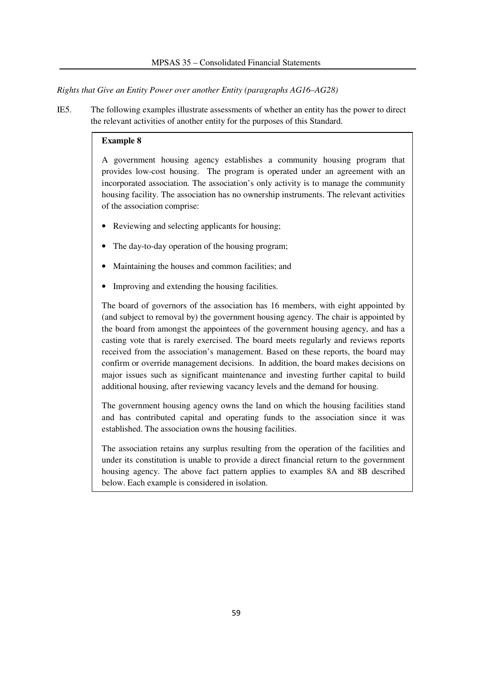*Rights that Give an Entity Power over another Entity (paragraphs AG16–AG28)*

IE5. The following examples illustrate assessments of whether an entity has the power to direct the relevant activities of another entity for the purposes of this Standard.

#### **Example 8**

A government housing agency establishes a community housing program that provides low-cost housing. The program is operated under an agreement with an incorporated association. The association's only activity is to manage the community housing facility. The association has no ownership instruments. The relevant activities of the association comprise:

- Reviewing and selecting applicants for housing;
- The day-to-day operation of the housing program:
- Maintaining the houses and common facilities; and
- Improving and extending the housing facilities.

The board of governors of the association has 16 members, with eight appointed by (and subject to removal by) the government housing agency. The chair is appointed by the board from amongst the appointees of the government housing agency, and has a casting vote that is rarely exercised. The board meets regularly and reviews reports received from the association's management. Based on these reports, the board may confirm or override management decisions. In addition, the board makes decisions on major issues such as significant maintenance and investing further capital to build additional housing, after reviewing vacancy levels and the demand for housing.

The government housing agency owns the land on which the housing facilities stand and has contributed capital and operating funds to the association since it was established. The association owns the housing facilities.

The association retains any surplus resulting from the operation of the facilities and under its constitution is unable to provide a direct financial return to the government housing agency. The above fact pattern applies to examples 8A and 8B described below. Each example is considered in isolation.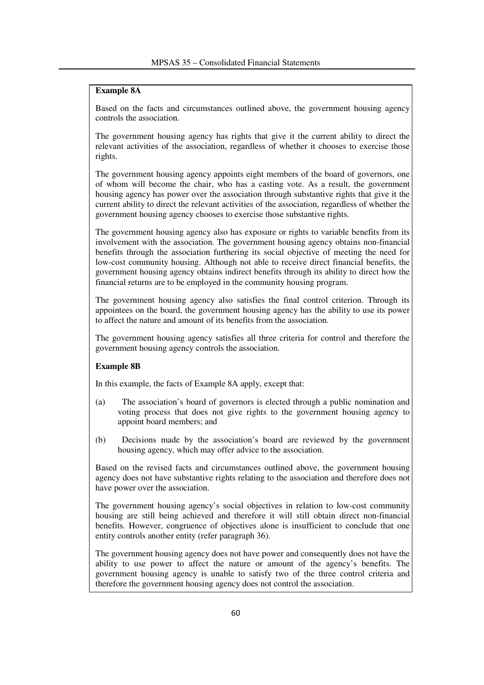## **Example 8A**

Based on the facts and circumstances outlined above, the government housing agency controls the association.

The government housing agency has rights that give it the current ability to direct the relevant activities of the association, regardless of whether it chooses to exercise those rights.

The government housing agency appoints eight members of the board of governors, one of whom will become the chair, who has a casting vote. As a result, the government housing agency has power over the association through substantive rights that give it the current ability to direct the relevant activities of the association, regardless of whether the government housing agency chooses to exercise those substantive rights.

The government housing agency also has exposure or rights to variable benefits from its involvement with the association. The government housing agency obtains non-financial benefits through the association furthering its social objective of meeting the need for low-cost community housing. Although not able to receive direct financial benefits, the government housing agency obtains indirect benefits through its ability to direct how the financial returns are to be employed in the community housing program.

The government housing agency also satisfies the final control criterion. Through its appointees on the board, the government housing agency has the ability to use its power to affect the nature and amount of its benefits from the association.

The government housing agency satisfies all three criteria for control and therefore the government housing agency controls the association.

#### **Example 8B**

In this example, the facts of Example 8A apply, except that:

- (a) The association's board of governors is elected through a public nomination and voting process that does not give rights to the government housing agency to appoint board members; and
- (b) Decisions made by the association's board are reviewed by the government housing agency, which may offer advice to the association.

Based on the revised facts and circumstances outlined above, the government housing agency does not have substantive rights relating to the association and therefore does not have power over the association.

The government housing agency's social objectives in relation to low-cost community housing are still being achieved and therefore it will still obtain direct non-financial benefits. However, congruence of objectives alone is insufficient to conclude that one entity controls another entity (refer paragraph 36).

The government housing agency does not have power and consequently does not have the ability to use power to affect the nature or amount of the agency's benefits. The government housing agency is unable to satisfy two of the three control criteria and therefore the government housing agency does not control the association.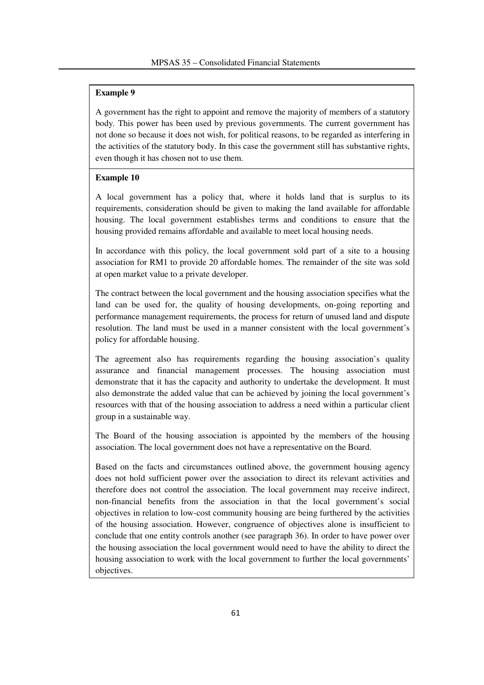A government has the right to appoint and remove the majority of members of a statutory body. This power has been used by previous governments. The current government has not done so because it does not wish, for political reasons, to be regarded as interfering in the activities of the statutory body. In this case the government still has substantive rights, even though it has chosen not to use them.

### **Example 10**

A local government has a policy that, where it holds land that is surplus to its requirements, consideration should be given to making the land available for affordable housing. The local government establishes terms and conditions to ensure that the housing provided remains affordable and available to meet local housing needs.

In accordance with this policy, the local government sold part of a site to a housing association for RM1 to provide 20 affordable homes. The remainder of the site was sold at open market value to a private developer.

The contract between the local government and the housing association specifies what the land can be used for, the quality of housing developments, on-going reporting and performance management requirements, the process for return of unused land and dispute resolution. The land must be used in a manner consistent with the local government's policy for affordable housing.

The agreement also has requirements regarding the housing association's quality assurance and financial management processes. The housing association must demonstrate that it has the capacity and authority to undertake the development. It must also demonstrate the added value that can be achieved by joining the local government's resources with that of the housing association to address a need within a particular client group in a sustainable way.

The Board of the housing association is appointed by the members of the housing association. The local government does not have a representative on the Board.

Based on the facts and circumstances outlined above, the government housing agency does not hold sufficient power over the association to direct its relevant activities and therefore does not control the association. The local government may receive indirect, non-financial benefits from the association in that the local government's social objectives in relation to low-cost community housing are being furthered by the activities of the housing association. However, congruence of objectives alone is insufficient to conclude that one entity controls another (see paragraph 36). In order to have power over the housing association the local government would need to have the ability to direct the housing association to work with the local government to further the local governments' objectives.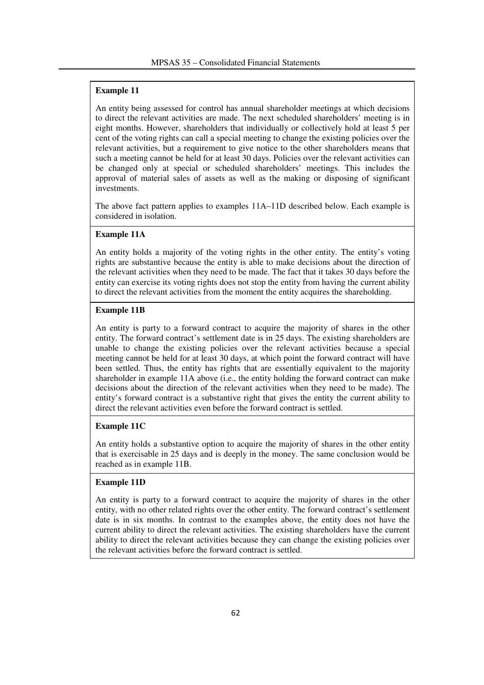An entity being assessed for control has annual shareholder meetings at which decisions to direct the relevant activities are made. The next scheduled shareholders' meeting is in eight months. However, shareholders that individually or collectively hold at least 5 per cent of the voting rights can call a special meeting to change the existing policies over the relevant activities, but a requirement to give notice to the other shareholders means that such a meeting cannot be held for at least 30 days. Policies over the relevant activities can be changed only at special or scheduled shareholders' meetings. This includes the approval of material sales of assets as well as the making or disposing of significant investments.

The above fact pattern applies to examples 11A–11D described below. Each example is considered in isolation.

#### **Example 11A**

An entity holds a majority of the voting rights in the other entity. The entity's voting rights are substantive because the entity is able to make decisions about the direction of the relevant activities when they need to be made. The fact that it takes 30 days before the entity can exercise its voting rights does not stop the entity from having the current ability to direct the relevant activities from the moment the entity acquires the shareholding.

#### **Example 11B**

An entity is party to a forward contract to acquire the majority of shares in the other entity. The forward contract's settlement date is in 25 days. The existing shareholders are unable to change the existing policies over the relevant activities because a special meeting cannot be held for at least 30 days, at which point the forward contract will have been settled. Thus, the entity has rights that are essentially equivalent to the majority shareholder in example 11A above (i.e., the entity holding the forward contract can make decisions about the direction of the relevant activities when they need to be made). The entity's forward contract is a substantive right that gives the entity the current ability to direct the relevant activities even before the forward contract is settled.

#### **Example 11C**

An entity holds a substantive option to acquire the majority of shares in the other entity that is exercisable in 25 days and is deeply in the money. The same conclusion would be reached as in example 11B.

#### **Example 11D**

An entity is party to a forward contract to acquire the majority of shares in the other entity, with no other related rights over the other entity. The forward contract's settlement date is in six months. In contrast to the examples above, the entity does not have the current ability to direct the relevant activities. The existing shareholders have the current ability to direct the relevant activities because they can change the existing policies over the relevant activities before the forward contract is settled.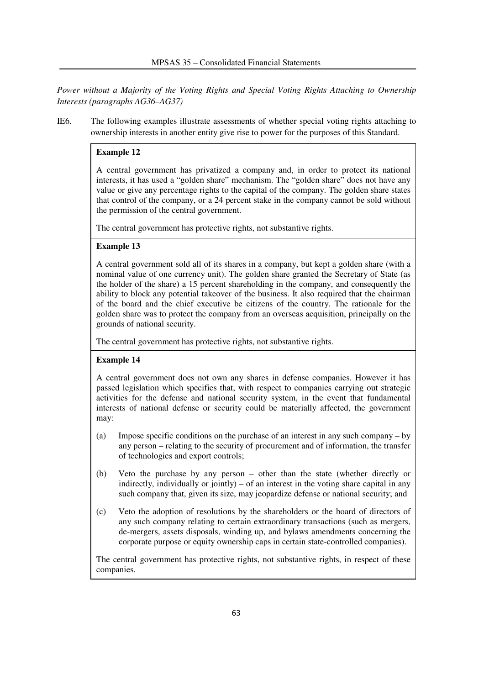*Power without a Majority of the Voting Rights and Special Voting Rights Attaching to Ownership Interests (paragraphs AG36–AG37)*

IE6. The following examples illustrate assessments of whether special voting rights attaching to ownership interests in another entity give rise to power for the purposes of this Standard.

### **Example 12**

A central government has privatized a company and, in order to protect its national interests, it has used a "golden share" mechanism. The "golden share" does not have any value or give any percentage rights to the capital of the company. The golden share states that control of the company, or a 24 percent stake in the company cannot be sold without the permission of the central government.

The central government has protective rights, not substantive rights.

## **Example 13**

A central government sold all of its shares in a company, but kept a golden share (with a nominal value of one currency unit). The golden share granted the Secretary of State (as the holder of the share) a 15 percent shareholding in the company, and consequently the ability to block any potential takeover of the business. It also required that the chairman of the board and the chief executive be citizens of the country. The rationale for the golden share was to protect the company from an overseas acquisition, principally on the grounds of national security.

The central government has protective rights, not substantive rights.

### **Example 14**

A central government does not own any shares in defense companies. However it has passed legislation which specifies that, with respect to companies carrying out strategic activities for the defense and national security system, in the event that fundamental interests of national defense or security could be materially affected, the government may:

- (a) Impose specific conditions on the purchase of an interest in any such company by any person – relating to the security of procurement and of information, the transfer of technologies and export controls;
- (b) Veto the purchase by any person other than the state (whether directly or indirectly, individually or jointly) – of an interest in the voting share capital in any such company that, given its size, may jeopardize defense or national security; and
- (c) Veto the adoption of resolutions by the shareholders or the board of directors of any such company relating to certain extraordinary transactions (such as mergers, de-mergers, assets disposals, winding up, and bylaws amendments concerning the corporate purpose or equity ownership caps in certain state-controlled companies).

The central government has protective rights, not substantive rights, in respect of these companies.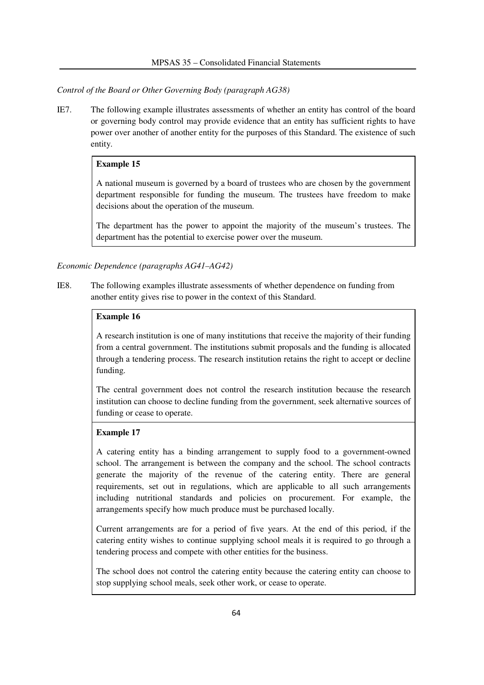#### *Control of the Board or Other Governing Body (paragraph AG38)*

IE7. The following example illustrates assessments of whether an entity has control of the board or governing body control may provide evidence that an entity has sufficient rights to have power over another of another entity for the purposes of this Standard. The existence of such entity.

### **Example 15**

A national museum is governed by a board of trustees who are chosen by the government department responsible for funding the museum. The trustees have freedom to make decisions about the operation of the museum.

The department has the power to appoint the majority of the museum's trustees. The department has the potential to exercise power over the museum.

### *Economic Dependence (paragraphs AG41–AG42)*

IE8. The following examples illustrate assessments of whether dependence on funding from another entity gives rise to power in the context of this Standard.

### **Example 16**

A research institution is one of many institutions that receive the majority of their funding from a central government. The institutions submit proposals and the funding is allocated through a tendering process. The research institution retains the right to accept or decline funding.

The central government does not control the research institution because the research institution can choose to decline funding from the government, seek alternative sources of funding or cease to operate.

## **Example 17**

A catering entity has a binding arrangement to supply food to a government-owned school. The arrangement is between the company and the school. The school contracts generate the majority of the revenue of the catering entity. There are general requirements, set out in regulations, which are applicable to all such arrangements including nutritional standards and policies on procurement. For example, the arrangements specify how much produce must be purchased locally.

Current arrangements are for a period of five years. At the end of this period, if the catering entity wishes to continue supplying school meals it is required to go through a tendering process and compete with other entities for the business.

The school does not control the catering entity because the catering entity can choose to stop supplying school meals, seek other work, or cease to operate.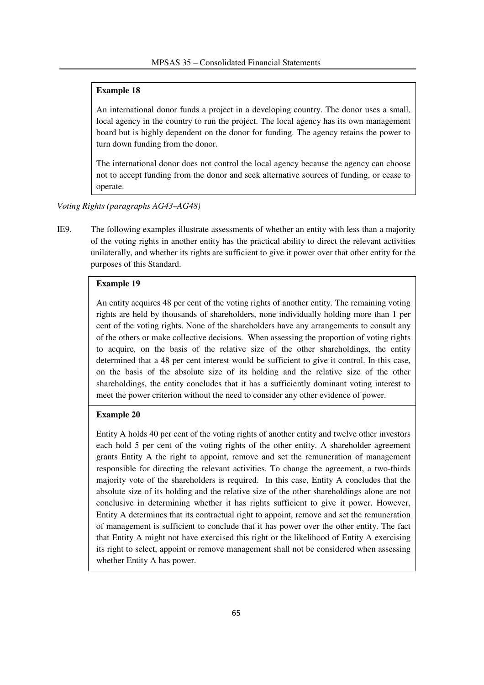An international donor funds a project in a developing country. The donor uses a small, local agency in the country to run the project. The local agency has its own management board but is highly dependent on the donor for funding. The agency retains the power to turn down funding from the donor.

The international donor does not control the local agency because the agency can choose not to accept funding from the donor and seek alternative sources of funding, or cease to operate.

*Voting Rights (paragraphs AG43–AG48)*

IE9. The following examples illustrate assessments of whether an entity with less than a majority of the voting rights in another entity has the practical ability to direct the relevant activities unilaterally, and whether its rights are sufficient to give it power over that other entity for the purposes of this Standard.

### **Example 19**

An entity acquires 48 per cent of the voting rights of another entity. The remaining voting rights are held by thousands of shareholders, none individually holding more than 1 per cent of the voting rights. None of the shareholders have any arrangements to consult any of the others or make collective decisions. When assessing the proportion of voting rights to acquire, on the basis of the relative size of the other shareholdings, the entity determined that a 48 per cent interest would be sufficient to give it control. In this case, on the basis of the absolute size of its holding and the relative size of the other shareholdings, the entity concludes that it has a sufficiently dominant voting interest to meet the power criterion without the need to consider any other evidence of power.

#### **Example 20**

Entity A holds 40 per cent of the voting rights of another entity and twelve other investors each hold 5 per cent of the voting rights of the other entity. A shareholder agreement grants Entity A the right to appoint, remove and set the remuneration of management responsible for directing the relevant activities. To change the agreement, a two-thirds majority vote of the shareholders is required. In this case, Entity A concludes that the absolute size of its holding and the relative size of the other shareholdings alone are not conclusive in determining whether it has rights sufficient to give it power. However, Entity A determines that its contractual right to appoint, remove and set the remuneration of management is sufficient to conclude that it has power over the other entity. The fact that Entity A might not have exercised this right or the likelihood of Entity A exercising its right to select, appoint or remove management shall not be considered when assessing whether Entity A has power.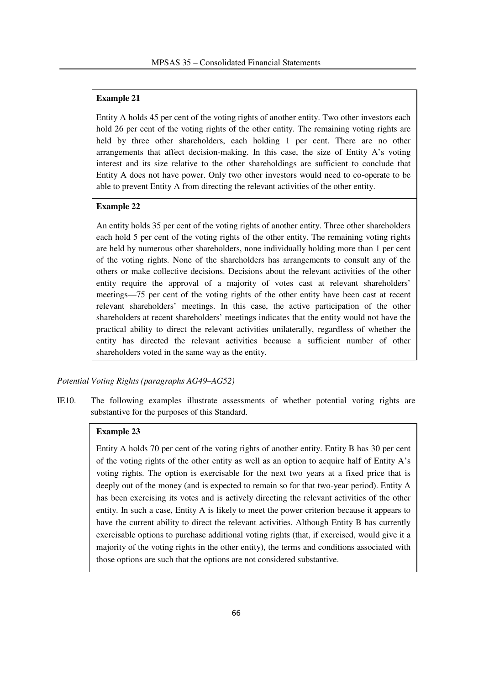Entity A holds 45 per cent of the voting rights of another entity. Two other investors each hold 26 per cent of the voting rights of the other entity. The remaining voting rights are held by three other shareholders, each holding 1 per cent. There are no other arrangements that affect decision-making. In this case, the size of Entity A's voting interest and its size relative to the other shareholdings are sufficient to conclude that Entity A does not have power. Only two other investors would need to co-operate to be able to prevent Entity A from directing the relevant activities of the other entity.

## **Example 22**

An entity holds 35 per cent of the voting rights of another entity. Three other shareholders each hold 5 per cent of the voting rights of the other entity. The remaining voting rights are held by numerous other shareholders, none individually holding more than 1 per cent of the voting rights. None of the shareholders has arrangements to consult any of the others or make collective decisions. Decisions about the relevant activities of the other entity require the approval of a majority of votes cast at relevant shareholders' meetings—75 per cent of the voting rights of the other entity have been cast at recent relevant shareholders' meetings. In this case, the active participation of the other shareholders at recent shareholders' meetings indicates that the entity would not have the practical ability to direct the relevant activities unilaterally, regardless of whether the entity has directed the relevant activities because a sufficient number of other shareholders voted in the same way as the entity.

#### *Potential Voting Rights (paragraphs AG49–AG52)*

IE10. The following examples illustrate assessments of whether potential voting rights are substantive for the purposes of this Standard.

## **Example 23**

Entity A holds 70 per cent of the voting rights of another entity. Entity B has 30 per cent of the voting rights of the other entity as well as an option to acquire half of Entity A's voting rights. The option is exercisable for the next two years at a fixed price that is deeply out of the money (and is expected to remain so for that two-year period). Entity A has been exercising its votes and is actively directing the relevant activities of the other entity. In such a case, Entity A is likely to meet the power criterion because it appears to have the current ability to direct the relevant activities. Although Entity B has currently exercisable options to purchase additional voting rights (that, if exercised, would give it a majority of the voting rights in the other entity), the terms and conditions associated with those options are such that the options are not considered substantive.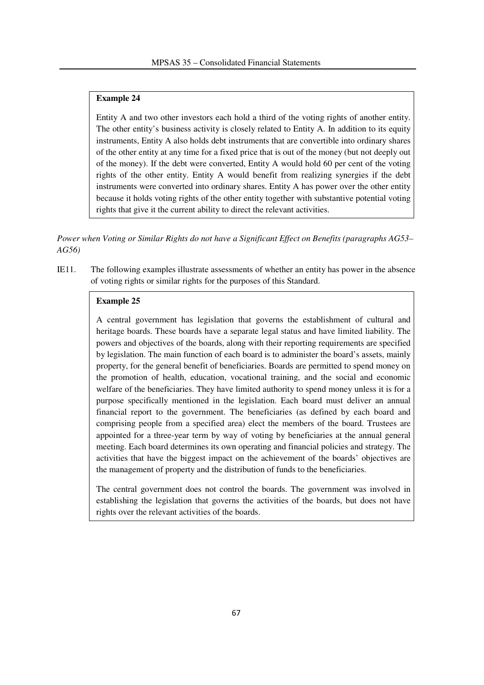Entity A and two other investors each hold a third of the voting rights of another entity. The other entity's business activity is closely related to Entity A. In addition to its equity instruments, Entity A also holds debt instruments that are convertible into ordinary shares of the other entity at any time for a fixed price that is out of the money (but not deeply out of the money). If the debt were converted, Entity A would hold 60 per cent of the voting rights of the other entity. Entity A would benefit from realizing synergies if the debt instruments were converted into ordinary shares. Entity A has power over the other entity because it holds voting rights of the other entity together with substantive potential voting rights that give it the current ability to direct the relevant activities.

*Power when Voting or Similar Rights do not have a Significant Effect on Benefits (paragraphs AG53– AG56)*

IE11. The following examples illustrate assessments of whether an entity has power in the absence of voting rights or similar rights for the purposes of this Standard.

## **Example 25**

A central government has legislation that governs the establishment of cultural and heritage boards. These boards have a separate legal status and have limited liability. The powers and objectives of the boards, along with their reporting requirements are specified by legislation. The main function of each board is to administer the board's assets, mainly property, for the general benefit of beneficiaries. Boards are permitted to spend money on the promotion of health, education, vocational training, and the social and economic welfare of the beneficiaries. They have limited authority to spend money unless it is for a purpose specifically mentioned in the legislation. Each board must deliver an annual financial report to the government. The beneficiaries (as defined by each board and comprising people from a specified area) elect the members of the board. Trustees are appointed for a three-year term by way of voting by beneficiaries at the annual general meeting. Each board determines its own operating and financial policies and strategy. The activities that have the biggest impact on the achievement of the boards' objectives are the management of property and the distribution of funds to the beneficiaries.

The central government does not control the boards. The government was involved in establishing the legislation that governs the activities of the boards, but does not have rights over the relevant activities of the boards.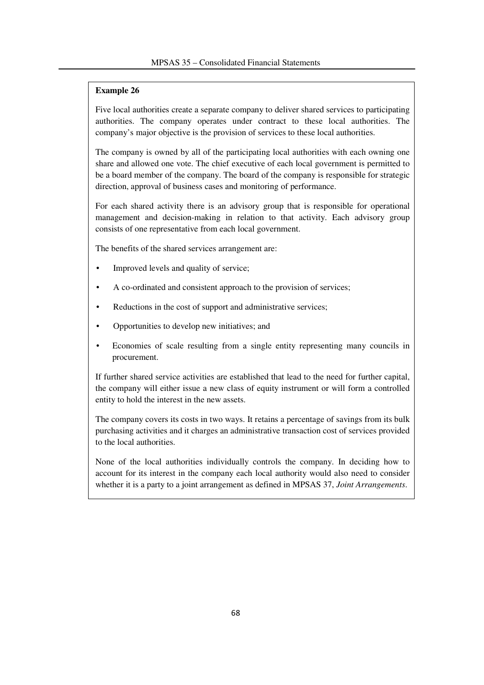Five local authorities create a separate company to deliver shared services to participating authorities. The company operates under contract to these local authorities. The company's major objective is the provision of services to these local authorities.

The company is owned by all of the participating local authorities with each owning one share and allowed one vote. The chief executive of each local government is permitted to be a board member of the company. The board of the company is responsible for strategic direction, approval of business cases and monitoring of performance.

For each shared activity there is an advisory group that is responsible for operational management and decision-making in relation to that activity. Each advisory group consists of one representative from each local government.

The benefits of the shared services arrangement are:

- Improved levels and quality of service;
- A co-ordinated and consistent approach to the provision of services;
- Reductions in the cost of support and administrative services;
- Opportunities to develop new initiatives; and
- Economies of scale resulting from a single entity representing many councils in procurement.

If further shared service activities are established that lead to the need for further capital, the company will either issue a new class of equity instrument or will form a controlled entity to hold the interest in the new assets.

The company covers its costs in two ways. It retains a percentage of savings from its bulk purchasing activities and it charges an administrative transaction cost of services provided to the local authorities.

None of the local authorities individually controls the company. In deciding how to account for its interest in the company each local authority would also need to consider whether it is a party to a joint arrangement as defined in MPSAS 37, *Joint Arrangements*.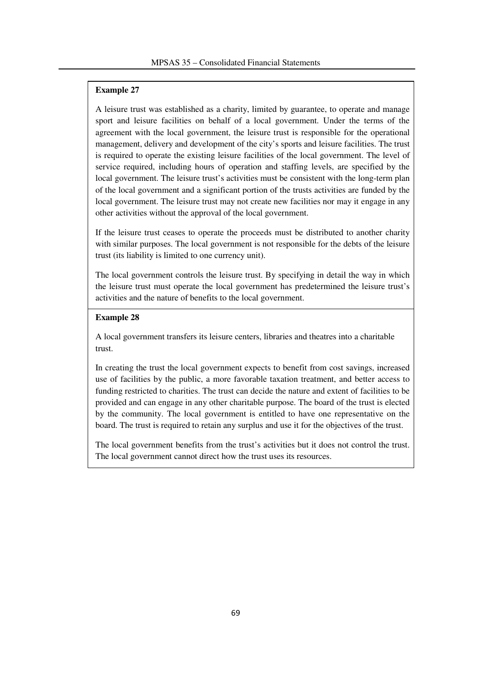A leisure trust was established as a charity, limited by guarantee, to operate and manage sport and leisure facilities on behalf of a local government. Under the terms of the agreement with the local government, the leisure trust is responsible for the operational management, delivery and development of the city's sports and leisure facilities. The trust is required to operate the existing leisure facilities of the local government. The level of service required, including hours of operation and staffing levels, are specified by the local government. The leisure trust's activities must be consistent with the long-term plan of the local government and a significant portion of the trusts activities are funded by the local government. The leisure trust may not create new facilities nor may it engage in any other activities without the approval of the local government.

If the leisure trust ceases to operate the proceeds must be distributed to another charity with similar purposes. The local government is not responsible for the debts of the leisure trust (its liability is limited to one currency unit).

The local government controls the leisure trust. By specifying in detail the way in which the leisure trust must operate the local government has predetermined the leisure trust's activities and the nature of benefits to the local government.

#### **Example 28**

A local government transfers its leisure centers, libraries and theatres into a charitable trust.

In creating the trust the local government expects to benefit from cost savings, increased use of facilities by the public, a more favorable taxation treatment, and better access to funding restricted to charities. The trust can decide the nature and extent of facilities to be provided and can engage in any other charitable purpose. The board of the trust is elected by the community. The local government is entitled to have one representative on the board. The trust is required to retain any surplus and use it for the objectives of the trust.

The local government benefits from the trust's activities but it does not control the trust. The local government cannot direct how the trust uses its resources.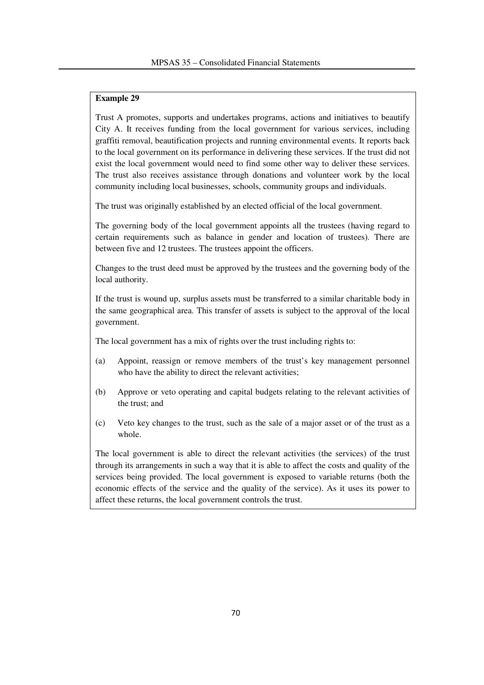Trust A promotes, supports and undertakes programs, actions and initiatives to beautify City A. It receives funding from the local government for various services, including graffiti removal, beautification projects and running environmental events. It reports back to the local government on its performance in delivering these services. If the trust did not exist the local government would need to find some other way to deliver these services. The trust also receives assistance through donations and volunteer work by the local community including local businesses, schools, community groups and individuals.

The trust was originally established by an elected official of the local government.

The governing body of the local government appoints all the trustees (having regard to certain requirements such as balance in gender and location of trustees). There are between five and 12 trustees. The trustees appoint the officers.

Changes to the trust deed must be approved by the trustees and the governing body of the local authority.

If the trust is wound up, surplus assets must be transferred to a similar charitable body in the same geographical area. This transfer of assets is subject to the approval of the local government.

The local government has a mix of rights over the trust including rights to:

- (a) Appoint, reassign or remove members of the trust's key management personnel who have the ability to direct the relevant activities;
- (b) Approve or veto operating and capital budgets relating to the relevant activities of the trust; and
- (c) Veto key changes to the trust, such as the sale of a major asset or of the trust as a whole.

The local government is able to direct the relevant activities (the services) of the trust through its arrangements in such a way that it is able to affect the costs and quality of the services being provided. The local government is exposed to variable returns (both the economic effects of the service and the quality of the service). As it uses its power to affect these returns, the local government controls the trust.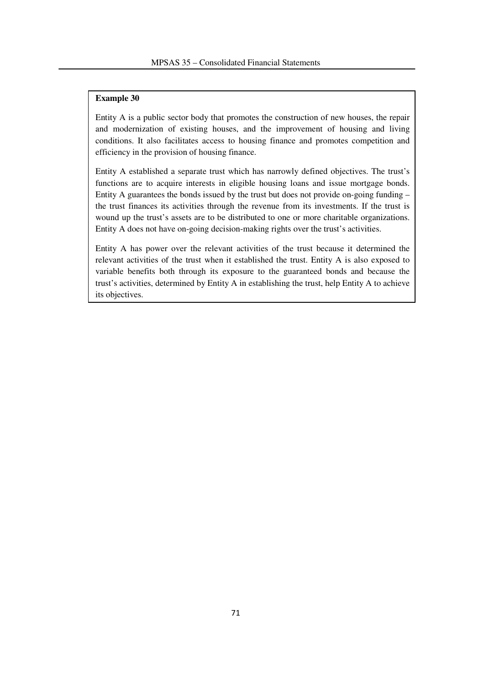Entity A is a public sector body that promotes the construction of new houses, the repair and modernization of existing houses, and the improvement of housing and living conditions. It also facilitates access to housing finance and promotes competition and efficiency in the provision of housing finance.

Entity A established a separate trust which has narrowly defined objectives. The trust's functions are to acquire interests in eligible housing loans and issue mortgage bonds. Entity A guarantees the bonds issued by the trust but does not provide on-going funding – the trust finances its activities through the revenue from its investments. If the trust is wound up the trust's assets are to be distributed to one or more charitable organizations. Entity A does not have on-going decision-making rights over the trust's activities.

Entity A has power over the relevant activities of the trust because it determined the relevant activities of the trust when it established the trust. Entity A is also exposed to variable benefits both through its exposure to the guaranteed bonds and because the trust's activities, determined by Entity A in establishing the trust, help Entity A to achieve its objectives.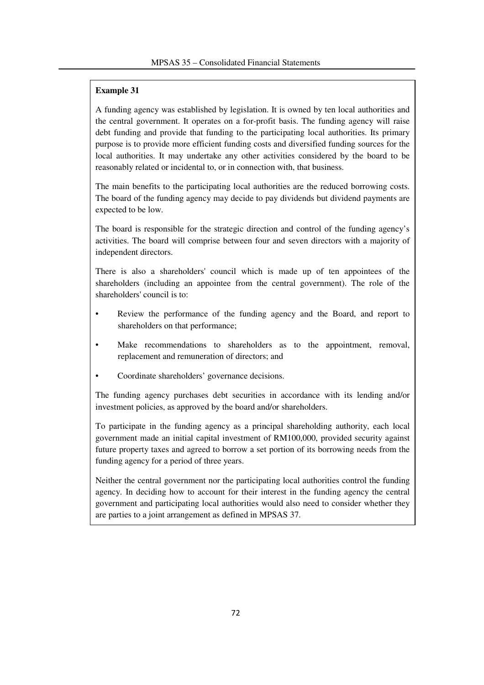A funding agency was established by legislation. It is owned by ten local authorities and the central government. It operates on a for-profit basis. The funding agency will raise debt funding and provide that funding to the participating local authorities. Its primary purpose is to provide more efficient funding costs and diversified funding sources for the local authorities. It may undertake any other activities considered by the board to be reasonably related or incidental to, or in connection with, that business.

The main benefits to the participating local authorities are the reduced borrowing costs. The board of the funding agency may decide to pay dividends but dividend payments are expected to be low.

The board is responsible for the strategic direction and control of the funding agency's activities. The board will comprise between four and seven directors with a majority of independent directors.

There is also a shareholders' council which is made up of ten appointees of the shareholders (including an appointee from the central government). The role of the shareholders' council is to:

- Review the performance of the funding agency and the Board, and report to shareholders on that performance;
- Make recommendations to shareholders as to the appointment, removal, replacement and remuneration of directors; and
- Coordinate shareholders' governance decisions.

The funding agency purchases debt securities in accordance with its lending and/or investment policies, as approved by the board and/or shareholders.

To participate in the funding agency as a principal shareholding authority, each local government made an initial capital investment of RM100,000, provided security against future property taxes and agreed to borrow a set portion of its borrowing needs from the funding agency for a period of three years.

Neither the central government nor the participating local authorities control the funding agency. In deciding how to account for their interest in the funding agency the central government and participating local authorities would also need to consider whether they are parties to a joint arrangement as defined in MPSAS 37.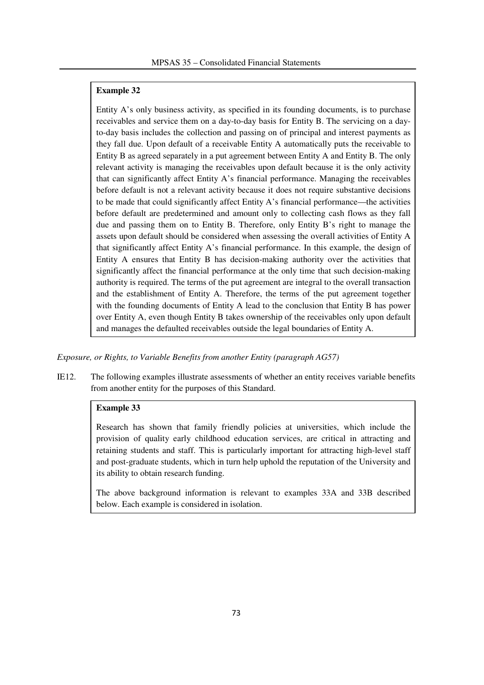Entity A's only business activity, as specified in its founding documents, is to purchase receivables and service them on a day-to-day basis for Entity B. The servicing on a dayto-day basis includes the collection and passing on of principal and interest payments as they fall due. Upon default of a receivable Entity A automatically puts the receivable to Entity B as agreed separately in a put agreement between Entity A and Entity B. The only relevant activity is managing the receivables upon default because it is the only activity that can significantly affect Entity A's financial performance. Managing the receivables before default is not a relevant activity because it does not require substantive decisions to be made that could significantly affect Entity A's financial performance—the activities before default are predetermined and amount only to collecting cash flows as they fall due and passing them on to Entity B. Therefore, only Entity B's right to manage the assets upon default should be considered when assessing the overall activities of Entity A that significantly affect Entity A's financial performance. In this example, the design of Entity A ensures that Entity B has decision-making authority over the activities that significantly affect the financial performance at the only time that such decision-making authority is required. The terms of the put agreement are integral to the overall transaction and the establishment of Entity A. Therefore, the terms of the put agreement together with the founding documents of Entity A lead to the conclusion that Entity B has power over Entity A, even though Entity B takes ownership of the receivables only upon default and manages the defaulted receivables outside the legal boundaries of Entity A.

#### *Exposure, or Rights, to Variable Benefits from another Entity (paragraph AG57)*

IE12. The following examples illustrate assessments of whether an entity receives variable benefits from another entity for the purposes of this Standard.

### **Example 33**

Research has shown that family friendly policies at universities, which include the provision of quality early childhood education services, are critical in attracting and retaining students and staff. This is particularly important for attracting high-level staff and post-graduate students, which in turn help uphold the reputation of the University and its ability to obtain research funding.

The above background information is relevant to examples 33A and 33B described below. Each example is considered in isolation.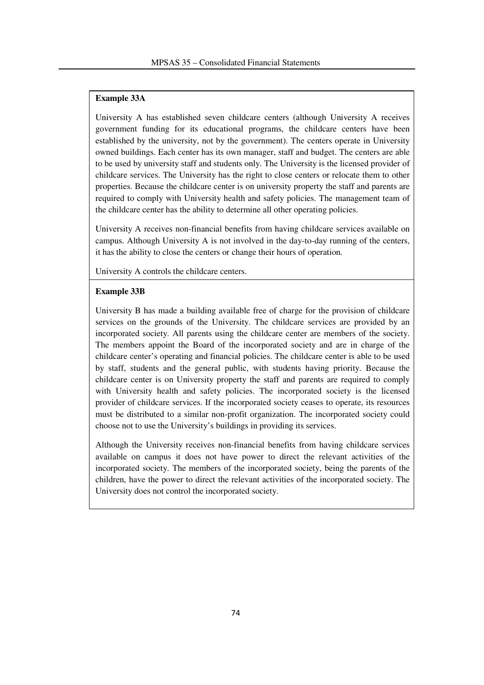## **Example 33A**

University A has established seven childcare centers (although University A receives government funding for its educational programs, the childcare centers have been established by the university, not by the government). The centers operate in University owned buildings. Each center has its own manager, staff and budget. The centers are able to be used by university staff and students only. The University is the licensed provider of childcare services. The University has the right to close centers or relocate them to other properties. Because the childcare center is on university property the staff and parents are required to comply with University health and safety policies. The management team of the childcare center has the ability to determine all other operating policies.

University A receives non-financial benefits from having childcare services available on campus. Although University A is not involved in the day-to-day running of the centers, it has the ability to close the centers or change their hours of operation.

University A controls the childcare centers.

#### **Example 33B**

University B has made a building available free of charge for the provision of childcare services on the grounds of the University. The childcare services are provided by an incorporated society. All parents using the childcare center are members of the society. The members appoint the Board of the incorporated society and are in charge of the childcare center's operating and financial policies. The childcare center is able to be used by staff, students and the general public, with students having priority. Because the childcare center is on University property the staff and parents are required to comply with University health and safety policies. The incorporated society is the licensed provider of childcare services. If the incorporated society ceases to operate, its resources must be distributed to a similar non-profit organization. The incorporated society could choose not to use the University's buildings in providing its services.

Although the University receives non-financial benefits from having childcare services available on campus it does not have power to direct the relevant activities of the incorporated society. The members of the incorporated society, being the parents of the children, have the power to direct the relevant activities of the incorporated society. The University does not control the incorporated society.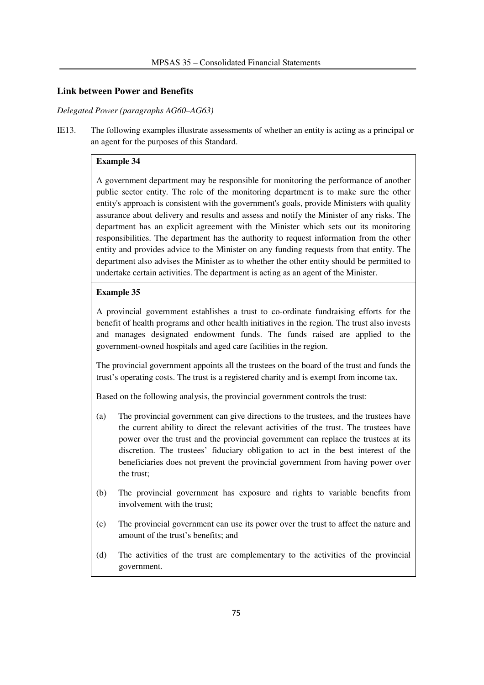### **Link between Power and Benefits**

#### *Delegated Power (paragraphs AG60–AG63)*

IE13. The following examples illustrate assessments of whether an entity is acting as a principal or an agent for the purposes of this Standard.

# **Example 34**

A government department may be responsible for monitoring the performance of another public sector entity. The role of the monitoring department is to make sure the other entity's approach is consistent with the government's goals, provide Ministers with quality assurance about delivery and results and assess and notify the Minister of any risks. The department has an explicit agreement with the Minister which sets out its monitoring responsibilities. The department has the authority to request information from the other entity and provides advice to the Minister on any funding requests from that entity. The department also advises the Minister as to whether the other entity should be permitted to undertake certain activities. The department is acting as an agent of the Minister.

### **Example 35**

A provincial government establishes a trust to co-ordinate fundraising efforts for the benefit of health programs and other health initiatives in the region. The trust also invests and manages designated endowment funds. The funds raised are applied to the government-owned hospitals and aged care facilities in the region.

The provincial government appoints all the trustees on the board of the trust and funds the trust's operating costs. The trust is a registered charity and is exempt from income tax.

Based on the following analysis, the provincial government controls the trust:

- (a) The provincial government can give directions to the trustees, and the trustees have the current ability to direct the relevant activities of the trust. The trustees have power over the trust and the provincial government can replace the trustees at its discretion. The trustees' fiduciary obligation to act in the best interest of the beneficiaries does not prevent the provincial government from having power over the trust;
- (b) The provincial government has exposure and rights to variable benefits from involvement with the trust;
- (c) The provincial government can use its power over the trust to affect the nature and amount of the trust's benefits; and
- (d) The activities of the trust are complementary to the activities of the provincial government.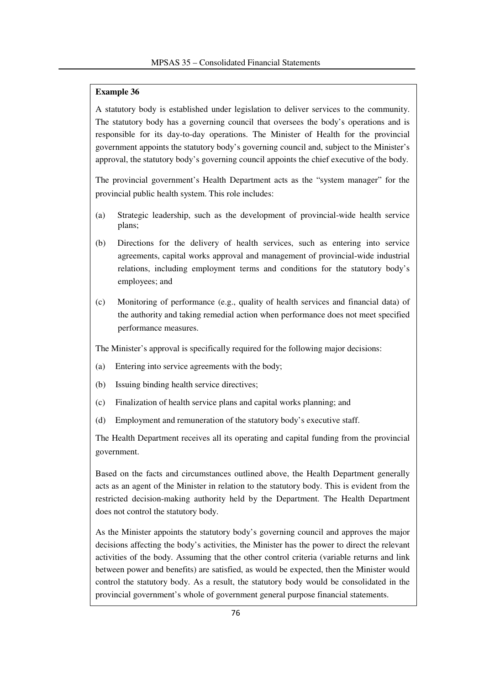A statutory body is established under legislation to deliver services to the community. The statutory body has a governing council that oversees the body's operations and is responsible for its day-to-day operations. The Minister of Health for the provincial government appoints the statutory body's governing council and, subject to the Minister's approval, the statutory body's governing council appoints the chief executive of the body.

The provincial government's Health Department acts as the "system manager" for the provincial public health system. This role includes:

- (a) Strategic leadership, such as the development of provincial-wide health service plans;
- (b) Directions for the delivery of health services, such as entering into service agreements, capital works approval and management of provincial-wide industrial relations, including employment terms and conditions for the statutory body's employees; and
- (c) Monitoring of performance (e.g., quality of health services and financial data) of the authority and taking remedial action when performance does not meet specified performance measures.

The Minister's approval is specifically required for the following major decisions:

- (a) Entering into service agreements with the body;
- (b) Issuing binding health service directives;
- (c) Finalization of health service plans and capital works planning; and
- (d) Employment and remuneration of the statutory body's executive staff.

The Health Department receives all its operating and capital funding from the provincial government.

Based on the facts and circumstances outlined above, the Health Department generally acts as an agent of the Minister in relation to the statutory body. This is evident from the restricted decision-making authority held by the Department. The Health Department does not control the statutory body.

As the Minister appoints the statutory body's governing council and approves the major decisions affecting the body's activities, the Minister has the power to direct the relevant activities of the body. Assuming that the other control criteria (variable returns and link between power and benefits) are satisfied, as would be expected, then the Minister would control the statutory body. As a result, the statutory body would be consolidated in the provincial government's whole of government general purpose financial statements.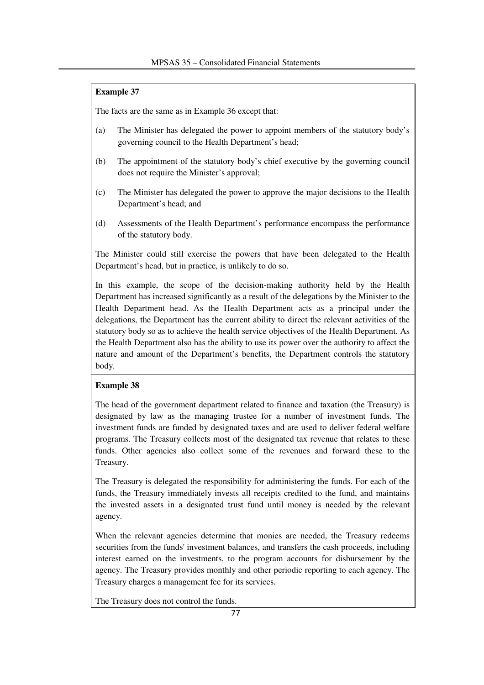The facts are the same as in Example 36 except that:

- (a) The Minister has delegated the power to appoint members of the statutory body's governing council to the Health Department's head;
- (b) The appointment of the statutory body's chief executive by the governing council does not require the Minister's approval;
- (c) The Minister has delegated the power to approve the major decisions to the Health Department's head; and
- (d) Assessments of the Health Department's performance encompass the performance of the statutory body.

The Minister could still exercise the powers that have been delegated to the Health Department's head, but in practice, is unlikely to do so.

In this example, the scope of the decision-making authority held by the Health Department has increased significantly as a result of the delegations by the Minister to the Health Department head. As the Health Department acts as a principal under the delegations, the Department has the current ability to direct the relevant activities of the statutory body so as to achieve the health service objectives of the Health Department. As the Health Department also has the ability to use its power over the authority to affect the nature and amount of the Department's benefits, the Department controls the statutory body.

### **Example 38**

The head of the government department related to finance and taxation (the Treasury) is designated by law as the managing trustee for a number of investment funds. The investment funds are funded by designated taxes and are used to deliver federal welfare programs. The Treasury collects most of the designated tax revenue that relates to these funds. Other agencies also collect some of the revenues and forward these to the Treasury.

The Treasury is delegated the responsibility for administering the funds. For each of the funds, the Treasury immediately invests all receipts credited to the fund, and maintains the invested assets in a designated trust fund until money is needed by the relevant agency.

When the relevant agencies determine that monies are needed, the Treasury redeems securities from the funds' investment balances, and transfers the cash proceeds, including interest earned on the investments, to the program accounts for disbursement by the agency. The Treasury provides monthly and other periodic reporting to each agency. The Treasury charges a management fee for its services.

The Treasury does not control the funds.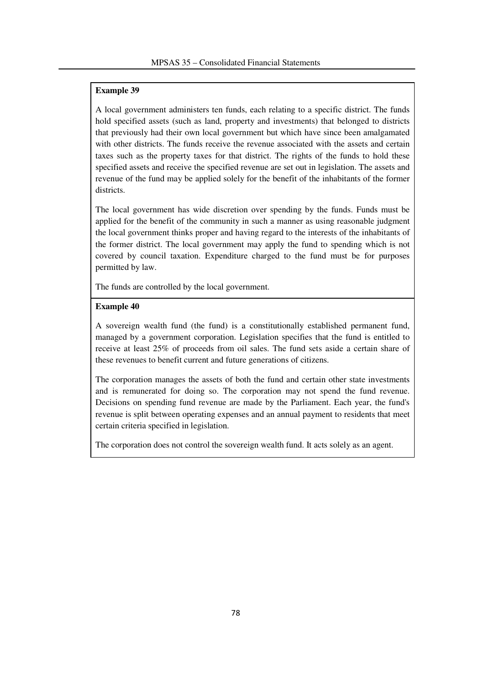A local government administers ten funds, each relating to a specific district. The funds hold specified assets (such as land, property and investments) that belonged to districts that previously had their own local government but which have since been amalgamated with other districts. The funds receive the revenue associated with the assets and certain taxes such as the property taxes for that district. The rights of the funds to hold these specified assets and receive the specified revenue are set out in legislation. The assets and revenue of the fund may be applied solely for the benefit of the inhabitants of the former districts.

The local government has wide discretion over spending by the funds. Funds must be applied for the benefit of the community in such a manner as using reasonable judgment the local government thinks proper and having regard to the interests of the inhabitants of the former district. The local government may apply the fund to spending which is not covered by council taxation. Expenditure charged to the fund must be for purposes permitted by law.

The funds are controlled by the local government.

## **Example 40**

A sovereign wealth fund (the fund) is a constitutionally established permanent fund, managed by a government corporation. Legislation specifies that the fund is entitled to receive at least 25% of proceeds from oil sales. The fund sets aside a certain share of these revenues to benefit current and future generations of citizens.

The corporation manages the assets of both the fund and certain other state investments and is remunerated for doing so. The corporation may not spend the fund revenue. Decisions on spending fund revenue are made by the Parliament. Each year, the fund's revenue is split between operating expenses and an annual payment to residents that meet certain criteria specified in legislation.

The corporation does not control the sovereign wealth fund. It acts solely as an agent.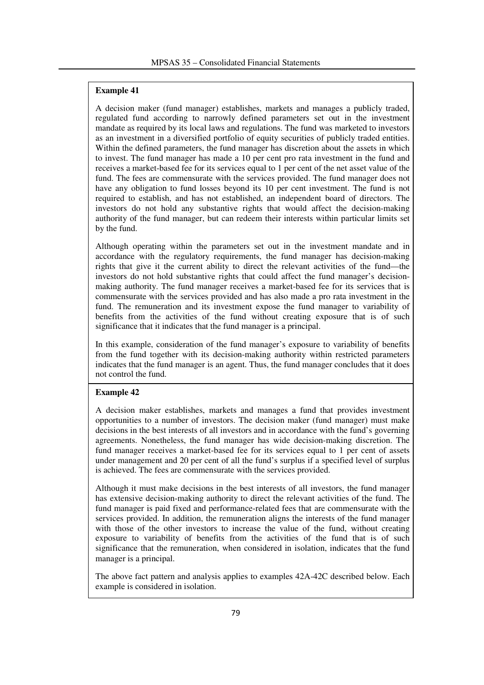A decision maker (fund manager) establishes, markets and manages a publicly traded, regulated fund according to narrowly defined parameters set out in the investment mandate as required by its local laws and regulations. The fund was marketed to investors as an investment in a diversified portfolio of equity securities of publicly traded entities. Within the defined parameters, the fund manager has discretion about the assets in which to invest. The fund manager has made a 10 per cent pro rata investment in the fund and receives a market-based fee for its services equal to 1 per cent of the net asset value of the fund. The fees are commensurate with the services provided. The fund manager does not have any obligation to fund losses beyond its 10 per cent investment. The fund is not required to establish, and has not established, an independent board of directors. The investors do not hold any substantive rights that would affect the decision-making authority of the fund manager, but can redeem their interests within particular limits set by the fund.

Although operating within the parameters set out in the investment mandate and in accordance with the regulatory requirements, the fund manager has decision-making rights that give it the current ability to direct the relevant activities of the fund—the investors do not hold substantive rights that could affect the fund manager's decisionmaking authority. The fund manager receives a market-based fee for its services that is commensurate with the services provided and has also made a pro rata investment in the fund. The remuneration and its investment expose the fund manager to variability of benefits from the activities of the fund without creating exposure that is of such significance that it indicates that the fund manager is a principal.

In this example, consideration of the fund manager's exposure to variability of benefits from the fund together with its decision-making authority within restricted parameters indicates that the fund manager is an agent. Thus, the fund manager concludes that it does not control the fund.

#### **Example 42**

A decision maker establishes, markets and manages a fund that provides investment opportunities to a number of investors. The decision maker (fund manager) must make decisions in the best interests of all investors and in accordance with the fund's governing agreements. Nonetheless, the fund manager has wide decision-making discretion. The fund manager receives a market-based fee for its services equal to 1 per cent of assets under management and 20 per cent of all the fund's surplus if a specified level of surplus is achieved. The fees are commensurate with the services provided.

Although it must make decisions in the best interests of all investors, the fund manager has extensive decision-making authority to direct the relevant activities of the fund. The fund manager is paid fixed and performance-related fees that are commensurate with the services provided. In addition, the remuneration aligns the interests of the fund manager with those of the other investors to increase the value of the fund, without creating exposure to variability of benefits from the activities of the fund that is of such significance that the remuneration, when considered in isolation, indicates that the fund manager is a principal.

The above fact pattern and analysis applies to examples 42A-42C described below. Each example is considered in isolation.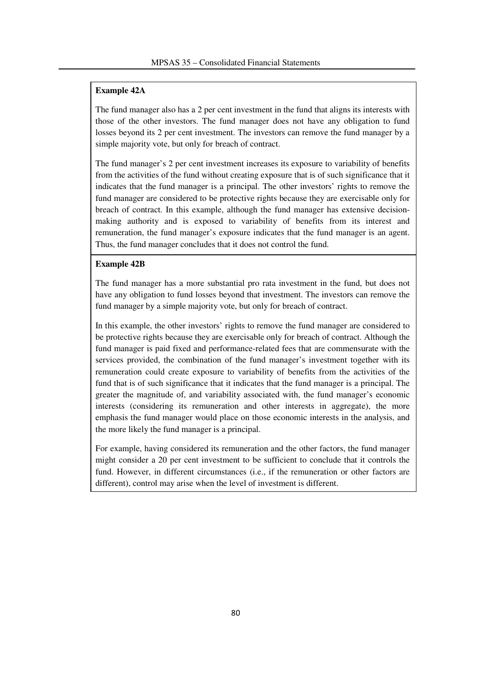# **Example 42A**

The fund manager also has a 2 per cent investment in the fund that aligns its interests with those of the other investors. The fund manager does not have any obligation to fund losses beyond its 2 per cent investment. The investors can remove the fund manager by a simple majority vote, but only for breach of contract.

The fund manager's 2 per cent investment increases its exposure to variability of benefits from the activities of the fund without creating exposure that is of such significance that it indicates that the fund manager is a principal. The other investors' rights to remove the fund manager are considered to be protective rights because they are exercisable only for breach of contract. In this example, although the fund manager has extensive decisionmaking authority and is exposed to variability of benefits from its interest and remuneration, the fund manager's exposure indicates that the fund manager is an agent. Thus, the fund manager concludes that it does not control the fund.

# **Example 42B**

The fund manager has a more substantial pro rata investment in the fund, but does not have any obligation to fund losses beyond that investment. The investors can remove the fund manager by a simple majority vote, but only for breach of contract.

In this example, the other investors' rights to remove the fund manager are considered to be protective rights because they are exercisable only for breach of contract. Although the fund manager is paid fixed and performance-related fees that are commensurate with the services provided, the combination of the fund manager's investment together with its remuneration could create exposure to variability of benefits from the activities of the fund that is of such significance that it indicates that the fund manager is a principal. The greater the magnitude of, and variability associated with, the fund manager's economic interests (considering its remuneration and other interests in aggregate), the more emphasis the fund manager would place on those economic interests in the analysis, and the more likely the fund manager is a principal.

For example, having considered its remuneration and the other factors, the fund manager might consider a 20 per cent investment to be sufficient to conclude that it controls the fund. However, in different circumstances (i.e., if the remuneration or other factors are different), control may arise when the level of investment is different.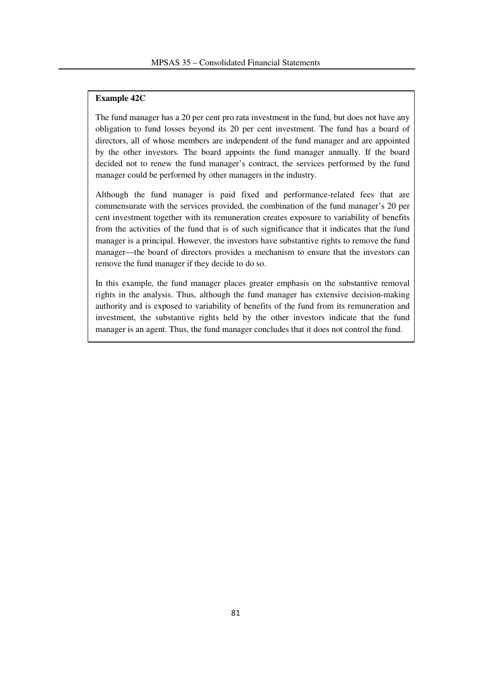### **Example 42C**

The fund manager has a 20 per cent pro rata investment in the fund, but does not have any obligation to fund losses beyond its 20 per cent investment. The fund has a board of directors, all of whose members are independent of the fund manager and are appointed by the other investors. The board appoints the fund manager annually. If the board decided not to renew the fund manager's contract, the services performed by the fund manager could be performed by other managers in the industry.

Although the fund manager is paid fixed and performance-related fees that are commensurate with the services provided, the combination of the fund manager's 20 per cent investment together with its remuneration creates exposure to variability of benefits from the activities of the fund that is of such significance that it indicates that the fund manager is a principal. However, the investors have substantive rights to remove the fund manager—the board of directors provides a mechanism to ensure that the investors can remove the fund manager if they decide to do so.

In this example, the fund manager places greater emphasis on the substantive removal rights in the analysis. Thus, although the fund manager has extensive decision-making authority and is exposed to variability of benefits of the fund from its remuneration and investment, the substantive rights held by the other investors indicate that the fund manager is an agent. Thus, the fund manager concludes that it does not control the fund.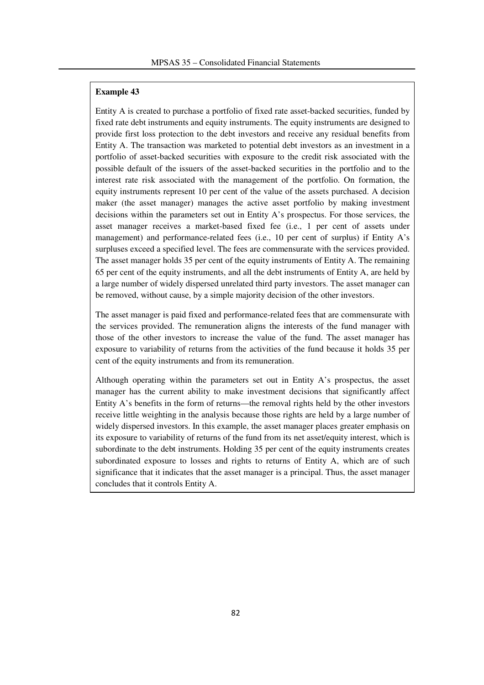Entity A is created to purchase a portfolio of fixed rate asset-backed securities, funded by fixed rate debt instruments and equity instruments. The equity instruments are designed to provide first loss protection to the debt investors and receive any residual benefits from Entity A. The transaction was marketed to potential debt investors as an investment in a portfolio of asset-backed securities with exposure to the credit risk associated with the possible default of the issuers of the asset-backed securities in the portfolio and to the interest rate risk associated with the management of the portfolio. On formation, the equity instruments represent 10 per cent of the value of the assets purchased. A decision maker (the asset manager) manages the active asset portfolio by making investment decisions within the parameters set out in Entity A's prospectus. For those services, the asset manager receives a market-based fixed fee (i.e., 1 per cent of assets under management) and performance-related fees (i.e., 10 per cent of surplus) if Entity A's surpluses exceed a specified level. The fees are commensurate with the services provided. The asset manager holds 35 per cent of the equity instruments of Entity A. The remaining 65 per cent of the equity instruments, and all the debt instruments of Entity A, are held by a large number of widely dispersed unrelated third party investors. The asset manager can be removed, without cause, by a simple majority decision of the other investors.

The asset manager is paid fixed and performance-related fees that are commensurate with the services provided. The remuneration aligns the interests of the fund manager with those of the other investors to increase the value of the fund. The asset manager has exposure to variability of returns from the activities of the fund because it holds 35 per cent of the equity instruments and from its remuneration.

Although operating within the parameters set out in Entity A's prospectus, the asset manager has the current ability to make investment decisions that significantly affect Entity A's benefits in the form of returns—the removal rights held by the other investors receive little weighting in the analysis because those rights are held by a large number of widely dispersed investors. In this example, the asset manager places greater emphasis on its exposure to variability of returns of the fund from its net asset/equity interest, which is subordinate to the debt instruments. Holding 35 per cent of the equity instruments creates subordinated exposure to losses and rights to returns of Entity A, which are of such significance that it indicates that the asset manager is a principal. Thus, the asset manager concludes that it controls Entity A.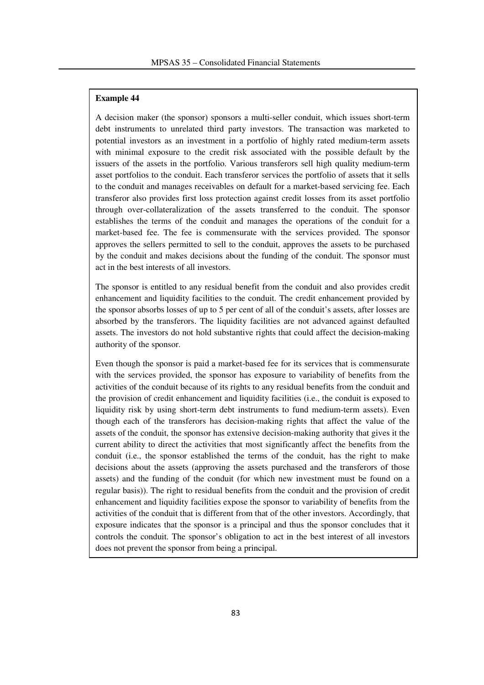A decision maker (the sponsor) sponsors a multi-seller conduit, which issues short-term debt instruments to unrelated third party investors. The transaction was marketed to potential investors as an investment in a portfolio of highly rated medium-term assets with minimal exposure to the credit risk associated with the possible default by the issuers of the assets in the portfolio. Various transferors sell high quality medium-term asset portfolios to the conduit. Each transferor services the portfolio of assets that it sells to the conduit and manages receivables on default for a market-based servicing fee. Each transferor also provides first loss protection against credit losses from its asset portfolio through over-collateralization of the assets transferred to the conduit. The sponsor establishes the terms of the conduit and manages the operations of the conduit for a market-based fee. The fee is commensurate with the services provided. The sponsor approves the sellers permitted to sell to the conduit, approves the assets to be purchased by the conduit and makes decisions about the funding of the conduit. The sponsor must act in the best interests of all investors.

The sponsor is entitled to any residual benefit from the conduit and also provides credit enhancement and liquidity facilities to the conduit. The credit enhancement provided by the sponsor absorbs losses of up to 5 per cent of all of the conduit's assets, after losses are absorbed by the transferors. The liquidity facilities are not advanced against defaulted assets. The investors do not hold substantive rights that could affect the decision-making authority of the sponsor.

Even though the sponsor is paid a market-based fee for its services that is commensurate with the services provided, the sponsor has exposure to variability of benefits from the activities of the conduit because of its rights to any residual benefits from the conduit and the provision of credit enhancement and liquidity facilities (i.e., the conduit is exposed to liquidity risk by using short-term debt instruments to fund medium-term assets). Even though each of the transferors has decision-making rights that affect the value of the assets of the conduit, the sponsor has extensive decision-making authority that gives it the current ability to direct the activities that most significantly affect the benefits from the conduit (i.e., the sponsor established the terms of the conduit, has the right to make decisions about the assets (approving the assets purchased and the transferors of those assets) and the funding of the conduit (for which new investment must be found on a regular basis)). The right to residual benefits from the conduit and the provision of credit enhancement and liquidity facilities expose the sponsor to variability of benefits from the activities of the conduit that is different from that of the other investors. Accordingly, that exposure indicates that the sponsor is a principal and thus the sponsor concludes that it controls the conduit. The sponsor's obligation to act in the best interest of all investors does not prevent the sponsor from being a principal.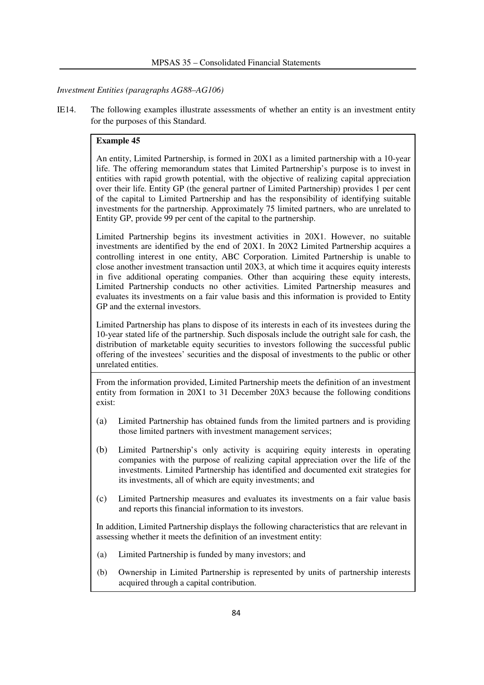#### *Investment Entities (paragraphs AG88–AG106)*

IE14. The following examples illustrate assessments of whether an entity is an investment entity for the purposes of this Standard.

# **Example 45**

An entity, Limited Partnership, is formed in 20X1 as a limited partnership with a 10-year life. The offering memorandum states that Limited Partnership's purpose is to invest in entities with rapid growth potential, with the objective of realizing capital appreciation over their life. Entity GP (the general partner of Limited Partnership) provides 1 per cent of the capital to Limited Partnership and has the responsibility of identifying suitable investments for the partnership. Approximately 75 limited partners, who are unrelated to Entity GP, provide 99 per cent of the capital to the partnership.

Limited Partnership begins its investment activities in 20X1. However, no suitable investments are identified by the end of 20X1. In 20X2 Limited Partnership acquires a controlling interest in one entity, ABC Corporation. Limited Partnership is unable to close another investment transaction until 20X3, at which time it acquires equity interests in five additional operating companies. Other than acquiring these equity interests, Limited Partnership conducts no other activities. Limited Partnership measures and evaluates its investments on a fair value basis and this information is provided to Entity GP and the external investors.

Limited Partnership has plans to dispose of its interests in each of its investees during the 10-year stated life of the partnership. Such disposals include the outright sale for cash, the distribution of marketable equity securities to investors following the successful public offering of the investees' securities and the disposal of investments to the public or other unrelated entities.

From the information provided, Limited Partnership meets the definition of an investment entity from formation in 20X1 to 31 December 20X3 because the following conditions exist:

- (a) Limited Partnership has obtained funds from the limited partners and is providing those limited partners with investment management services;
- (b) Limited Partnership's only activity is acquiring equity interests in operating companies with the purpose of realizing capital appreciation over the life of the investments. Limited Partnership has identified and documented exit strategies for its investments, all of which are equity investments; and
- (c) Limited Partnership measures and evaluates its investments on a fair value basis and reports this financial information to its investors.

In addition, Limited Partnership displays the following characteristics that are relevant in assessing whether it meets the definition of an investment entity:

- (a) Limited Partnership is funded by many investors; and
- (b) Ownership in Limited Partnership is represented by units of partnership interests acquired through a capital contribution.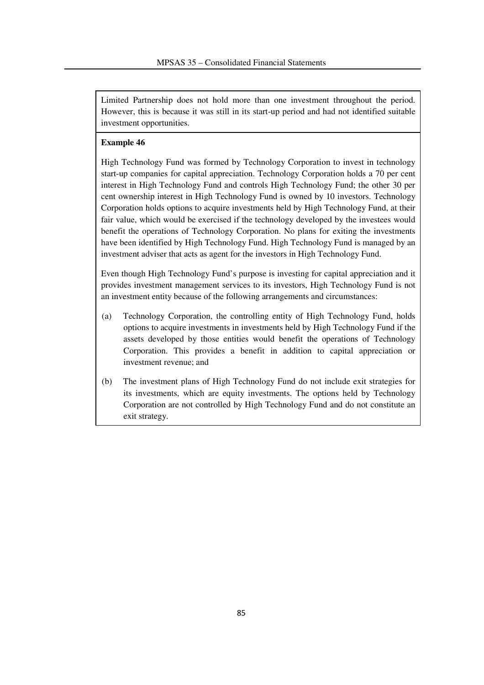Limited Partnership does not hold more than one investment throughout the period. However, this is because it was still in its start-up period and had not identified suitable investment opportunities.

## **Example 46**

High Technology Fund was formed by Technology Corporation to invest in technology start-up companies for capital appreciation. Technology Corporation holds a 70 per cent interest in High Technology Fund and controls High Technology Fund; the other 30 per cent ownership interest in High Technology Fund is owned by 10 investors. Technology Corporation holds options to acquire investments held by High Technology Fund, at their fair value, which would be exercised if the technology developed by the investees would benefit the operations of Technology Corporation. No plans for exiting the investments have been identified by High Technology Fund. High Technology Fund is managed by an investment adviser that acts as agent for the investors in High Technology Fund.

Even though High Technology Fund's purpose is investing for capital appreciation and it provides investment management services to its investors, High Technology Fund is not an investment entity because of the following arrangements and circumstances:

- (a) Technology Corporation, the controlling entity of High Technology Fund, holds options to acquire investments in investments held by High Technology Fund if the assets developed by those entities would benefit the operations of Technology Corporation. This provides a benefit in addition to capital appreciation or investment revenue; and
- (b) The investment plans of High Technology Fund do not include exit strategies for its investments, which are equity investments. The options held by Technology Corporation are not controlled by High Technology Fund and do not constitute an exit strategy.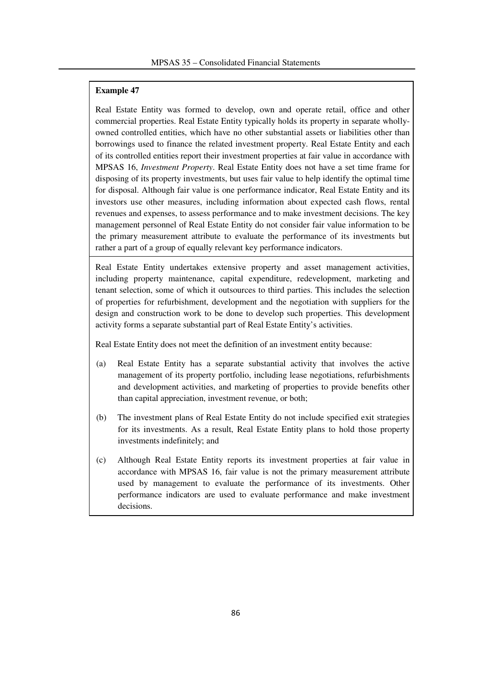Real Estate Entity was formed to develop, own and operate retail, office and other commercial properties. Real Estate Entity typically holds its property in separate whollyowned controlled entities, which have no other substantial assets or liabilities other than borrowings used to finance the related investment property. Real Estate Entity and each of its controlled entities report their investment properties at fair value in accordance with MPSAS 16, *Investment Property*. Real Estate Entity does not have a set time frame for disposing of its property investments, but uses fair value to help identify the optimal time for disposal. Although fair value is one performance indicator, Real Estate Entity and its investors use other measures, including information about expected cash flows, rental revenues and expenses, to assess performance and to make investment decisions. The key management personnel of Real Estate Entity do not consider fair value information to be the primary measurement attribute to evaluate the performance of its investments but rather a part of a group of equally relevant key performance indicators.

Real Estate Entity undertakes extensive property and asset management activities, including property maintenance, capital expenditure, redevelopment, marketing and tenant selection, some of which it outsources to third parties. This includes the selection of properties for refurbishment, development and the negotiation with suppliers for the design and construction work to be done to develop such properties. This development activity forms a separate substantial part of Real Estate Entity's activities.

Real Estate Entity does not meet the definition of an investment entity because:

- (a) Real Estate Entity has a separate substantial activity that involves the active management of its property portfolio, including lease negotiations, refurbishments and development activities, and marketing of properties to provide benefits other than capital appreciation, investment revenue, or both;
- (b) The investment plans of Real Estate Entity do not include specified exit strategies for its investments. As a result, Real Estate Entity plans to hold those property investments indefinitely; and
- (c) Although Real Estate Entity reports its investment properties at fair value in accordance with MPSAS 16, fair value is not the primary measurement attribute used by management to evaluate the performance of its investments. Other performance indicators are used to evaluate performance and make investment decisions.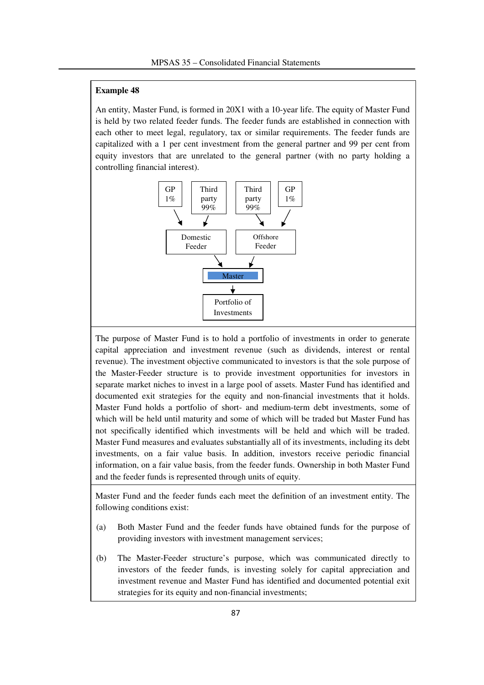An entity, Master Fund, is formed in 20X1 with a 10-year life. The equity of Master Fund is held by two related feeder funds. The feeder funds are established in connection with each other to meet legal, regulatory, tax or similar requirements. The feeder funds are capitalized with a 1 per cent investment from the general partner and 99 per cent from equity investors that are unrelated to the general partner (with no party holding a controlling financial interest).



The purpose of Master Fund is to hold a portfolio of investments in order to generate capital appreciation and investment revenue (such as dividends, interest or rental revenue). The investment objective communicated to investors is that the sole purpose of the Master-Feeder structure is to provide investment opportunities for investors in separate market niches to invest in a large pool of assets. Master Fund has identified and documented exit strategies for the equity and non-financial investments that it holds. Master Fund holds a portfolio of short- and medium-term debt investments, some of which will be held until maturity and some of which will be traded but Master Fund has not specifically identified which investments will be held and which will be traded. Master Fund measures and evaluates substantially all of its investments, including its debt investments, on a fair value basis. In addition, investors receive periodic financial information, on a fair value basis, from the feeder funds. Ownership in both Master Fund and the feeder funds is represented through units of equity.

Master Fund and the feeder funds each meet the definition of an investment entity. The following conditions exist:

- (a) Both Master Fund and the feeder funds have obtained funds for the purpose of providing investors with investment management services;
- (b) The Master-Feeder structure's purpose, which was communicated directly to investors of the feeder funds, is investing solely for capital appreciation and investment revenue and Master Fund has identified and documented potential exit strategies for its equity and non-financial investments;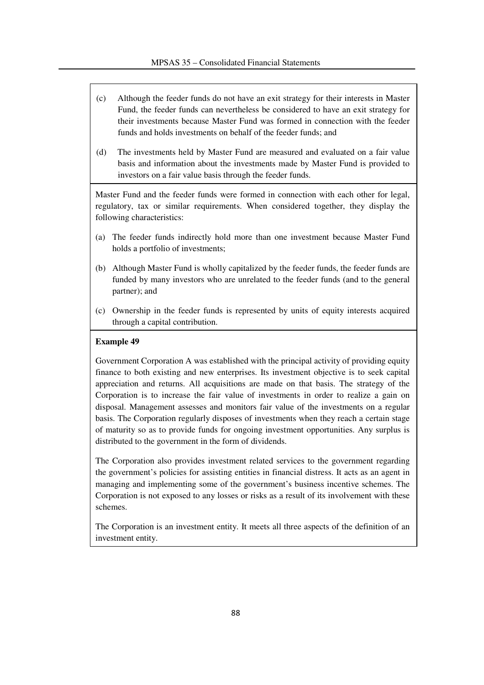- (c) Although the feeder funds do not have an exit strategy for their interests in Master Fund, the feeder funds can nevertheless be considered to have an exit strategy for their investments because Master Fund was formed in connection with the feeder funds and holds investments on behalf of the feeder funds; and
- (d) The investments held by Master Fund are measured and evaluated on a fair value basis and information about the investments made by Master Fund is provided to investors on a fair value basis through the feeder funds.

Master Fund and the feeder funds were formed in connection with each other for legal, regulatory, tax or similar requirements. When considered together, they display the following characteristics:

- (a) The feeder funds indirectly hold more than one investment because Master Fund holds a portfolio of investments;
- (b) Although Master Fund is wholly capitalized by the feeder funds, the feeder funds are funded by many investors who are unrelated to the feeder funds (and to the general partner); and
- (c) Ownership in the feeder funds is represented by units of equity interests acquired through a capital contribution.

### **Example 49**

Government Corporation A was established with the principal activity of providing equity finance to both existing and new enterprises. Its investment objective is to seek capital appreciation and returns. All acquisitions are made on that basis. The strategy of the Corporation is to increase the fair value of investments in order to realize a gain on disposal. Management assesses and monitors fair value of the investments on a regular basis. The Corporation regularly disposes of investments when they reach a certain stage of maturity so as to provide funds for ongoing investment opportunities. Any surplus is distributed to the government in the form of dividends.

The Corporation also provides investment related services to the government regarding the government's policies for assisting entities in financial distress. It acts as an agent in managing and implementing some of the government's business incentive schemes. The Corporation is not exposed to any losses or risks as a result of its involvement with these schemes.

The Corporation is an investment entity. It meets all three aspects of the definition of an investment entity.